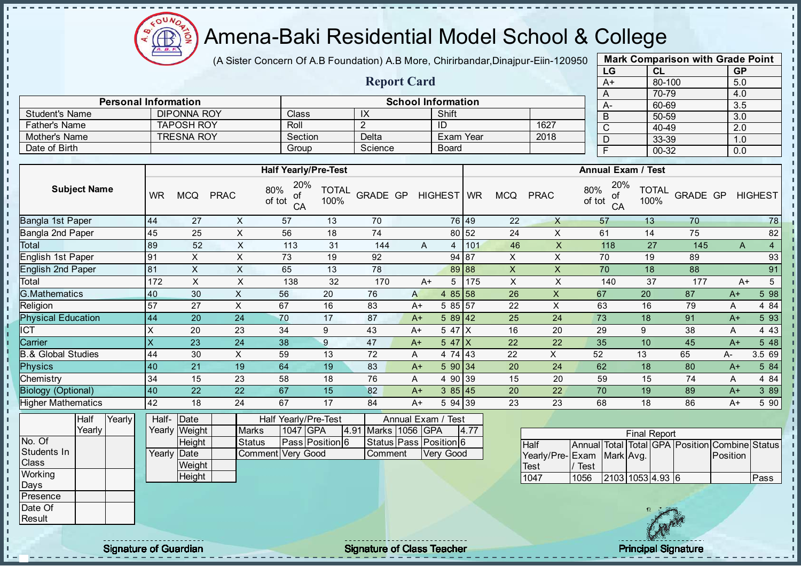

(A Sister Concern Of A.B Foundation) A.B More, Chirirbandar, Dinajpur-Eiin-120950

Report Card

Personal Information and The School Information

Father's Name TAPOSH ROY Roll 2 ID 1627<br>
Mother's Name TRESNA ROY Section Delta Exam Year 2018

Student's Name DIPONNA ROY Class IX Shift<br>
Father's Name TAPOSH ROY Roll 2 ID

Mother's Name TRESNA ROY Section Delta Exam Year Date of Birth Group Science Board

| <b>Mark Comparison with Grade Point</b> |        |           |  |  |  |  |  |  |  |  |  |
|-----------------------------------------|--------|-----------|--|--|--|--|--|--|--|--|--|
| LG                                      | CL     | <b>GP</b> |  |  |  |  |  |  |  |  |  |
| $A+$                                    | 80-100 | 5.0       |  |  |  |  |  |  |  |  |  |
| A                                       | 70-79  | 4.0       |  |  |  |  |  |  |  |  |  |
| A-                                      | 60-69  | 3.5       |  |  |  |  |  |  |  |  |  |
| B                                       | 50-59  | 3.0       |  |  |  |  |  |  |  |  |  |
| С                                       | 40-49  | 2.0       |  |  |  |  |  |  |  |  |  |
| D                                       | 33-39  | 1.0       |  |  |  |  |  |  |  |  |  |
| F                                       | 00-32  | 0.0       |  |  |  |  |  |  |  |  |  |

|                               |                     |        |                           |                            |                | <b>Half Yearly/Pre-Test</b>      |                      |                     |              |                        |       |                           |                           |               | <b>Annual Exam / Test</b> |                      |                                         |          |                |
|-------------------------------|---------------------|--------|---------------------------|----------------------------|----------------|----------------------------------|----------------------|---------------------|--------------|------------------------|-------|---------------------------|---------------------------|---------------|---------------------------|----------------------|-----------------------------------------|----------|----------------|
|                               | <b>Subject Name</b> |        | <b>WR</b>                 | <b>MCQ</b>                 | <b>PRAC</b>    | 20%<br>80%<br>of<br>of tot<br>CA | <b>TOTAL</b><br>100% | GRADE GP            |              | HIGHEST WR             |       | <b>MCQ</b>                | <b>PRAC</b>               | 80%<br>of tot | 20%<br>of<br>CA           | <b>TOTAL</b><br>100% | GRADE GP                                |          | <b>HIGHEST</b> |
| <b>Bangla 1st Paper</b>       |                     |        | 44                        | 27                         | X              | 57                               | 13                   | 70                  |              |                        | 76 49 | 22                        | $\times$                  |               | 57                        | 13                   | 70                                      |          | 78             |
| Bangla 2nd Paper              |                     |        | 45                        | 25                         | $\pmb{\times}$ | 56                               | 18                   | 74                  |              |                        | 80 52 | 24                        | X                         |               | 61                        | 14                   | 75                                      |          | 82             |
| Total                         |                     |        | 89                        | 52                         | $\pmb{\times}$ | 113                              | 31                   | 144                 | $\mathsf{A}$ | 4                      | 101   | 46                        | $\boldsymbol{\mathsf{X}}$ |               | 118                       | 27                   | 145                                     | A        | $\overline{4}$ |
| English 1st Paper             |                     |        | 91                        | X                          | X              | 73                               | 19                   | 92                  |              |                        | 94 87 | X                         | X                         |               | 70                        | 19                   | 89                                      |          | 93             |
| <b>English 2nd Paper</b>      |                     |        | 81                        | $\mathsf X$                | X              | 65                               | 13                   | 78                  |              |                        | 89 88 | $\pmb{\mathsf{X}}$        | $\pmb{\times}$            |               | 70                        | 18                   | 88                                      |          | 91             |
| Total                         |                     |        | 172                       | $\times$                   | X              | 138                              | 32                   | 170                 | $A+$         | 5                      | 175   | $\boldsymbol{\mathsf{X}}$ | $\mathsf X$               |               | 140                       | 37                   | 177                                     | $A+$     | $\sqrt{5}$     |
| <b>G.Mathematics</b>          |                     |        | 40                        | 30                         | $\pmb{\times}$ | 56                               | 20                   | 76                  | $\mathsf{A}$ | 4 $85$ 58              |       | 26                        | X                         |               | 67                        | 20                   | 87                                      | $A+$     | 5 98           |
| Religion                      |                     |        | 57                        | 27                         | $\mathsf{X}$   | 67                               | 16                   | 83                  | $A+$         | 5 85 57                |       | 22                        | $\boldsymbol{\mathsf{X}}$ |               | 63                        | 16                   | 79                                      | A        | 4 8 4          |
| <b>Physical Education</b>     |                     |        | 44                        | 20                         | 24             | 70                               | 17                   | 87                  | $A+$         | $589$ 42               |       | 25                        | 24                        |               | 73                        | 18                   | 91                                      | $A+$     | 5 93           |
| ICT                           |                     |        | $\boldsymbol{\mathsf{X}}$ | 20                         | 23             | 34                               | 9                    | 43                  | $A+$         | 5 47 X                 |       | 16                        | 20                        |               | 29                        | $\boldsymbol{9}$     | 38                                      | Α        | 4 4 3          |
| Carrier                       |                     |        | $\overline{\mathsf{x}}$   | 23                         | 24             | 38                               | $\boldsymbol{9}$     | 47                  | $A+$         | $547$ $X$              |       | 22                        | 22                        |               | 35                        | 10                   | 45                                      | $A+$     | 5 48           |
| <b>B.&amp; Global Studies</b> |                     |        | 44                        | 30                         | $\pmb{\times}$ | 59                               | 13                   | 72                  | Α            | 4 74 43                |       | 22                        | X                         | 52            |                           | 13                   | 65                                      | A-       | 3.5 69         |
| <b>Physics</b>                |                     |        | 40                        | 21                         | 19             | 64                               | 19                   | 83                  | $A+$         | 590 34                 |       | 20                        | 24                        |               | 62                        | 18                   | 80                                      | $A+$     | 5 84           |
| Chemistry                     |                     |        | 34                        | 15                         | 23             | 58                               | 18                   | 76                  | A            | 4 90 39                |       | 15                        | 20                        |               | 59                        | 15                   | 74                                      | A        | 4 84           |
| <b>Biology (Optional)</b>     |                     |        | 40                        | 22                         | 22             | 67                               | 15                   | 82                  | $A+$         | 385 45                 |       | 20                        | 22                        |               | 70                        | 19                   | 89                                      | $A+$     | 3 8 9          |
| <b>Higher Mathematics</b>     |                     |        | 42                        | 18                         | 24             | 67                               | 17                   | 84                  | $A+$         | 5 94 39                |       | 23                        | 23                        |               | 68                        | 18                   | 86                                      | $A+$     | 5 90           |
|                               | Half<br>Yearly      | Yearly |                           | Half-Date<br>Yearly Weight | <b>Marks</b>   | Half Yearly/Pre-Test<br>1047 GPA |                      | 4.91 Marks 1056 GPA |              | Annual Exam / Test     | 4.77  |                           |                           |               |                           |                      |                                         |          |                |
| No. Of                        |                     |        |                           | Height                     | <b>Status</b>  |                                  | Pass Position 6      |                     |              | Status Pass Position 6 |       |                           | <b>Half</b>               | Annual        |                           | <b>Final Report</b>  | Total Total GPA Position Combine Status |          |                |
| Students In                   |                     |        |                           | Yearly Date                |                | <b>Comment Very Good</b>         |                      | Comment             |              | <b>Very Good</b>       |       |                           | Yearly/Pre-               | Exam          | Mark Avg.                 |                      |                                         | Position |                |
| Class                         |                     |        |                           | Weight                     |                |                                  |                      |                     |              |                        |       |                           | Test                      | / Test        |                           |                      |                                         |          |                |
| Working<br>Days               |                     |        |                           | Height                     |                |                                  |                      |                     |              |                        |       |                           | 1047                      | 1056          |                           | 2103 1053 4.93 6     |                                         |          | Pass           |
| Presence                      |                     |        |                           |                            |                |                                  |                      |                     |              |                        |       |                           |                           |               |                           |                      |                                         |          |                |
| Date Of                       |                     |        |                           |                            |                |                                  |                      |                     |              |                        |       |                           |                           |               |                           | 18 公安省               |                                         |          |                |

**Result** 

 $\mathbf{I}$ J.  $\mathbf{r}$ - II - II J. - II  $\mathbf{r}$ J. J.

- II  $\mathbf{I}$ J.  $\mathbf{I}$ J.  $\mathbf{I}$  $\mathbf{I}$  $\mathbf{I}$  $\mathbf{I}$  $\mathbf{r}$ þ. T. T. Ĩ. J. T.  $\mathbf{I}$  $\mathbf{I}$  $\mathbf{I}$  $\mathbf{I}$  $\mathbf{I}$  $\mathbf{I}$  $\blacksquare$  $\mathbf{I}$  $\mathbf{I}$  $\mathbf{I}$  $\mathbf{I}$  $\mathbf{I}$  $\mathbf{I}$  $\mathbf{I}$  $\mathbf{I}$  $\mathbf I$ 

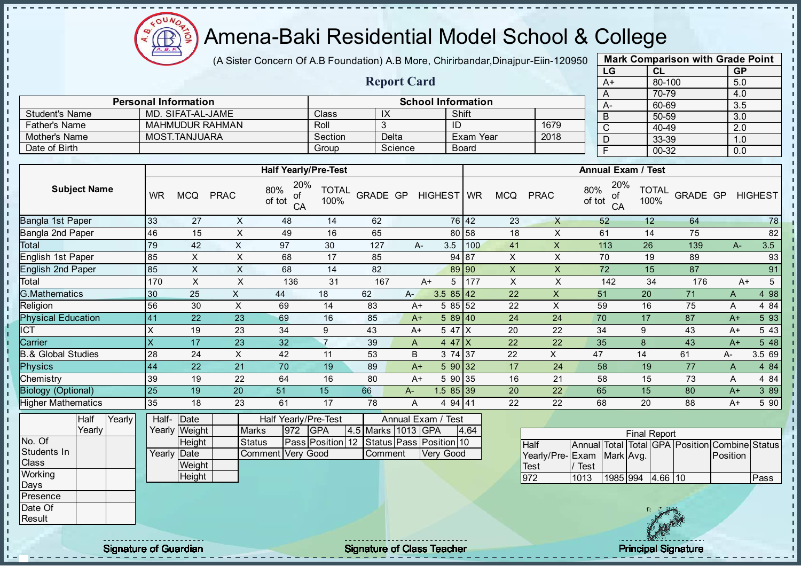

(A Sister Concern Of A.B Foundation) A.B More, Chirirbandar, Dinajpur-Eiin-120950

Report Card

| <b>Mark Comparison with Grade Point</b> |        |           |  |  |  |  |  |  |  |  |  |
|-----------------------------------------|--------|-----------|--|--|--|--|--|--|--|--|--|
| LG                                      | CL     | <b>GP</b> |  |  |  |  |  |  |  |  |  |
| A+                                      | 80-100 | 5.0       |  |  |  |  |  |  |  |  |  |
| A                                       | 70-79  | 4.0       |  |  |  |  |  |  |  |  |  |
| А-                                      | 60-69  | 3.5       |  |  |  |  |  |  |  |  |  |
| B                                       | 50-59  | 3.0       |  |  |  |  |  |  |  |  |  |
| C                                       | 40-49  | 2.0       |  |  |  |  |  |  |  |  |  |
| D                                       | 33-39  | 1.0       |  |  |  |  |  |  |  |  |  |
| $00 - 32$<br>F<br>0.0                   |        |           |  |  |  |  |  |  |  |  |  |
|                                         |        |           |  |  |  |  |  |  |  |  |  |

|                       |                             |              |         |                           |      |      | $70 -$   |
|-----------------------|-----------------------------|--------------|---------|---------------------------|------|------|----------|
|                       | <b>Personal Information</b> |              |         | <b>School Information</b> |      | $A-$ | $60 -$   |
| <b>Student's Name</b> | MD. SIFAT-AL-JAME           | <b>Class</b> | ΙĀ      | Shift                     |      |      | $50 -$   |
| Father's Name         | <b>MAHMUDUR RAHMAN</b>      | Roll         |         | ID                        | 1679 |      | $40 -$   |
| Mother's Name         | MOST.TANJUARA               | Section      | Delta   | Exam Year                 | 2018 |      | $33 - 3$ |
| Date of Birth         |                             | Group        | Science | <b>Board</b>              |      |      | $00 -$   |
|                       |                             |              |         |                           |      |      |          |

|                           |           |            |             | <b>Half Yearly/Pre-Test</b>      |                      |          |       |            |            |     |            |             | <b>Annual Exam / Test</b>        |                      |          |      |                |
|---------------------------|-----------|------------|-------------|----------------------------------|----------------------|----------|-------|------------|------------|-----|------------|-------------|----------------------------------|----------------------|----------|------|----------------|
| <b>Subject Name</b>       | <b>WR</b> | <b>MCQ</b> | <b>PRAC</b> | 20%<br>80%<br>οf<br>of tot<br>CA | <b>TOTAL</b><br>100% | GRADE GP |       | HIGHEST WR |            |     | <b>MCQ</b> | <b>PRAC</b> | 20%<br>80%<br>οf<br>of tot<br>CA | <b>TOTAL</b><br>100% | GRADE GP |      | <b>HIGHEST</b> |
| Bangla 1st Paper          | 33        | 27         | X           | 48                               | 14                   | 62       |       |            | 76 42      |     | 23         | $\times$    | 52                               | 12                   | 64       |      | 78             |
| Bangla 2nd Paper          | 46        | 15         | X           | 49                               | 16                   | 65       |       |            | 80 58      |     | 18         | X           | 61                               | 14                   | 75       |      | 82             |
| Total                     | 79        | 42         | X           | 97                               | 30                   | 127      |       | А-         | 3.5        | 100 | 41         | X           | 113                              | 26                   | 139      | A-   | 3.5            |
| English 1st Paper         | 85        | X          | $\times$    | 68                               | 17                   | 85       |       |            | 94 87      |     | X          | X           | 70                               | 19                   | 89       |      | 93             |
| English 2nd Paper         | 85        | X.         | X           | 68                               | 14                   | 82       |       |            | 89 90      |     | X          | X           | 72                               | 15                   | 87       |      | 91             |
| Total                     | 170       | X          | X           | 136                              | 31                   | 167      |       | $A+$       | 5          | 177 | X          | X           | 142                              | 34                   | 176      |      | 5<br>$A+$      |
| <b>G.Mathematics</b>      | 30        | 25         | X.          | 44                               | 18                   | 62       | $A -$ |            | $3.585$ 42 |     | 22         | X           | 51                               | 20                   | 71       | A    | 4 98           |
| Religion                  | 56        | 30         | X           | 69                               | 14                   | 83       |       | $A+$       | 5 85 52    |     | 22         | X           | 59                               | 16                   | 75       | A    | 4 8 4          |
| <b>Physical Education</b> | 41        | 22         | 23          | 69                               | 16                   | 85       |       | $A+$       | 589 40     |     | 24         | 24          | 70                               | 17                   | 87       | $A+$ | 5 93           |
| ICT                       | Х         | 19         | 23          | 34                               | 9                    | 43       |       | $A+$       | 5 47 $X$   |     | 20         | 22          | 34                               | 9                    | 43       | $A+$ | 5 4 3          |
| Carrier                   | X         | 17         | 23          | 32                               | 7                    | 39       |       | A          | 4 47 $ X $ |     | 22         | 22          | 35                               | 8                    | 43       | $A+$ | 548            |
| .& Global Studies         | 28        | 24         | X           | 42                               | 11                   | 53       |       | B          | 3 74 37    |     | 22         | X.          | 47                               | 14                   | 61       | A-   | 3.5 69         |
| <b>Physics</b>            | 44        | 22         | 21          | 70                               | 19                   | 89       |       | $A+$       | 590 32     |     | 17         | 24          | 58                               | 19                   | 77       | A    | 4 84           |
| Chemistry                 | 39        | 19         | 22          | 64                               | 16                   | 80       |       | A+         | 5 90 35    |     | 16         | 21          | 58                               | 15                   | 73       | A    | 4 8 4          |
| <b>Biology (Optional)</b> | 25        | 19         | 20          | 51                               | 15                   | 66       | $A-$  |            | $1.585$ 39 |     | 20         | 22          | 65                               | 15                   | 80       | $A+$ | 3 8 9          |
| <b>Higher Mathematics</b> | 35        | 18         | 23          | 61                               | 17                   | 78       | Α     |            | 4 94 41    |     | 22         | 22          | 68                               | 20                   | 88       | $A+$ | 5 90           |

|                 | Half   | Yearly | Half- Date           |                        |                    |     | Half Yearly/Pre-Test |  | Annual Exam / Test |  |                                          |      |  |
|-----------------|--------|--------|----------------------|------------------------|--------------------|-----|----------------------|--|--------------------|--|------------------------------------------|------|--|
|                 | Yearlv |        |                      | Yearly <b> </b> Weight | <b>Marks</b>       | 972 | <b>IGPA</b>          |  | 4.5 Marks 1013 GPA |  |                                          | 4.64 |  |
| No. Of          |        |        |                      | Height                 | Status             |     |                      |  |                    |  | Pass Position 12 Status Pass Position 10 |      |  |
| Students In     |        |        | Yearlv <b>I</b> Date |                        | Comment IVerv Good |     |                      |  | Comment            |  | <b>Verv Good</b>                         |      |  |
| IClass          |        |        |                      | Weight                 |                    |     |                      |  |                    |  |                                          |      |  |
| Working         |        |        |                      | Height                 |                    |     |                      |  |                    |  |                                          |      |  |
| <b>IDays</b>    |        |        |                      |                        |                    |     |                      |  |                    |  |                                          |      |  |
| <b>Presence</b> |        |        |                      |                        |                    |     |                      |  |                    |  |                                          |      |  |
| Date Of         |        |        |                      |                        |                    |     |                      |  |                    |  |                                          |      |  |

|                           | <b>Final Report</b> |                  |  |  |  |                                                |      |  |  |  |  |  |  |  |  |
|---------------------------|---------------------|------------------|--|--|--|------------------------------------------------|------|--|--|--|--|--|--|--|--|
| <b>Half</b>               |                     |                  |  |  |  | Annual Total Total GPA Position Combine Status |      |  |  |  |  |  |  |  |  |
| Yearly/Pre-Exam Mark Avg. |                     |                  |  |  |  | <b>Position</b>                                |      |  |  |  |  |  |  |  |  |
| Test                      | Test                |                  |  |  |  |                                                |      |  |  |  |  |  |  |  |  |
| 1972                      | 1013                | 1985 994 4.66 10 |  |  |  |                                                | Pass |  |  |  |  |  |  |  |  |



**Result** 

л J.  $\mathbf{I}$ 

 $\mathbf{u}$  $\mathbf{I}$  $\mathbf{I}$ 

experiment of Guardian and Signature of Class Teacher Principal Signature of Class Teacher Principal Signature<br>Signature of Class Teacher Principal Signature of Class Teacher Principal Signature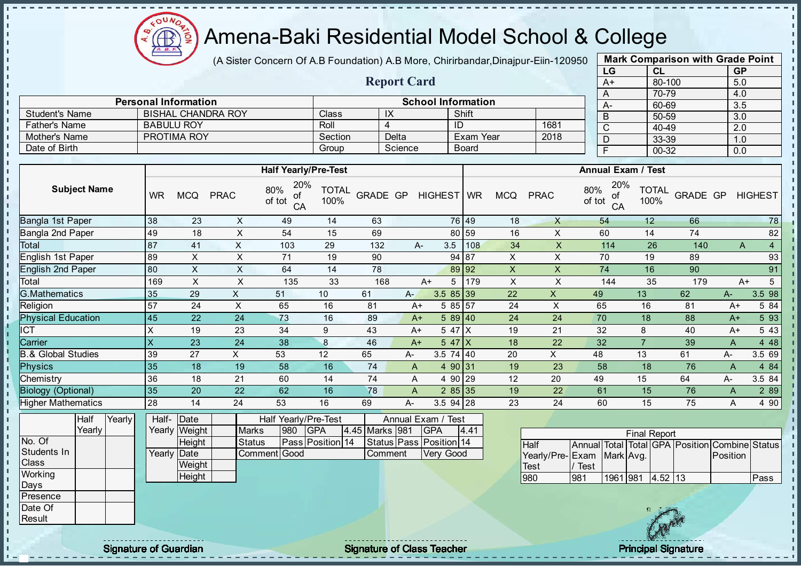

(A Sister Concern Of A.B Foundation) A.B More, Chirirbandar, Dinajpur-Eiin-120950

Report Card

Personal Information and The School Information

Pather's Name BABULU ROY Roll Roll 4 ID 1681<br>
Mother's Name PROTIMA ROY Section Delta Exam Year 2018

Student's Name BISHAL CHANDRA ROY Class IX Shift<br>
Father's Name BABULU ROY Roll 4 ID

Mother's Name PROTIMA ROY Section Delta Exam Year

| <b>Mark Comparison with Grade Point</b> |           |           |  |  |  |  |  |  |  |  |  |
|-----------------------------------------|-----------|-----------|--|--|--|--|--|--|--|--|--|
| LG                                      | <b>CL</b> | <b>GP</b> |  |  |  |  |  |  |  |  |  |
| $A+$                                    | 80-100    | 5.0       |  |  |  |  |  |  |  |  |  |
| A                                       | 70-79     | 4.0       |  |  |  |  |  |  |  |  |  |
| А-                                      | 60-69     | 3.5       |  |  |  |  |  |  |  |  |  |
| B                                       | 50-59     | 3.0       |  |  |  |  |  |  |  |  |  |
| C                                       | 40-49     | 2.0       |  |  |  |  |  |  |  |  |  |
| D                                       | 33-39     | 1.0       |  |  |  |  |  |  |  |  |  |
| F                                       | 00-32     | 0.0       |  |  |  |  |  |  |  |  |  |
|                                         |           |           |  |  |  |  |  |  |  |  |  |

 $\mathbf{I}$ 

 $\mathbf{I}$ 

п

п  $\mathbf{I}$ 

 $\mathbf{I}$ 

 $\frac{1}{1}$ 

 $\mathbf{r}$ 

 $\mathbf{I}$ 

 $\mathbf{I}$ 

 $\mathbf{I}$ 

 $\mathbf{I}$  $\mathbf{I}$ 

 $\frac{1}{1}$ 

п  $\mathbf{I}$  $\mathbf{I}$  $\mathbf{I}$ 

| Date of Birth                 |                         |                       |                |                                  | Group                |                | Science                 |            |                | <b>Board</b> |                |                                |               | $\overline{F}$  | $00 - 32$                 |          | 0.0      |                                                |
|-------------------------------|-------------------------|-----------------------|----------------|----------------------------------|----------------------|----------------|-------------------------|------------|----------------|--------------|----------------|--------------------------------|---------------|-----------------|---------------------------|----------|----------|------------------------------------------------|
|                               |                         |                       |                |                                  |                      |                |                         |            |                |              |                |                                |               |                 |                           |          |          |                                                |
|                               |                         |                       |                | <b>Half Yearly/Pre-Test</b>      |                      |                |                         |            |                |              |                |                                |               |                 | <b>Annual Exam / Test</b> |          |          |                                                |
| <b>Subject Name</b>           | <b>WR</b>               | <b>MCQ</b>            | <b>PRAC</b>    | 20%<br>80%<br>Οİ<br>of tot<br>CA | <b>TOTAL</b><br>100% | GRADE GP       |                         | HIGHEST WR |                |              | <b>MCQ</b>     | <b>PRAC</b>                    | 80%<br>of tot | 20%<br>οf<br>CA | <b>TOTAL</b><br>100%      | GRADE GP |          | <b>HIGHEST</b>                                 |
| Bangla 1st Paper              | $\overline{38}$         | 23                    | $\pmb{\times}$ | 49                               | 14                   | 63             |                         |            | 76 49          |              | 18             | $\mathsf{X}$                   |               | 54              | 12                        | 66       |          | $\overline{78}$                                |
| Bangla 2nd Paper<br>Total     | 49                      | 18                    | X              | 54                               | 15                   | 69             |                         |            | 80             | 59           | 16             | X                              |               | 60              | 14                        | 74       |          | 82                                             |
|                               | 87                      | 41                    | $\mathsf X$    | 103                              | 29                   | 132            |                         | A-         | 3.5            | 108          | 34             | X                              |               | 114             | 26                        | 140      |          | $\overline{4}$<br>A                            |
| English 1st Paper             | 89                      | $\times$              | X              | 71                               | 19                   | 90             |                         |            | 94 87          |              | $\mathsf X$    | X                              |               | 70              | 19                        | 89       |          | 93                                             |
| English 2nd Paper             | 80                      | X                     | $\mathsf X$    | 64                               | 14                   | 78             |                         |            | 89 92          |              | $\pmb{\times}$ | X                              |               | 74              | 16                        | 90       |          | 91                                             |
| Total                         | 169                     | X                     | X              | 135                              | 33                   | 168            |                         | $A+$       | 5 <sup>5</sup> | 179          | $\pmb{\times}$ | X                              |               | 144             | 35                        | 179      |          | $5\overline{)}$<br>$A+$                        |
| <b>G.Mathematics</b>          | 35                      | 29                    | $\mathsf{x}$   | 51                               | 10                   | 61             | A-                      |            | $3.585$ 39     |              | 22             | $\mathsf{X}$                   | 49            |                 | 13                        | 62       | A-       | $3.5\ \overline{98}$                           |
| Religion                      | 57                      | 24                    | X              | 65                               | 16                   | 81             |                         | $A+$       | 5 85 57        |              | 24             | X                              | 65            |                 | 16                        | 81       | $A+$     | 5 84                                           |
| <b>Physical Education</b>     | 45                      | $\overline{22}$       | 24             | 73                               | 16                   | 89             |                         | $A+$       | 589 40         |              | 24             | 24                             | 70            |                 | 18                        | 88       | $A+$     | 5 93                                           |
| <b>ICT</b>                    | X                       | 19                    | 23             | 34                               | 9                    | 43             |                         | $A+$       | 5 47 X         |              | 19             | 21                             | 32            |                 | 8                         | 40       | $A+$     | 5 4 3                                          |
| Carrier                       | $\overline{\mathsf{x}}$ | 23                    | 24             | 38                               | 8                    | 46             |                         | $A+$       | $547$ $X$      |              | 18             | 22                             | 32            |                 | $\overline{7}$            | 39       | A        | 4 4 8                                          |
| <b>B.&amp; Global Studies</b> | 39                      | 27                    | $\mathsf{X}$   | 53                               | 12                   | 65             | А-                      |            | 3.5 74 40      |              | 20             | X                              | 48            |                 | 13                        | 61       | A-       | 3.5 69                                         |
| <b>Physics</b>                | 35                      | 18                    | 19             | 58                               | 16                   | 74             | $\mathsf{A}$            |            | 4 90 31        |              | 19             | 23                             | 58            |                 | 18                        | 76       | A        | 4 8 4                                          |
| Chemistry                     | 36                      | 18                    | 21             | 60                               | 14                   | 74             | Α                       |            | 4 90 29        |              | 12             | 20                             | 49            |                 | 15                        | 64       | A-       | 3.5 84                                         |
| <b>Biology (Optional)</b>     | 35                      | 20                    | 22             | 62                               | 16                   | 78             | A                       |            | 285 35         |              | 19             | 22                             | 61            |                 | 15                        | 76       | A        | 2 8 9                                          |
| <b>Higher Mathematics</b>     | 28                      | 14                    | 24             | 53                               | 16                   | 69             | А-                      |            | $3.5$ 94 28    |              | 23             | 24                             | 60            |                 | 15                        | 75       | A        | 4 90                                           |
| Half<br>Yearly<br>Yearly      | Half-                   | Date<br>Yearly Weight | <b>Marks</b>   | Half Yearly/Pre-Test<br>980      | <b>GPA</b>           | 4.45 Marks 981 | Annual Exam / Test      | <b>GPA</b> |                | 4.41         |                |                                |               |                 | <b>Final Report</b>       |          |          |                                                |
| No. Of                        |                         | Height                | <b>Status</b>  | Pass Position 14                 |                      |                | Status Pass Position 14 |            |                |              |                | <b>Half</b>                    |               |                 |                           |          |          | Annual Total Total GPA Position Combine Status |
| Students In<br>Class          |                         | Yearly Date<br>Weight |                | Comment Good                     |                      |                | Comment                 |            | Very Good      |              |                | Yearly/Pre-Exam<br><b>Test</b> | Test          | Mark Avg.       |                           |          | Position |                                                |
| Working                       |                         | Height                |                |                                  |                      |                |                         |            |                |              |                | 980                            | 981           | 1961 981        | $4.52$ 13                 |          |          | Pass                                           |
| Days                          |                         |                       |                |                                  |                      |                |                         |            |                |              |                |                                |               |                 |                           |          |          |                                                |

Presence Date Of Result

- II

J. - II  $\mathbf{r}$ J. J.

J.

J.

 $\mathbf{r}$ 

J.

- II J.

J. n

п h

ń.

J.

 $\mathbf{I}$ 

 $\mathbf{I}$ 

J.  $\blacksquare$ 

 $\mathbf{I}$  $\mathbf{I}$  $\mathbf{r}$  $\mathbf{u}$  $\mathbf{u}$ J.  $\mathbf{I}$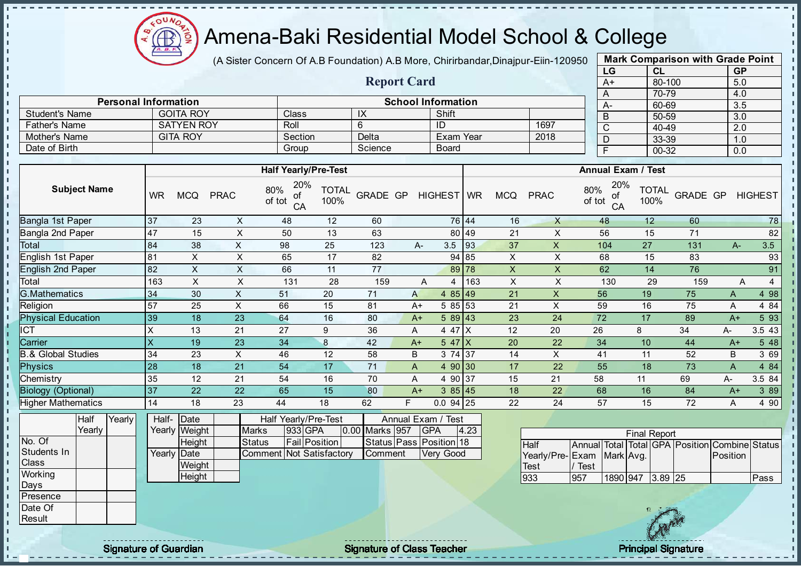

(A Sister Concern Of A.B Foundation) A.B More, Chirirbandar, Dinajpur-Eiin-120950

Report Card

Personal Information and The School Information

Father's Name SATYEN ROY Roll 6 ID 1697 Mother's Name GITA ROY Section Delta Exam Year 2018

Student's Name GOITA ROY Class IX Shift<br>
Father's Name SATYEN ROY Roll 6 ID

Date of Birth Group Science Board

| <b>Mark Comparison with Grade Point</b> |        |           |  |  |  |  |  |  |  |  |  |
|-----------------------------------------|--------|-----------|--|--|--|--|--|--|--|--|--|
| LG                                      | CL     | <b>GP</b> |  |  |  |  |  |  |  |  |  |
| $A+$                                    | 80-100 | 5.0       |  |  |  |  |  |  |  |  |  |
| A                                       | 70-79  | 4.0       |  |  |  |  |  |  |  |  |  |
| A-                                      | 60-69  | 3.5       |  |  |  |  |  |  |  |  |  |
| B                                       | 50-59  | 3.0       |  |  |  |  |  |  |  |  |  |
| С                                       | 40-49  | 2.0       |  |  |  |  |  |  |  |  |  |
| D                                       | 33-39  | 1.0       |  |  |  |  |  |  |  |  |  |
| F                                       | 00-32  | 0.0       |  |  |  |  |  |  |  |  |  |

|                               |                         |               |                           | <b>Half Yearly/Pre-Test</b>      |                      |                |      |                         | <b>Annual Exam / Test</b> |                |                           |               |                 |                      |                                                |          |                |  |  |  |
|-------------------------------|-------------------------|---------------|---------------------------|----------------------------------|----------------------|----------------|------|-------------------------|---------------------------|----------------|---------------------------|---------------|-----------------|----------------------|------------------------------------------------|----------|----------------|--|--|--|
| <b>Subject Name</b>           | <b>WR</b>               | <b>MCQ</b>    | <b>PRAC</b>               | 20%<br>80%<br>of<br>of tot<br>CA | <b>TOTAL</b><br>100% | GRADE GP       |      | HIGHEST WR              |                           | <b>MCQ</b>     | <b>PRAC</b>               | 80%<br>of tot | 20%<br>of<br>CA | <b>TOTAL</b><br>100% | GRADE GP                                       |          | <b>HIGHEST</b> |  |  |  |
| Bangla 1st Paper              | 37                      | 23            | X                         | 48                               | 12                   | 60             |      |                         | 76 44                     | 16             | X                         |               | 48              | 12                   | 60                                             |          | 78             |  |  |  |
| <b>Bangla 2nd Paper</b>       | 47                      | 15            | X                         | 50                               | 13                   | 63             |      |                         | 80 49                     | 21             | X                         |               | 56              | 15                   | 71                                             |          | 82             |  |  |  |
| Total                         | 84                      | 38            | $\pmb{\times}$            | 98                               | 25                   | 123            |      | 3.5<br>$A-$             | 93                        | 37             | X                         |               | 104             | 27                   | 131                                            | $A-$     | 3.5            |  |  |  |
| English 1st Paper             | 81                      | $\mathsf X$   | $\mathsf X$               | 65                               | 17                   | 82             |      |                         | 94 85                     | X              | $\mathsf X$               |               | 68              | 15                   | 83                                             |          | 93             |  |  |  |
| <b>English 2nd Paper</b>      | 82                      | $\mathsf{X}$  | $\boldsymbol{\mathsf{X}}$ | 66                               | 11                   | 77             |      |                         | 89 78                     | $\mathsf X$    | X                         |               | 62              | 14                   | 76                                             |          | 91             |  |  |  |
| Total                         | 163                     | X             | $\pmb{\times}$            | 131                              | 28                   | 159            |      | A<br>$\overline{4}$     | 163                       | $\pmb{\times}$ | X                         |               | 130             | 29                   | 159                                            | Α        | $\overline{a}$ |  |  |  |
| <b>G.Mathematics</b>          | 34                      | 30            | X                         | 51                               | 20                   | 71             | A    | 4 $85$ 49               |                           | 21             | $\boldsymbol{\mathsf{X}}$ |               | 56              | 19                   | 75                                             | A        | 4 98           |  |  |  |
| Religion                      | 57                      | 25            | $\pmb{\times}$            | 66                               | 15                   | 81             | $A+$ | 5 85 53                 |                           | 21             | $\pmb{\times}$            |               | 59              | 16                   | 75                                             | Α        | 4 8 4          |  |  |  |
| <b>Physical Education</b>     | 39                      | 18            | 23                        | 64                               | 16                   | 80             |      | 589 43<br>$A+$          |                           | 23             | 24                        |               | 72              | 17                   | 89                                             | $A+$     | 5 93           |  |  |  |
| ICT                           | $\mathsf X$             | 13            | 21                        | 27                               | 9                    | 36             | A    | 4 47 X                  |                           | 12             | 20                        | 26            |                 | 8                    | 34                                             | А-       | 3.5 43         |  |  |  |
| Carrier                       | $\overline{\mathsf{x}}$ | 19            | 23                        | 34                               | $\bf 8$              | 42             | $A+$ | $547$ $X$               |                           | 20             | 22                        |               | 34              | 10                   | 44                                             | $A+$     | 5 48           |  |  |  |
| <b>B.&amp; Global Studies</b> | 34                      | 23            | X                         | 46                               | 12                   | 58             | B    | 3 74 37                 |                           | 14             | X                         |               | 41              | 11                   | 52                                             | B        | 3 69           |  |  |  |
| <b>Physics</b>                | 28                      | 18            | 21                        | 54                               | 17                   | 71             | A    | 4 90 30                 |                           | 17             | 22                        |               | 55              | 18                   | 73                                             | A        | 4 84           |  |  |  |
| Chemistry                     | 35                      | 12            | 21                        | 54                               | 16                   | 70             | A    | 4 90 37                 |                           | 15             | 21                        | 58            |                 | 11                   | 69                                             | A-       | 3.5 84         |  |  |  |
| <b>Biology (Optional)</b>     | 37                      | 22            | 22                        | 65                               | 15                   | 80             | $A+$ | 385 45                  |                           | 18             | 22                        |               | 68              | 16                   | 84                                             | $A+$     | 3 8 9          |  |  |  |
| <b>Higher Mathematics</b>     | 14                      | 18            | 23                        | 44                               | 18                   | 62             | F.   | $0.094$ 25              |                           | 22             | 24                        |               | 57              | 15                   | 72                                             | Α        | 4 90           |  |  |  |
| Half<br>Yearly                | Half-                   | Date          |                           | Half Yearly/Pre-Test             |                      |                |      | Annual Exam / Test      |                           |                |                           |               |                 |                      |                                                |          |                |  |  |  |
| Yearly                        |                         | Yearly Weight | Marks                     | 933 GPA                          |                      | 0.00 Marks 957 |      | <b>GPA</b>              | 4.23                      |                |                           |               |                 | <b>Final Report</b>  |                                                |          |                |  |  |  |
| No. Of                        |                         | Height        |                           | Fail Position<br><b>Status</b>   |                      |                |      | Status Pass Position 18 |                           |                | Half                      |               |                 |                      | Annual Total Total GPA Position Combine Status |          |                |  |  |  |
| Students In                   | Yearly                  | Date          |                           | Commen                           | t Not Satisfactory   | Comment        |      | Very Good               |                           |                | Yearly/Pre-               | Exam          | Mark Avg.       |                      |                                                | Position |                |  |  |  |
| Class                         |                         | Weight        |                           |                                  |                      |                |      |                         |                           |                | Test                      | / Test        |                 |                      |                                                |          |                |  |  |  |
| Working                       |                         | Height        |                           |                                  |                      |                |      |                         |                           |                | 933                       | 957           |                 | 1890 947 3.89 25     |                                                |          | Pass           |  |  |  |
| Days                          |                         |               |                           |                                  |                      |                |      |                         |                           |                |                           |               |                 |                      |                                                |          |                |  |  |  |
| Presence                      |                         |               |                           |                                  |                      |                |      |                         |                           |                |                           |               |                 |                      |                                                |          |                |  |  |  |
| Date Of                       |                         |               |                           |                                  |                      |                |      |                         |                           |                |                           |               |                 | 18 元 248             |                                                |          |                |  |  |  |

**Result** 

 $\mathbf{I}$ J.  $\mathbf{r}$  $\mathbf{I}$ - II J. - II  $\mathbf{r}$ J. J.

- II

- II  $\mathbf{I}$ J.  $\mathbf{I}$ J.  $\mathbf{I}$  $\mathbf{I}$ ÷.  $\mathbf{I}$ J. п T. T. J. T. J.  $\mathbf{I}$  $\mathbf{I}$  $\mathbf{I}$ **II**  $\mathbf{I}$ J.  $\blacksquare$  $\mathbf{I}$  $\mathbf{I}$  $\mathbf{I}$  $\mathbf{I}$  $\mathbf{r}$  $\mathbf{I}$  $\mathbf{I}$  $\frac{1}{1}$ - II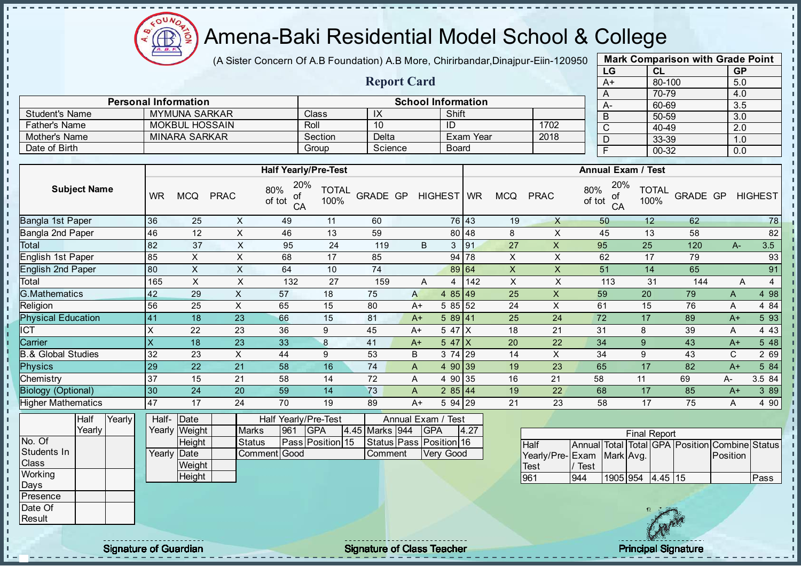

(A Sister Concern Of A.B Foundation) A.B More, Chirirbandar, Dinajpur-Eiin-120950

Report Card

Personal Information and The School Information

Father's Name MOKBUL HOSSAIN Roll 10 ID 1702

Student's Name MYMUNA SARKAR Class IX IX Shift

| <b>Mark Comparison with Grade Point</b><br>LG<br><b>GP</b><br>CL |  |  |  |  |  |  |  |  |  |  |  |  |
|------------------------------------------------------------------|--|--|--|--|--|--|--|--|--|--|--|--|
|                                                                  |  |  |  |  |  |  |  |  |  |  |  |  |
|                                                                  |  |  |  |  |  |  |  |  |  |  |  |  |
|                                                                  |  |  |  |  |  |  |  |  |  |  |  |  |
|                                                                  |  |  |  |  |  |  |  |  |  |  |  |  |
|                                                                  |  |  |  |  |  |  |  |  |  |  |  |  |
|                                                                  |  |  |  |  |  |  |  |  |  |  |  |  |
|                                                                  |  |  |  |  |  |  |  |  |  |  |  |  |
| 33-39<br>1.0<br>$00 - 32$<br>F<br>0.0                            |  |  |  |  |  |  |  |  |  |  |  |  |
|                                                                  |  |  |  |  |  |  |  |  |  |  |  |  |

| Mother's Name                 |                           | <b>MINARA SARKAR</b>  |                |                                  | Section              | Delta                              |               | Exam Year        |     |                | 2018        | D                                         | 33-39                |                                   | 1.0         |                |
|-------------------------------|---------------------------|-----------------------|----------------|----------------------------------|----------------------|------------------------------------|---------------|------------------|-----|----------------|-------------|-------------------------------------------|----------------------|-----------------------------------|-------------|----------------|
| Date of Birth                 |                           |                       |                |                                  | Group                | Science                            |               | <b>Board</b>     |     |                |             | F                                         | 00-32                |                                   | 0.0         |                |
|                               |                           |                       |                |                                  |                      |                                    |               |                  |     |                |             |                                           |                      |                                   |             |                |
|                               |                           |                       |                | <b>Half Yearly/Pre-Test</b>      |                      |                                    |               |                  |     |                |             | Annual Exam / Test                        |                      |                                   |             |                |
| <b>Subject Name</b>           | <b>WR</b>                 | <b>MCQ</b>            | <b>PRAC</b>    | 20%<br>80%<br>οf<br>of tot<br>CA | <b>TOTAL</b><br>100% | GRADE GP                           |               | HIGHEST WR       |     | <b>MCQ</b>     | <b>PRAC</b> | 20%<br>80%<br>of<br>of tot<br>CA          | <b>TOTAL</b><br>100% | GRADE GP                          |             | <b>HIGHEST</b> |
| Bangla 1st Paper              | 36                        | 25                    | X              | 49                               | 11                   | 60                                 |               | 76 43            |     | 19             | X.          | 50                                        | 12 <sup>°</sup>      | 62                                |             | 78             |
| Bangla 2nd Paper              | 46                        | 12                    | X              | 46                               | 13                   | 59                                 |               | 80 48            |     | 8              | X           | 45                                        | 13                   | 58                                |             | 82             |
| Total                         | 82                        | 37                    | X              | 95                               | 24                   | 119                                | B             | 3<br>91          |     | 27             | X           | 95                                        | 25                   | 120                               | $A -$       | 3.5            |
| English 1st Paper             | 85                        | X                     | X              | 68                               | 17                   | 85                                 |               | 94 78            |     | X              | X           | 62                                        | 17                   | 79                                |             | 93             |
| <b>English 2nd Paper</b>      | 80                        | X                     | X              | 64                               | 10                   | 74                                 |               | 89 64            |     | $\mathsf X$    | X           | 51                                        | 14                   | 65                                |             | 91             |
| Total                         | 165                       | X                     | X              | 132                              | 27                   | 159                                | A             | 4                | 142 | $\pmb{\times}$ | X           | 113                                       | 31                   | 144                               | A           | 4              |
| G.Mathematics                 | 42                        | 29                    | $\pmb{\times}$ | 57                               | 18                   | 75                                 | A             | 4 85 49          |     | 25             | X           | 59                                        | 20                   | 79                                | A           | 4 98           |
| Religion                      | 56                        | 25                    | X              | 65                               | 15                   | 80                                 | $A+$          | 5 85 52          |     | 24             | X           | 61                                        | 15                   | 76                                | A           | 4 8 4          |
| <b>Physical Education</b>     | 41                        | 18                    | 23             | 66                               | 15                   | 81                                 | $A+$          | 589 41           |     | 25             | 24          | 72                                        | 17                   | 89                                | $A+$        | 5 93           |
| <b>CT</b>                     | X                         | 22                    | 23             | 36                               | 9                    | 45                                 | $A+$          | 5 47 X           |     | 18             | 21          | 31                                        | 8                    | 39                                | A           | 4 4 3          |
| Carrier                       | $\boldsymbol{\mathsf{X}}$ | 18                    | 23             | 33                               | 8                    | 41                                 | $A+$          | $547$ $X$        |     | 20             | 22          | 34                                        | 9                    | 43                                | $A+$        | 5 48           |
| <b>B.&amp; Global Studies</b> | 32                        | 23                    | X              | 44                               | 9                    | 53                                 | B             | 3 74 29          |     | 14             | X           | 34                                        | 9                    | 43                                | $\mathsf C$ | 2 69           |
| <b>Physics</b>                | 29                        | 22                    | 21             | 58                               | 16                   | 74                                 | A             | 4 90 39          |     | 19             | 23          | 65                                        | 17                   | 82                                | $A+$        | 5 84           |
| Chemistry                     | 37                        | 15                    | 21             | 58                               | 14                   | 72                                 | Α             | 4 90<br> 35      |     | 16             | 21          | 58                                        | 11                   | 69                                | А-          | 3.5 84         |
| <b>Biology (Optional)</b>     | 30                        | 24                    | 20             | 59                               | 14                   | 73                                 | A             | 285 44           |     | 19             | 22          | 68                                        | 17                   | 85                                | $A+$        | 3 8 9          |
| Higher Mathematics            | 47                        | 17                    | 24             | 70                               | 19                   | 89                                 | $A+$          | 5 94 29          |     | 21             | 23          | 58                                        | 17                   | 75                                | A           | 4 90           |
| Half<br>Yearly                | Half-                     | Date                  |                | Half Yearly/Pre-Test             |                      |                                    | Annual Exam / | Test             |     |                |             |                                           |                      |                                   |             |                |
| Yearly                        | Yearly                    | Weight                | <b>Marks</b>   | 961                              | <b>GPA</b>           | 4.45 Marks 944                     | <b>GPA</b>    | 4.27             |     |                |             |                                           | <b>Final Report</b>  |                                   |             |                |
| No. Of<br>Students In         |                           | Height<br>Yearly Date | <b>Status</b>  | <b>Comment</b> Good              | Pass Position 15     | Status Pass Position 16<br>Comment |               | <b>Very Good</b> |     |                | Half        | Annual Total<br>Yearly/Pre-IFxam MarkIAvg |                      | Total GPA Position Combine Status | Position    |                |

| Final Report              |      |                  |  |  |  |                                                |      |  |  |  |  |  |  |
|---------------------------|------|------------------|--|--|--|------------------------------------------------|------|--|--|--|--|--|--|
| <b>Half</b>               |      |                  |  |  |  | Annual Total Total GPA Position Combine Status |      |  |  |  |  |  |  |
| Yearly/Pre-Exam Mark Avg. |      |                  |  |  |  | Position                                       |      |  |  |  |  |  |  |
| <b>Test</b>               | Test |                  |  |  |  |                                                |      |  |  |  |  |  |  |
| 961                       | 944  | 1905 954 4.45 15 |  |  |  |                                                | Pass |  |  |  |  |  |  |
|                           |      |                  |  |  |  |                                                |      |  |  |  |  |  |  |



 $\blacksquare$ 

**Weight Height** 

**Class Working** Days Presence Date Of **Result** 

h. li.  $\mathbf{r}$  $\mathbf{I}$ l<br>L  $\mathbf{I}$ 

h. l n  $\mathbf{I}$  $\mathbf{r}$ - II J.  $\mathbf{I}$ l n  $\mathbf{I}$ l n  $\mathbf{I}$  $\mathbf{I}$ J.  $\mathbf{I}$ J.  $\mathbf{r}$  $\mathbf{I}$  $\mathbf{I}$  $\mathbf{I}$  $\mathbf{I}$  $\mathbf{I}$  $\mathbf{I}$  $\mathbf{L}$  $\mathbf{I}$  $\mathbf{I}$  $\mathbf{I}$  $\mathbf{I}$  $\mathbf{I}$ ÷.  $\mathbf{I}$ a. п п T. J. J.  $\mathbf{I}$  $\mathbf{I}$  $\mathbb T$  $\mathbf{I}$  $\mathbf{I}$  $\mathbf{L}$ h. H.  $\begin{array}{c} 1 \\ 1 \\ 1 \end{array}$ 

Signature of Guardian Signature of Class Teacher Principal Signature of Class Teacher Principal Signature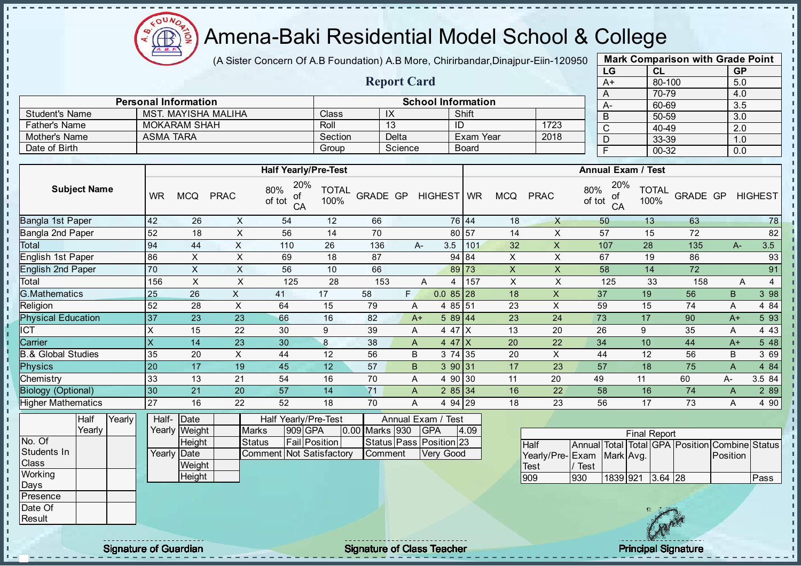

(A Sister Concern Of A.B Foundation) A.B More, Chirirbandar, Dinajpur-Eiin-120950

Report Card

Personal Information and School Information

Father's Name MOKARAM SHAH Roll 13 ID 1723

Student's Name MST. MAYISHA MALIHA Class IX IX Shift

| <b>Mark Comparison with Grade Point</b><br>LG<br><b>GP</b><br>CL |  |  |  |  |  |  |  |  |  |  |  |
|------------------------------------------------------------------|--|--|--|--|--|--|--|--|--|--|--|
|                                                                  |  |  |  |  |  |  |  |  |  |  |  |
|                                                                  |  |  |  |  |  |  |  |  |  |  |  |
|                                                                  |  |  |  |  |  |  |  |  |  |  |  |
|                                                                  |  |  |  |  |  |  |  |  |  |  |  |
|                                                                  |  |  |  |  |  |  |  |  |  |  |  |
|                                                                  |  |  |  |  |  |  |  |  |  |  |  |
|                                                                  |  |  |  |  |  |  |  |  |  |  |  |
|                                                                  |  |  |  |  |  |  |  |  |  |  |  |
|                                                                  |  |  |  |  |  |  |  |  |  |  |  |

| <b>Mother's Name</b>          |           | ASMA TARA      |                         |                                                                   | Section              |                 | Delta     |            |                                             | Exam Year    |                           | 2018                    |               | D                  |                     | 33-39        |          | 1.0         |                                         |
|-------------------------------|-----------|----------------|-------------------------|-------------------------------------------------------------------|----------------------|-----------------|-----------|------------|---------------------------------------------|--------------|---------------------------|-------------------------|---------------|--------------------|---------------------|--------------|----------|-------------|-----------------------------------------|
| Date of Birth                 |           |                |                         |                                                                   | Group                |                 | Science   |            |                                             | <b>Board</b> |                           |                         |               | F                  |                     | $00 - 32$    |          | 0.0         |                                         |
|                               |           |                |                         |                                                                   |                      |                 |           |            |                                             |              |                           |                         |               |                    |                     |              |          |             |                                         |
|                               |           |                |                         | <b>Half Yearly/Pre-Test</b>                                       |                      |                 |           |            |                                             |              |                           |                         |               | Annual Exam / Test |                     |              |          |             |                                         |
| <b>Subject Name</b>           | <b>WR</b> | <b>MCQ</b>     | <b>PRAC</b>             | 20%<br>80%<br>οf<br>of tot<br>CA                                  | <b>TOTAL</b><br>100% | <b>GRADE GP</b> |           |            | HIGHEST WR                                  |              | <b>MCQ</b>                | <b>PRAC</b>             | 80%<br>of tot | 20%<br>οf<br>CA    | 100%                | <b>TOTAL</b> | GRADE GP |             | <b>HIGHEST</b>                          |
| Bangla 1st Paper              | 42        | 26             | X                       | 54                                                                | 12                   | 66              |           |            |                                             | 76 44        | 18                        | X                       |               | 50                 | 13                  |              | 63       |             | 78                                      |
| Bangla 2nd Paper              | 52        | 18             | X                       | 56                                                                | 14                   | 70              |           |            | 80 57                                       |              | 14                        | X                       |               | 57                 | 15                  |              | 72       |             | 82                                      |
| <b>Total</b>                  | 94        | 44             | X                       | 110                                                               | 26                   | 136             |           | $A-$       | 3.5                                         | 101          | 32                        | X                       |               | 107                | 28                  |              | 135      | $A-$        | 3.5                                     |
| English 1st Paper             | 86        | X              | $\sf X$                 | 69                                                                | 18                   | 87              |           |            |                                             | 94 84        | X                         | X                       |               | 67                 | 19                  |              | 86       |             | 93                                      |
| English 2nd Paper             | 70        | Χ              | X                       | 56                                                                | 10                   | 66              |           |            | 89 73                                       |              | $\boldsymbol{\mathsf{X}}$ | X                       |               | 58                 | 14                  |              | 72       |             | 91                                      |
| Total                         | 156       | X              | X                       | 125                                                               | 28                   | 153             |           | A          | 4                                           | 157          | $\pmb{\times}$            | X                       |               | 125                | 33                  |              | 158      |             | Α<br>$\overline{4}$                     |
| <b>G.Mathematics</b>          | 25        | 26             | X                       | 41                                                                | 17                   | 58              | F.        |            | $0.085$ 28                                  |              | 18                        | $\mathsf{X}$            |               | 37                 | 19                  |              | 56       | $\mathsf B$ | 3 98                                    |
| Religion                      | 52        | 28             | X                       | 64                                                                | 15                   | 79              |           | Α          | 4 85 51                                     |              | 23                        | X                       |               | 59                 | 15                  |              | 74       | Α           | 4 84                                    |
| <b>Physical Education</b>     | 37        | 23             | 23                      | 66                                                                | 16                   | 82              |           | $A+$       | 589 44                                      |              | 23                        | 24                      |               | 73                 | 17                  |              | 90       | $A+$        | 5 93                                    |
| $\overline{\text{CT}}$        | X         | 15             | 22                      | 30                                                                | 9                    | 39              |           | A          | 4 47 X                                      |              | 13                        | 20                      |               | 26                 | 9                   |              | 35       | A           | 4 4 3                                   |
| Carrier                       | X         | 14             | 23                      | 30                                                                | 8                    | 38              |           | A          | 4 47 $\mid$ X                               |              | 20                        | 22                      |               | 34                 | 10                  |              | 44       | $A+$        | 5 48                                    |
| <b>B.&amp; Global Studies</b> | 35        | 20             | $\overline{\mathsf{X}}$ | 44                                                                | 12                   | 56              |           | B          | 3 74 35                                     |              | 20                        | X                       |               | 44                 | 12                  |              | 56       | B           | 3 69                                    |
| <b>Physics</b>                | 20        | 17             | 19                      | 45                                                                | 12                   | 57              |           | B.         | 3 90 31                                     |              | 17                        | 23                      |               | 57                 | 18                  |              | 75       | A           | 4 84                                    |
| Chemistry                     | 33        | 13             | 21                      | 54                                                                | 16                   | 70              |           | Α          | 4 90 30                                     |              | 11                        | 20                      | 49            |                    | 11                  |              | 60       | A-          | 3.5 84                                  |
| <b>Biology (Optional)</b>     | 30        | 21             | 20                      | 57                                                                | 14                   | 71              |           | A          | 285 34                                      |              | 16                        | 22                      |               | 58                 | 16                  |              | 74       | A           | 2 8 9                                   |
| <b>Higher Mathematics</b>     | 27        | 16             | 22                      | 52                                                                | 18                   | 70              |           | A          | 4 94 29                                     |              | 18                        | 23                      |               | 56                 | 17                  |              | 73       | Α           | 4 90                                    |
| Half<br>Yearly                | Half-     | Date           |                         | Half Yearly/Pre-Test                                              |                      |                 |           |            | Annual Exam / Test                          |              |                           |                         |               |                    |                     |              |          |             |                                         |
| Yearly                        |           | Yearly Weight  |                         | 909 GPA<br><b>Marks</b>                                           | 0.00                 |                 | Marks 930 | <b>GPA</b> |                                             | 4.09         |                           |                         |               |                    | <b>Final Report</b> |              |          |             |                                         |
| No. Of<br>Students In         | Yearly    | Height<br>Date |                         | Fail Position<br><b>Status</b><br><b>Comment Not Satisfactory</b> |                      |                 | Comment   |            | Status Pass Position 23<br><b>Very Good</b> |              |                           | Half<br>Yearly/Pre-Exam | Annual        | Mark Avg.          |                     |              |          | Position    | Total Total GPA Position Combine Status |
| Class                         |           | Weight         |                         |                                                                   |                      |                 |           |            |                                             |              |                           | <b>Test</b>             | Test          |                    |                     |              |          |             |                                         |
| Working                       |           | Height         |                         |                                                                   |                      |                 |           |            |                                             |              |                           | 909                     | 930           |                    | 1839 921 364 28     |              |          |             | <b>Pass</b>                             |



Days Presence Date Of Result

J. J.  $\mathbf{r}$ - II - II - II - II

J. - II J.  $\mathbf{r}$ J. -8 J. a. п п T. J. J. - II  $\mathbf{I}$ - II  $\blacksquare$ 

 $\mathbf{I}$  $\mathbf{u}$  $\mathbf{I}$ l ni  $\mathbf{I}$  $\mathbf{u}$  $\mathbf{r}$ 

J.  $\mathbf{I}$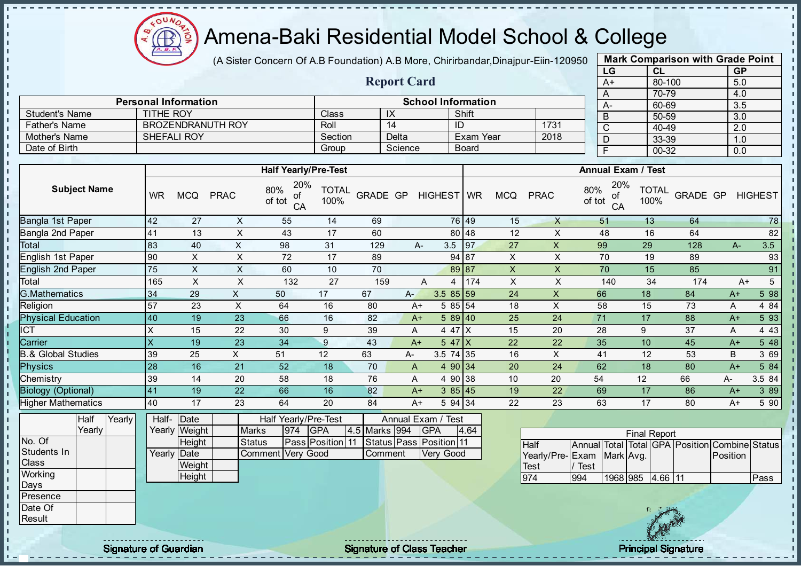$QUN$  $\textcircled{\tiny{f}}$ 

## Amena-Baki Residential Model School & College

(A Sister Concern Of A.B Foundation) A.B More, Chirirbandar, Dinajpur-Eiin-120950

Report Card

Personal Information<br>
TITHE ROY Class IX Shift

Father's Name BROZENDRANUTH ROY Roll 14 ID 1731<br>
Mother's Name SHEFALI ROY Section Delta Exam Year 2018

Student's Name TITHE ROY Class IX Shift<br>
Father's Name BROZENDRANUTH ROY Roll 14 ID

Mother's Name SHEFALI ROY Section Delta Exam Year 2018

| <b>Mark Comparison with Grade Point</b> |        |           |  |  |  |  |  |  |  |  |  |
|-----------------------------------------|--------|-----------|--|--|--|--|--|--|--|--|--|
| LG                                      | CL     | <b>GP</b> |  |  |  |  |  |  |  |  |  |
| $A+$                                    | 80-100 | 5.0       |  |  |  |  |  |  |  |  |  |
| A                                       | 70-79  | 4.0       |  |  |  |  |  |  |  |  |  |
| A-                                      | 60-69  | 3.5       |  |  |  |  |  |  |  |  |  |
| B                                       | 50-59  | 3.0       |  |  |  |  |  |  |  |  |  |
| C                                       | 40-49  | 2.0       |  |  |  |  |  |  |  |  |  |
| D                                       | 33-39  | 1.0       |  |  |  |  |  |  |  |  |  |
| F                                       | 00-32  | 0.0       |  |  |  |  |  |  |  |  |  |
|                                         |        |           |  |  |  |  |  |  |  |  |  |

п

 $\mathbf{I}$ r.

п

J.

h,

| <b>Half Yearly/Pre-Test</b><br><b>Annual Exam / Test</b><br>20%<br>20%<br><b>Subject Name</b><br>80%<br>80%<br><b>TOTAL</b><br><b>TOTAL</b><br><b>GRADE GP</b><br>HIGHEST WR<br>GRADE GP<br><b>HIGHEST</b><br><b>WR</b><br><b>MCQ</b><br><b>PRAC</b><br><b>MCQ</b><br><b>PRAC</b><br>οf<br>ot<br>of tot<br>of tot<br>100%<br>100%<br>CA<br>CA<br>Bangla 1st Paper<br>42<br>69<br>76 49<br>64<br>27<br>X<br>55<br>14<br>15<br>$\mathsf{X}$<br>51<br>13<br>Bangla 2nd Paper<br>82<br>41<br>X<br>17<br>80 48<br>12<br>X<br>16<br>13<br>43<br>60<br>48<br>64<br>83<br>$\pmb{\times}$<br>3.5<br>97<br>$\boldsymbol{\mathsf{X}}$<br>99<br>29<br>3.5<br>40<br>98<br>31<br>27<br>128<br>129<br>A-<br>A-<br>English 1st Paper<br>90<br>$\times$<br>$\mathsf X$<br>94 87<br>$\pmb{\times}$<br>$\pmb{\times}$<br>93<br>72<br>17<br>89<br>70<br>19<br>89<br>English 2nd Paper<br>Total<br>$\mathsf{X}$<br>75<br>70<br>$\pmb{\mathsf{X}}$<br>X<br>10<br>89 87<br>X<br>70<br>85<br>91<br>60<br>15<br>$\boldsymbol{\mathsf{X}}$<br>$5\overline{)}$<br>165<br>$\sf X$<br>$\boldsymbol{\mathsf{X}}$<br>$\pmb{\times}$<br>34<br>174<br>27<br>159<br>174<br>140<br>132<br>A<br>$A+$<br>4<br>G.Mathematics<br>598<br>$\mathsf{X}$<br>34<br>29<br>17<br>67<br>$3.585$ 59<br>24<br>X<br>66<br>18<br>84<br>50<br>A-<br>$A+$<br>57<br>X<br>5 85 54<br>X<br>4 8 4<br>23<br>64<br>16<br>80<br>18<br>58<br>73<br>$A+$<br>15<br>Α<br><b>Physical Education</b><br>5 9 3<br>19<br>23<br>25<br>17<br>40<br>66<br>16<br>82<br>589 40<br>24<br>71<br>88<br>$A+$<br>$A+$<br>4 4 3<br>$\pmb{\times}$<br>22<br>30<br>9<br>39<br>4 4 7 $\mid$ X<br>15<br>20<br>28<br>9<br>37<br>15<br>A<br>Α<br>$\mathsf{\overline{x}}$<br>23<br>$\boldsymbol{9}$<br>10<br>5 48<br>19<br>34<br>43<br>$547$ $X$<br>22<br>22<br>35<br>45<br>$A+$<br>$A+$<br><b>B.&amp; Global Studies</b><br>3 6 9<br>39<br>25<br>X<br>51<br>12<br>63<br>3.5 74 35<br>16<br>X<br>12<br>53<br>А-<br>41<br>B<br><b>Physics</b><br>28<br>16<br>21<br>52<br>4 90 34<br>62<br>80<br>5 84<br>18<br>70<br>20<br>24<br>18<br>$\mathsf{A}$<br>$A+$<br>39<br>4 90 38<br>3.5 84<br>20<br>18<br>76<br>20<br>54<br>12<br>66<br>14<br>58<br>10<br>A<br>А-<br><b>Biology (Optional)</b><br>41<br>19<br>22<br>66<br>16<br>82<br>22<br>69<br>17<br>86<br>3 8 9<br>385 45<br>19<br>$A+$<br>$A+$<br><b>Higher Mathematics</b><br>40<br>20<br>5 94 34<br>22<br>17<br>5 90<br>17<br>23<br>64<br>84<br>23<br>63<br>80<br>$A+$<br>$A+$<br>Yearly<br>Half<br>Date<br>Annual Exam / Test<br>Half-<br>Half Yearly/Pre-Test<br>Yearly<br>974<br><b>GPA</b><br>4.5 Marks 994<br>GPA<br>4.64<br>Yearly Weight<br><b>Marks</b><br><b>Final Report</b><br>Pass Position 11<br>Status Pass Position 11<br>Height<br><b>Status</b><br><b>Half</b><br>Students In<br>Yearly Date<br>Comment Very Good<br>Very Good<br>Comment<br>Yearly/Pre-Exam<br>Mark Avg.<br>Position<br>Class<br>Weight<br>/ Test<br><b>Test</b><br>Working<br>Height<br>974<br>1968 985<br>$4.66$ 11<br>994<br>Pass<br>Days<br>Presence<br>Date Of<br>$\sqrt{2}$ | Date of Birth |  |  |  | Group | Science |  | <b>Board</b> |  | $\overline{F}$ | $00 - 32$ | 0.0 |  |
|--------------------------------------------------------------------------------------------------------------------------------------------------------------------------------------------------------------------------------------------------------------------------------------------------------------------------------------------------------------------------------------------------------------------------------------------------------------------------------------------------------------------------------------------------------------------------------------------------------------------------------------------------------------------------------------------------------------------------------------------------------------------------------------------------------------------------------------------------------------------------------------------------------------------------------------------------------------------------------------------------------------------------------------------------------------------------------------------------------------------------------------------------------------------------------------------------------------------------------------------------------------------------------------------------------------------------------------------------------------------------------------------------------------------------------------------------------------------------------------------------------------------------------------------------------------------------------------------------------------------------------------------------------------------------------------------------------------------------------------------------------------------------------------------------------------------------------------------------------------------------------------------------------------------------------------------------------------------------------------------------------------------------------------------------------------------------------------------------------------------------------------------------------------------------------------------------------------------------------------------------------------------------------------------------------------------------------------------------------------------------------------------------------------------------------------------------------------------------------------------------------------------------------------------------------------------------------------------------------------------------------------------------------------------------------------------------------------------------------------------------------------------------------------------------------------------------------------------------------------------------------------------------------------------------------------------------------------------------------------------------------------------------------|---------------|--|--|--|-------|---------|--|--------------|--|----------------|-----------|-----|--|
|                                                                                                                                                                                                                                                                                                                                                                                                                                                                                                                                                                                                                                                                                                                                                                                                                                                                                                                                                                                                                                                                                                                                                                                                                                                                                                                                                                                                                                                                                                                                                                                                                                                                                                                                                                                                                                                                                                                                                                                                                                                                                                                                                                                                                                                                                                                                                                                                                                                                                                                                                                                                                                                                                                                                                                                                                                                                                                                                                                                                                                |               |  |  |  |       |         |  |              |  |                |           |     |  |
| 78<br>Annual Total Total GPA Position Combine Status                                                                                                                                                                                                                                                                                                                                                                                                                                                                                                                                                                                                                                                                                                                                                                                                                                                                                                                                                                                                                                                                                                                                                                                                                                                                                                                                                                                                                                                                                                                                                                                                                                                                                                                                                                                                                                                                                                                                                                                                                                                                                                                                                                                                                                                                                                                                                                                                                                                                                                                                                                                                                                                                                                                                                                                                                                                                                                                                                                           |               |  |  |  |       |         |  |              |  |                |           |     |  |
|                                                                                                                                                                                                                                                                                                                                                                                                                                                                                                                                                                                                                                                                                                                                                                                                                                                                                                                                                                                                                                                                                                                                                                                                                                                                                                                                                                                                                                                                                                                                                                                                                                                                                                                                                                                                                                                                                                                                                                                                                                                                                                                                                                                                                                                                                                                                                                                                                                                                                                                                                                                                                                                                                                                                                                                                                                                                                                                                                                                                                                |               |  |  |  |       |         |  |              |  |                |           |     |  |
|                                                                                                                                                                                                                                                                                                                                                                                                                                                                                                                                                                                                                                                                                                                                                                                                                                                                                                                                                                                                                                                                                                                                                                                                                                                                                                                                                                                                                                                                                                                                                                                                                                                                                                                                                                                                                                                                                                                                                                                                                                                                                                                                                                                                                                                                                                                                                                                                                                                                                                                                                                                                                                                                                                                                                                                                                                                                                                                                                                                                                                |               |  |  |  |       |         |  |              |  |                |           |     |  |
|                                                                                                                                                                                                                                                                                                                                                                                                                                                                                                                                                                                                                                                                                                                                                                                                                                                                                                                                                                                                                                                                                                                                                                                                                                                                                                                                                                                                                                                                                                                                                                                                                                                                                                                                                                                                                                                                                                                                                                                                                                                                                                                                                                                                                                                                                                                                                                                                                                                                                                                                                                                                                                                                                                                                                                                                                                                                                                                                                                                                                                |               |  |  |  |       |         |  |              |  |                |           |     |  |
|                                                                                                                                                                                                                                                                                                                                                                                                                                                                                                                                                                                                                                                                                                                                                                                                                                                                                                                                                                                                                                                                                                                                                                                                                                                                                                                                                                                                                                                                                                                                                                                                                                                                                                                                                                                                                                                                                                                                                                                                                                                                                                                                                                                                                                                                                                                                                                                                                                                                                                                                                                                                                                                                                                                                                                                                                                                                                                                                                                                                                                | Total         |  |  |  |       |         |  |              |  |                |           |     |  |
|                                                                                                                                                                                                                                                                                                                                                                                                                                                                                                                                                                                                                                                                                                                                                                                                                                                                                                                                                                                                                                                                                                                                                                                                                                                                                                                                                                                                                                                                                                                                                                                                                                                                                                                                                                                                                                                                                                                                                                                                                                                                                                                                                                                                                                                                                                                                                                                                                                                                                                                                                                                                                                                                                                                                                                                                                                                                                                                                                                                                                                |               |  |  |  |       |         |  |              |  |                |           |     |  |
|                                                                                                                                                                                                                                                                                                                                                                                                                                                                                                                                                                                                                                                                                                                                                                                                                                                                                                                                                                                                                                                                                                                                                                                                                                                                                                                                                                                                                                                                                                                                                                                                                                                                                                                                                                                                                                                                                                                                                                                                                                                                                                                                                                                                                                                                                                                                                                                                                                                                                                                                                                                                                                                                                                                                                                                                                                                                                                                                                                                                                                |               |  |  |  |       |         |  |              |  |                |           |     |  |
|                                                                                                                                                                                                                                                                                                                                                                                                                                                                                                                                                                                                                                                                                                                                                                                                                                                                                                                                                                                                                                                                                                                                                                                                                                                                                                                                                                                                                                                                                                                                                                                                                                                                                                                                                                                                                                                                                                                                                                                                                                                                                                                                                                                                                                                                                                                                                                                                                                                                                                                                                                                                                                                                                                                                                                                                                                                                                                                                                                                                                                |               |  |  |  |       |         |  |              |  |                |           |     |  |
|                                                                                                                                                                                                                                                                                                                                                                                                                                                                                                                                                                                                                                                                                                                                                                                                                                                                                                                                                                                                                                                                                                                                                                                                                                                                                                                                                                                                                                                                                                                                                                                                                                                                                                                                                                                                                                                                                                                                                                                                                                                                                                                                                                                                                                                                                                                                                                                                                                                                                                                                                                                                                                                                                                                                                                                                                                                                                                                                                                                                                                |               |  |  |  |       |         |  |              |  |                |           |     |  |
|                                                                                                                                                                                                                                                                                                                                                                                                                                                                                                                                                                                                                                                                                                                                                                                                                                                                                                                                                                                                                                                                                                                                                                                                                                                                                                                                                                                                                                                                                                                                                                                                                                                                                                                                                                                                                                                                                                                                                                                                                                                                                                                                                                                                                                                                                                                                                                                                                                                                                                                                                                                                                                                                                                                                                                                                                                                                                                                                                                                                                                | Religion      |  |  |  |       |         |  |              |  |                |           |     |  |
|                                                                                                                                                                                                                                                                                                                                                                                                                                                                                                                                                                                                                                                                                                                                                                                                                                                                                                                                                                                                                                                                                                                                                                                                                                                                                                                                                                                                                                                                                                                                                                                                                                                                                                                                                                                                                                                                                                                                                                                                                                                                                                                                                                                                                                                                                                                                                                                                                                                                                                                                                                                                                                                                                                                                                                                                                                                                                                                                                                                                                                |               |  |  |  |       |         |  |              |  |                |           |     |  |
|                                                                                                                                                                                                                                                                                                                                                                                                                                                                                                                                                                                                                                                                                                                                                                                                                                                                                                                                                                                                                                                                                                                                                                                                                                                                                                                                                                                                                                                                                                                                                                                                                                                                                                                                                                                                                                                                                                                                                                                                                                                                                                                                                                                                                                                                                                                                                                                                                                                                                                                                                                                                                                                                                                                                                                                                                                                                                                                                                                                                                                | <b>ICT</b>    |  |  |  |       |         |  |              |  |                |           |     |  |
|                                                                                                                                                                                                                                                                                                                                                                                                                                                                                                                                                                                                                                                                                                                                                                                                                                                                                                                                                                                                                                                                                                                                                                                                                                                                                                                                                                                                                                                                                                                                                                                                                                                                                                                                                                                                                                                                                                                                                                                                                                                                                                                                                                                                                                                                                                                                                                                                                                                                                                                                                                                                                                                                                                                                                                                                                                                                                                                                                                                                                                | Carrier       |  |  |  |       |         |  |              |  |                |           |     |  |
|                                                                                                                                                                                                                                                                                                                                                                                                                                                                                                                                                                                                                                                                                                                                                                                                                                                                                                                                                                                                                                                                                                                                                                                                                                                                                                                                                                                                                                                                                                                                                                                                                                                                                                                                                                                                                                                                                                                                                                                                                                                                                                                                                                                                                                                                                                                                                                                                                                                                                                                                                                                                                                                                                                                                                                                                                                                                                                                                                                                                                                |               |  |  |  |       |         |  |              |  |                |           |     |  |
|                                                                                                                                                                                                                                                                                                                                                                                                                                                                                                                                                                                                                                                                                                                                                                                                                                                                                                                                                                                                                                                                                                                                                                                                                                                                                                                                                                                                                                                                                                                                                                                                                                                                                                                                                                                                                                                                                                                                                                                                                                                                                                                                                                                                                                                                                                                                                                                                                                                                                                                                                                                                                                                                                                                                                                                                                                                                                                                                                                                                                                |               |  |  |  |       |         |  |              |  |                |           |     |  |
|                                                                                                                                                                                                                                                                                                                                                                                                                                                                                                                                                                                                                                                                                                                                                                                                                                                                                                                                                                                                                                                                                                                                                                                                                                                                                                                                                                                                                                                                                                                                                                                                                                                                                                                                                                                                                                                                                                                                                                                                                                                                                                                                                                                                                                                                                                                                                                                                                                                                                                                                                                                                                                                                                                                                                                                                                                                                                                                                                                                                                                | Chemistry     |  |  |  |       |         |  |              |  |                |           |     |  |
|                                                                                                                                                                                                                                                                                                                                                                                                                                                                                                                                                                                                                                                                                                                                                                                                                                                                                                                                                                                                                                                                                                                                                                                                                                                                                                                                                                                                                                                                                                                                                                                                                                                                                                                                                                                                                                                                                                                                                                                                                                                                                                                                                                                                                                                                                                                                                                                                                                                                                                                                                                                                                                                                                                                                                                                                                                                                                                                                                                                                                                |               |  |  |  |       |         |  |              |  |                |           |     |  |
|                                                                                                                                                                                                                                                                                                                                                                                                                                                                                                                                                                                                                                                                                                                                                                                                                                                                                                                                                                                                                                                                                                                                                                                                                                                                                                                                                                                                                                                                                                                                                                                                                                                                                                                                                                                                                                                                                                                                                                                                                                                                                                                                                                                                                                                                                                                                                                                                                                                                                                                                                                                                                                                                                                                                                                                                                                                                                                                                                                                                                                |               |  |  |  |       |         |  |              |  |                |           |     |  |
|                                                                                                                                                                                                                                                                                                                                                                                                                                                                                                                                                                                                                                                                                                                                                                                                                                                                                                                                                                                                                                                                                                                                                                                                                                                                                                                                                                                                                                                                                                                                                                                                                                                                                                                                                                                                                                                                                                                                                                                                                                                                                                                                                                                                                                                                                                                                                                                                                                                                                                                                                                                                                                                                                                                                                                                                                                                                                                                                                                                                                                |               |  |  |  |       |         |  |              |  |                |           |     |  |
|                                                                                                                                                                                                                                                                                                                                                                                                                                                                                                                                                                                                                                                                                                                                                                                                                                                                                                                                                                                                                                                                                                                                                                                                                                                                                                                                                                                                                                                                                                                                                                                                                                                                                                                                                                                                                                                                                                                                                                                                                                                                                                                                                                                                                                                                                                                                                                                                                                                                                                                                                                                                                                                                                                                                                                                                                                                                                                                                                                                                                                | No. Of        |  |  |  |       |         |  |              |  |                |           |     |  |
|                                                                                                                                                                                                                                                                                                                                                                                                                                                                                                                                                                                                                                                                                                                                                                                                                                                                                                                                                                                                                                                                                                                                                                                                                                                                                                                                                                                                                                                                                                                                                                                                                                                                                                                                                                                                                                                                                                                                                                                                                                                                                                                                                                                                                                                                                                                                                                                                                                                                                                                                                                                                                                                                                                                                                                                                                                                                                                                                                                                                                                |               |  |  |  |       |         |  |              |  |                |           |     |  |
|                                                                                                                                                                                                                                                                                                                                                                                                                                                                                                                                                                                                                                                                                                                                                                                                                                                                                                                                                                                                                                                                                                                                                                                                                                                                                                                                                                                                                                                                                                                                                                                                                                                                                                                                                                                                                                                                                                                                                                                                                                                                                                                                                                                                                                                                                                                                                                                                                                                                                                                                                                                                                                                                                                                                                                                                                                                                                                                                                                                                                                |               |  |  |  |       |         |  |              |  |                |           |     |  |
|                                                                                                                                                                                                                                                                                                                                                                                                                                                                                                                                                                                                                                                                                                                                                                                                                                                                                                                                                                                                                                                                                                                                                                                                                                                                                                                                                                                                                                                                                                                                                                                                                                                                                                                                                                                                                                                                                                                                                                                                                                                                                                                                                                                                                                                                                                                                                                                                                                                                                                                                                                                                                                                                                                                                                                                                                                                                                                                                                                                                                                |               |  |  |  |       |         |  |              |  |                |           |     |  |
|                                                                                                                                                                                                                                                                                                                                                                                                                                                                                                                                                                                                                                                                                                                                                                                                                                                                                                                                                                                                                                                                                                                                                                                                                                                                                                                                                                                                                                                                                                                                                                                                                                                                                                                                                                                                                                                                                                                                                                                                                                                                                                                                                                                                                                                                                                                                                                                                                                                                                                                                                                                                                                                                                                                                                                                                                                                                                                                                                                                                                                |               |  |  |  |       |         |  |              |  |                |           |     |  |
|                                                                                                                                                                                                                                                                                                                                                                                                                                                                                                                                                                                                                                                                                                                                                                                                                                                                                                                                                                                                                                                                                                                                                                                                                                                                                                                                                                                                                                                                                                                                                                                                                                                                                                                                                                                                                                                                                                                                                                                                                                                                                                                                                                                                                                                                                                                                                                                                                                                                                                                                                                                                                                                                                                                                                                                                                                                                                                                                                                                                                                |               |  |  |  |       |         |  |              |  |                |           |     |  |
|                                                                                                                                                                                                                                                                                                                                                                                                                                                                                                                                                                                                                                                                                                                                                                                                                                                                                                                                                                                                                                                                                                                                                                                                                                                                                                                                                                                                                                                                                                                                                                                                                                                                                                                                                                                                                                                                                                                                                                                                                                                                                                                                                                                                                                                                                                                                                                                                                                                                                                                                                                                                                                                                                                                                                                                                                                                                                                                                                                                                                                | Result        |  |  |  |       |         |  |              |  |                |           |     |  |

п J. -f

- n  $\mathbf{I}$ 

- II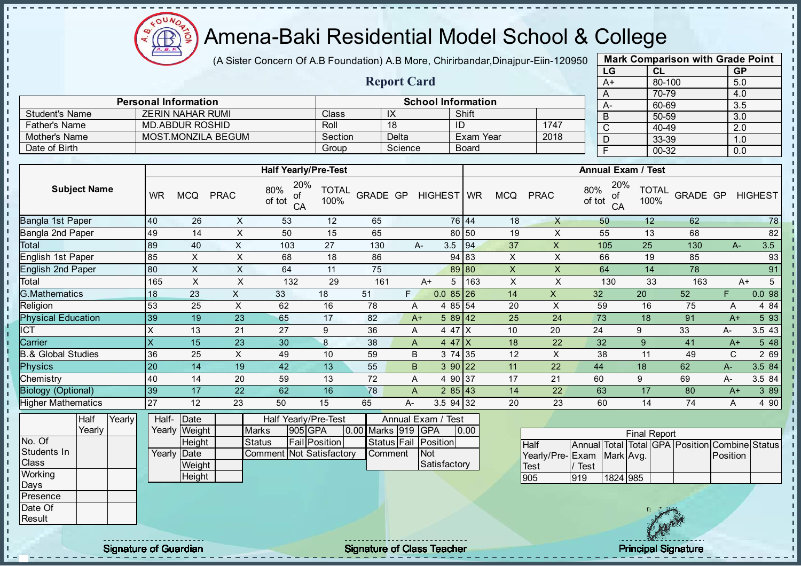

J. - II

J.

J.

 $\blacksquare$ -8 a. п

п J. J. J. - II  $\mathbf{r}$ J.

 $\blacksquare$ **II**  $\blacksquare$ J.  $\blacksquare$  $\mathbf{I}$  $\mathbf{I}$ 

 $\mathbf{I}$ 

 $\mathbf{u}$  $\mathbf{I}$ - II л

#### Amena-Baki Residential Model School & College

(A Sister Concern Of A.B Foundation) A.B More, Chirirbandar, Dinajpur-Eiin-120950

Report Card

Personal Information School Information

Father's Name MD.ABDUR ROSHID ROSHIN ROLL 18 ID 1747<br>
Mother's Name MOST.MONZILA BEGUM Section Delta Exam Year 2018

Student's Name <br>
Trather's Name MD.ABDUR ROSHID ROU Roll 18 ID

Mother's Name MOST.MONZILA BEGUM Section Delta Exam Year Date of Birth Group Science Board

| <b>Mark Comparison with Grade Point</b> |        |           |  |  |  |  |  |  |  |  |
|-----------------------------------------|--------|-----------|--|--|--|--|--|--|--|--|
| LG                                      | CL     | <b>GP</b> |  |  |  |  |  |  |  |  |
| $A+$                                    | 80-100 | 5.0       |  |  |  |  |  |  |  |  |
| A                                       | 70-79  | 4.0       |  |  |  |  |  |  |  |  |
| А-                                      | 60-69  | 3.5       |  |  |  |  |  |  |  |  |
| B                                       | 50-59  | 3.0       |  |  |  |  |  |  |  |  |
| C                                       | 40-49  | 2.0       |  |  |  |  |  |  |  |  |
| D                                       | 33-39  | 1.0       |  |  |  |  |  |  |  |  |
| F                                       | 00-32  | 0.0       |  |  |  |  |  |  |  |  |
|                                         |        |           |  |  |  |  |  |  |  |  |

 $\mathbf{I}$ 

л h,

 $\mathbf{I}$ 

 $\mathbf{I}$ 

| <b>Subject Name</b> | <b>WR</b> | <b>MCQ</b>                 |                                     | 20%<br>80%<br>οf<br>of tot<br>CA                                             | <b>TOTAL</b><br>100%                |                                                                                                    |                                             |                        |                                                                                                                   | <b>MCQ</b>                                                                                                                                                                                                                             | <b>PRAC</b>        | 80%                                               | 20%<br>οf<br>CA                       | <b>TOTAL</b><br>100%                                                                             |                                                                                |                                 | <b>HIGHEST</b>                                                    |
|---------------------|-----------|----------------------------|-------------------------------------|------------------------------------------------------------------------------|-------------------------------------|----------------------------------------------------------------------------------------------------|---------------------------------------------|------------------------|-------------------------------------------------------------------------------------------------------------------|----------------------------------------------------------------------------------------------------------------------------------------------------------------------------------------------------------------------------------------|--------------------|---------------------------------------------------|---------------------------------------|--------------------------------------------------------------------------------------------------|--------------------------------------------------------------------------------|---------------------------------|-------------------------------------------------------------------|
|                     | 40        | 26                         | $\pmb{\times}$                      | 53                                                                           | 12                                  | 65                                                                                                 |                                             |                        |                                                                                                                   | 18                                                                                                                                                                                                                                     | $\mathsf{X}$       |                                                   |                                       | 12                                                                                               | 62                                                                             |                                 | 78                                                                |
|                     | 49        | 14                         | $\pmb{\times}$                      | 50                                                                           | 15                                  | 65                                                                                                 |                                             |                        |                                                                                                                   | 19                                                                                                                                                                                                                                     | X                  |                                                   |                                       | 13                                                                                               | 68                                                                             |                                 | 82                                                                |
|                     | 89        | 40                         | $\mathsf X$                         | 103                                                                          | 27                                  | 130                                                                                                |                                             |                        |                                                                                                                   | 37                                                                                                                                                                                                                                     | $\pmb{\mathsf{X}}$ |                                                   |                                       | 25                                                                                               | 130                                                                            | $A -$                           | 3.5                                                               |
|                     | 85        | X                          | $\pmb{\times}$                      | 68                                                                           | 18                                  | 86                                                                                                 |                                             |                        |                                                                                                                   | X                                                                                                                                                                                                                                      | $\pmb{\times}$     |                                                   |                                       | 19                                                                                               | 85                                                                             |                                 | 93                                                                |
|                     | 80        | $\pmb{\times}$             | $\mathsf X$                         | 64                                                                           | 11                                  | 75                                                                                                 |                                             |                        |                                                                                                                   | $\boldsymbol{\mathsf{X}}$                                                                                                                                                                                                              | $\pmb{\times}$     |                                                   |                                       | 14                                                                                               | 78                                                                             |                                 | 91                                                                |
|                     | 165       |                            | $\mathsf X$                         | 132                                                                          | 29                                  | 161                                                                                                |                                             | 5<br>$A+$              |                                                                                                                   | $\mathsf X$                                                                                                                                                                                                                            | $\mathsf X$        |                                                   |                                       | 33                                                                                               | 163                                                                            |                                 | $5\phantom{.0}$                                                   |
|                     | 18        | 23                         | $\mathsf{X}$                        | 33                                                                           | 18                                  | 51                                                                                                 | F.                                          |                        |                                                                                                                   | 14                                                                                                                                                                                                                                     | $\mathsf{X}$       | 32                                                |                                       |                                                                                                  | 52                                                                             | F.                              | 0.098                                                             |
|                     |           | 25                         |                                     | 62                                                                           | 16                                  | 78                                                                                                 |                                             |                        |                                                                                                                   | 20                                                                                                                                                                                                                                     |                    |                                                   |                                       | 16                                                                                               |                                                                                | A                               | 4 84                                                              |
|                     |           | 19                         | 23                                  | 65                                                                           | 17                                  | 82                                                                                                 |                                             |                        |                                                                                                                   | 25                                                                                                                                                                                                                                     | 24                 |                                                   |                                       | 18                                                                                               | 91                                                                             | $A+$                            | 5 93                                                              |
|                     | $\sf X$   | 13                         | 21                                  | 27                                                                           | $\boldsymbol{9}$                    | 36                                                                                                 |                                             |                        |                                                                                                                   | 10                                                                                                                                                                                                                                     | 20                 | 24                                                |                                       |                                                                                                  | 33                                                                             | А-                              | 3.5 43                                                            |
|                     | X         | 15                         | 23                                  | 30                                                                           | $\boldsymbol{8}$                    | 38                                                                                                 |                                             |                        |                                                                                                                   | 18                                                                                                                                                                                                                                     | 22                 |                                                   |                                       | 9                                                                                                | 41                                                                             | $A+$                            | 5 48                                                              |
|                     | 36        | 25                         | $\pmb{\times}$                      | 49                                                                           | 10                                  | 59                                                                                                 |                                             |                        |                                                                                                                   | 12                                                                                                                                                                                                                                     | $\mathsf X$        |                                                   |                                       | 11                                                                                               | 49                                                                             | C                               | 2 69                                                              |
|                     | 20        | 14                         | 19                                  | 42                                                                           | 13                                  | 55                                                                                                 |                                             |                        |                                                                                                                   | 11                                                                                                                                                                                                                                     | 22                 | 44                                                |                                       |                                                                                                  | 62                                                                             | $A -$                           | 3.5 84                                                            |
|                     |           | 14                         |                                     | 59                                                                           |                                     |                                                                                                    |                                             |                        |                                                                                                                   |                                                                                                                                                                                                                                        |                    | 60                                                |                                       |                                                                                                  | 69                                                                             | А-                              | 3.5 84                                                            |
|                     |           | 17                         | 22                                  | 62                                                                           | 16                                  | 78                                                                                                 |                                             |                        |                                                                                                                   | 14                                                                                                                                                                                                                                     | 22                 |                                                   |                                       | 17                                                                                               | 80                                                                             | $A+$                            | 3 8 9                                                             |
|                     |           |                            | 23                                  |                                                                              |                                     |                                                                                                    | А-                                          |                        |                                                                                                                   |                                                                                                                                                                                                                                        |                    |                                                   |                                       |                                                                                                  |                                                                                | A                               | 4 90                                                              |
| Yearly              | Half-     | Date                       |                                     |                                                                              |                                     |                                                                                                    |                                             |                        |                                                                                                                   |                                                                                                                                                                                                                                        |                    |                                                   |                                       |                                                                                                  |                                                                                |                                 |                                                                   |
|                     |           |                            |                                     |                                                                              |                                     |                                                                                                    |                                             |                        |                                                                                                                   |                                                                                                                                                                                                                                        |                    |                                                   |                                       |                                                                                                  |                                                                                |                                 |                                                                   |
|                     |           |                            |                                     |                                                                              |                                     |                                                                                                    |                                             |                        |                                                                                                                   |                                                                                                                                                                                                                                        |                    |                                                   |                                       |                                                                                                  |                                                                                |                                 |                                                                   |
|                     |           |                            |                                     |                                                                              |                                     |                                                                                                    |                                             |                        |                                                                                                                   |                                                                                                                                                                                                                                        |                    |                                                   |                                       |                                                                                                  |                                                                                |                                 |                                                                   |
|                     |           |                            |                                     |                                                                              |                                     |                                                                                                    |                                             |                        |                                                                                                                   |                                                                                                                                                                                                                                        |                    |                                                   |                                       |                                                                                                  |                                                                                |                                 |                                                                   |
|                     |           |                            |                                     |                                                                              |                                     |                                                                                                    |                                             |                        |                                                                                                                   |                                                                                                                                                                                                                                        |                    |                                                   |                                       |                                                                                                  |                                                                                |                                 |                                                                   |
|                     |           |                            |                                     |                                                                              |                                     |                                                                                                    |                                             |                        |                                                                                                                   |                                                                                                                                                                                                                                        |                    |                                                   |                                       |                                                                                                  |                                                                                |                                 |                                                                   |
|                     |           |                            |                                     |                                                                              |                                     |                                                                                                    |                                             |                        |                                                                                                                   |                                                                                                                                                                                                                                        |                    |                                                   |                                       |                                                                                                  |                                                                                |                                 |                                                                   |
|                     |           |                            |                                     |                                                                              |                                     |                                                                                                    |                                             |                        |                                                                                                                   |                                                                                                                                                                                                                                        |                    |                                                   |                                       |                                                                                                  |                                                                                |                                 |                                                                   |
|                     |           | 53<br>39<br>40<br>39<br>27 | $\pmb{\times}$<br>12<br>Yearly Date | <b>PRAC</b><br>$\times$<br>20<br>Yearly Weight<br>Height<br>Weight<br>Height | 50<br><b>Marks</b><br><b>Status</b> | <b>Half Yearly/Pre-Test</b><br>13<br>15<br>Half Yearly/Pre-Test<br>905 GPA<br><b>Fail Position</b> | 72<br>65<br><b>Comment Not Satisfactory</b> | Status Fail<br>Comment | 3.5<br>$A -$<br>Α<br>$A+$<br>Α<br>A<br>B<br>B<br>Α<br>A<br>0.00 Marks 919<br><b>GPA</b><br>Position<br><b>Not</b> | GRADE GP HIGHEST WR<br>76 44<br>80 50<br>94<br>94 83<br>89 80<br>163<br>$0.085$ 26<br>4 85 54<br>$589$ 42<br>4 47 X<br>$447$ X<br>3 74 35<br>3 90 22<br>4 90 37<br>285 43<br>$3.5$ 94 32<br>Annual Exam / Test<br>0.00<br>Satisfactory | 17<br>20           | $\sf X$<br>21<br>23<br><b>Half</b><br>Test<br>905 | Yearly/Pre-Exam<br><b>Test</b><br>919 | of tot<br>50<br>55<br>105<br>66<br>64<br>130<br>59<br>73<br>32<br>38<br>63<br>60<br>Annual Total | <b>Annual Exam / Test</b><br>20<br>9<br>18<br>9<br>14<br>Mark Avg.<br>1824 985 | 75<br>74<br><b>Final Report</b> | GRADE GP<br>$A+$<br>Total GPA Position Combine Status<br>Position |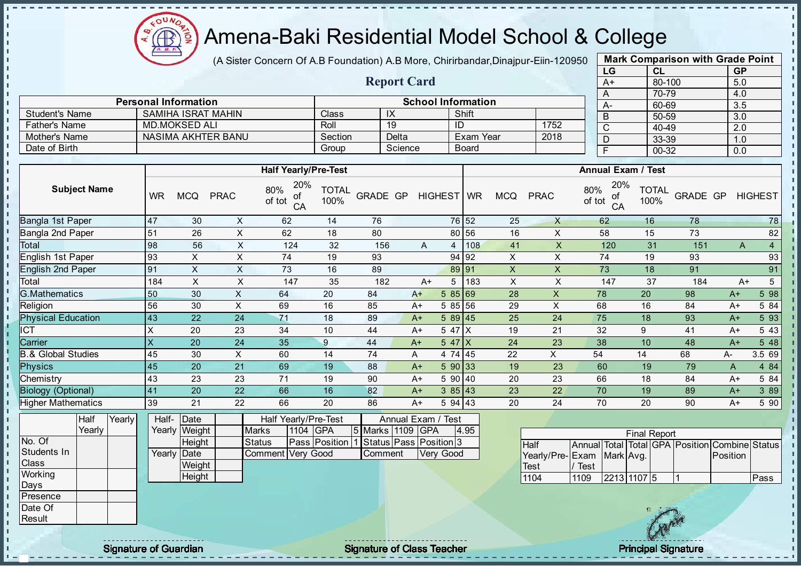

(A Sister Concern Of A.B Foundation) A.B More, Chirirbandar, Dinajpur-Eiin-120950

Report Card

Personal Information and Theorem School Information

Father's Name MD.MOKSED ALI Roll 19 19<br>
Mother's Name NASIMA AKHTER BANU Section Delta Exam Year 2018

Student's Name SAMIHA ISRAT MAHIN Class IX Shift<br>
Father's Name MD.MOKSED ALI Roll 19 ID

Mother's Name NASIMA AKHTER BANU Section Delta Exam Year Date of Birth Group Science Board

| <b>Mark Comparison with Grade Point</b> |        |           |  |  |  |  |  |  |  |  |  |
|-----------------------------------------|--------|-----------|--|--|--|--|--|--|--|--|--|
| LG                                      | CL     | <b>GP</b> |  |  |  |  |  |  |  |  |  |
| $A+$                                    | 80-100 | 5.0       |  |  |  |  |  |  |  |  |  |
| A                                       | 70-79  | 4.0       |  |  |  |  |  |  |  |  |  |
| A-                                      | 60-69  | 3.5       |  |  |  |  |  |  |  |  |  |
| B                                       | 50-59  | 3.0       |  |  |  |  |  |  |  |  |  |
| C                                       | 40-49  | 2.0       |  |  |  |  |  |  |  |  |  |
| D                                       | 33-39  | 1.0       |  |  |  |  |  |  |  |  |  |
| F                                       | 00-32  | 0.0       |  |  |  |  |  |  |  |  |  |
|                                         |        |           |  |  |  |  |  |  |  |  |  |

 $\mathbf{I}$ 

п  $\mathbf{I}$ 

 $\mathbf{I}$ 

 $\mathbf{I}$ 

 $\mathbf{I}$  $\mathbf{r}$ 

 $\mathbf{I}$ 

п

п

 $\mathbf{I}$ 

J.

J.

Ť. ī.

п

п

 $\mathbf{I}$ 

T.

|                               |                     |        |                 |                |                | <b>Half Yearly/Pre-Test</b>               |                      |                            |                            |            |            |      |                |                           |                     | <b>Annual Exam / Test</b> |                      |                                   |              |                |
|-------------------------------|---------------------|--------|-----------------|----------------|----------------|-------------------------------------------|----------------------|----------------------------|----------------------------|------------|------------|------|----------------|---------------------------|---------------------|---------------------------|----------------------|-----------------------------------|--------------|----------------|
|                               | <b>Subject Name</b> |        | <b>WR</b>       | <b>MCQ</b>     | <b>PRAC</b>    | 20%<br>80%<br>οf<br>of tot<br>CA          | <b>TOTAL</b><br>100% | GRADE GP                   |                            |            | HIGHEST WR |      | <b>MCQ</b>     | <b>PRAC</b>               | 80%<br>of tot       | 20%<br>οf<br>CA           | <b>TOTAL</b><br>100% | GRADE GP                          |              | <b>HIGHEST</b> |
| Bangla 1st Paper              |                     |        | 47              | 30             | X              | 62                                        | 14                   | 76                         |                            |            | 76 52      |      | 25             | X                         |                     | 62                        | 16                   | 78                                |              | 78             |
| Bangla 2nd Paper              |                     |        | 51              | 26             | X              | 62                                        | 18                   | 80                         |                            |            | 80 56      |      | 16             | X                         |                     | 58                        | 15                   | 73                                |              | 82             |
| Total                         |                     |        | 98              | 56             | X              | 124                                       | 32                   | 156                        |                            | A          | 4          | 108  | 41             | $\boldsymbol{\mathsf{X}}$ |                     | 120                       | 31                   | 151                               | $\mathsf{A}$ | $\overline{4}$ |
| English 1st Paper             |                     |        | 93              | X              | $\pmb{\times}$ | 74                                        | 19                   | 93                         |                            |            | 94 92      |      | X              | X                         |                     | 74                        | 19                   | 93                                |              | 93             |
| <b>English 2nd Paper</b>      |                     |        | 91              | X              | X              | 73                                        | 16                   | 89                         |                            |            | 89 91      |      | X              | X                         |                     | 73                        | 18                   | 91                                |              | 91             |
| Total                         |                     |        | 184             | X              | X              | 147                                       | 35                   | 182                        |                            | $A+$       | 5          | 183  | $\pmb{\times}$ | X                         |                     | 147                       | 37                   | 184                               | $A+$         | 5              |
| <b>G.Mathematics</b>          |                     |        | 50              | 30             | $\times$       | 64                                        | 20                   | 84                         |                            | $A+$       | 585 69     |      | 28             | $\times$                  | 78                  |                           | 20                   | 98                                | $A+$         | 598            |
| Religion                      |                     |        | 56              | 30             | $\times$       | 69                                        | 16                   | 85                         |                            | A+         | 5 85 56    |      | 29             | X                         | 68                  |                           | 16                   | 84                                | $A+$         | 5 84           |
| <b>Physical Education</b>     |                     |        | 43              | 22             | 24             | 71                                        | 18                   | 89                         |                            | $A+$       | $589$ 45   |      | 25             | 24                        | 75                  |                           | 18                   | 93                                | $A+$         | 5 93           |
| <b>ICT</b>                    |                     |        | X               | 20             | 23             | 34                                        | 10                   | 44                         |                            | $A+$       | 5 47 X     |      | 19             | 21                        | 32                  |                           | 9                    | 41                                | A+           | 5 4 3          |
| Carrier                       |                     |        | X               | 20             | 24             | 35                                        | $\boldsymbol{9}$     | 44                         |                            | $A+$       | $547$ $X$  |      | 24             | 23                        | 38                  |                           | 10                   | 48                                | $A+$         | 548            |
| <b>B.&amp; Global Studies</b> |                     |        | 45              | 30             | $\pmb{\times}$ | 60                                        | 14                   | 74                         | A                          |            | 4 74 45    |      | 22             | X                         | 54                  |                           | 14                   | 68                                | $A-$         | 3.5 69         |
| <b>Physics</b>                |                     |        | 45              | 20             | 21             | 69                                        | 19                   | 88                         |                            | $A+$       | 590 33     |      | 19             | 23                        |                     | 60                        | 19                   | 79                                | A            | 4 8 4          |
| Chemistry                     |                     |        | 43              | 23             | 23             | 71                                        | 19                   | 90                         |                            | $A+$       | 5 90 40    |      | 20             | 23                        | 66                  |                           | 18                   | 84                                | $A+$         | 5 84           |
| <b>Biology (Optional)</b>     |                     |        | 41              | 20             | 22             | 66                                        | 16                   | 82                         |                            | $A+$       | 385 43     |      | 23             | 22                        | 70                  |                           | 19                   | 89                                | $A+$         | 3 8 9          |
| <b>Higher Mathematics</b>     |                     |        | 39              | 21             | 22             | 66                                        | 20                   | 86                         |                            | $A+$       | 5 94 43    |      | 20             | 24                        | 70                  |                           | 20                   | 90                                | $A+$         | 5 90           |
|                               | Half<br>Yearly      | Yearly | Half-<br>Yearly | Date<br>Weight |                | Half Yearly/Pre-Test<br>Marks<br>1104 GPA |                      | 5 Marks                    | Annual Exam / Test<br>1109 | <b>GPA</b> |            | 4.95 |                |                           |                     |                           |                      |                                   |              |                |
| No. Of                        |                     |        |                 | Height         |                | <b>Status</b>                             | Pass Position        | Status   Pass   Position 3 |                            |            |            |      |                | <b>Half</b>               | <b>Annual</b> Total |                           | <b>Final Report</b>  | Total GPA Position Combine Status |              |                |
| Students In<br>Class          |                     |        | Yearly          | Date<br>Weight |                | Comment Very Good                         |                      | Comment                    |                            |            | Very Good  |      |                | Yearly/Pre-Exam           |                     | Mark Avg.                 |                      |                                   | Position     |                |
| Working                       |                     |        |                 | Height         |                |                                           |                      |                            |                            |            |            |      |                | Test                      | Test                |                           |                      |                                   |              | Pass           |
| Days                          |                     |        |                 |                |                |                                           |                      |                            |                            |            |            |      |                | 1104                      | 1109                | 2213 1107 5               |                      |                                   |              |                |
| Presence                      |                     |        |                 |                |                |                                           |                      |                            |                            |            |            |      |                |                           |                     |                           |                      |                                   |              |                |
| Date Of                       |                     |        |                 |                |                |                                           |                      |                            |                            |            |            |      |                |                           |                     |                           | 18 公安省               |                                   |              |                |

Result

- II

J. - II  $\mathbf{r}$ J. J.

J.

J.  $\blacksquare$  $\mathbf{r}$ 

J.

-8

J. J.

п п

T.

J.

T.

J.

 $\mathbf{I}$ 

 $\mathbf{I}$ 

 $\mathbf{I}$  $\mathbf{r}$ 

 $\mathbf{r}$ 

 $\mathbf{I}$ 

 $\mathbf{u}$ 

 $\mathbf{I}$  $\mathbf{u}$  $\mathbf{I}$  $\mathbf{I}$  $\mathbf{I}$ J.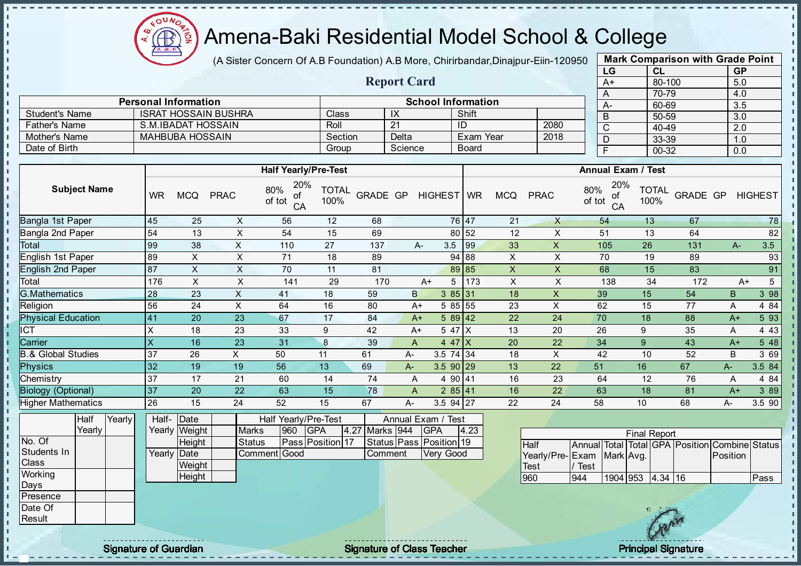

J. - II  $\mathbf{r}$  $\mathbf{I}$ J.

J.  $\mathbf{r}$ J. -8 J. a. п п h h J. J.  $\mathbf{r}$ J.

 $\blacksquare$ 

**II**  $\mathbf{r}$ J.  $\blacksquare$  $\mathbf{I}$  $\mathbf{I}$  $\mathbf{I}$  $\mathbf{u}$  $\mathbf{I}$  $\mathbf{I}$  $\mathbf{I}$  $\mathbf{I}$ л

#### Amena-Baki Residential Model School & College

(A Sister Concern Of A.B Foundation) A.B More, Chirirbandar, Dinajpur-Eiin-120950

Report Card

Personal Information and Theorem School Information

Father's Name S.M.IBADAT HOSSAIN Roll 21 ID 2080 Mother's Name MAHBUBA HOSSAIN Section Delta Exam Year 2018

Student's Name ISRAT HOSSAIN BUSHRA Class IX Shift<br>
Father's Name S.M.IBADAT HOSSAIN Roll 21 ID

Date of Birth Group Science Board

| <b>Mark Comparison with Grade Point</b> |           |           |  |  |  |  |  |  |  |  |
|-----------------------------------------|-----------|-----------|--|--|--|--|--|--|--|--|
| LG                                      | <b>CL</b> | <b>GP</b> |  |  |  |  |  |  |  |  |
| $A+$                                    | 80-100    | 5.0       |  |  |  |  |  |  |  |  |
| A                                       | 70-79     | 4.0       |  |  |  |  |  |  |  |  |
| A-                                      | 60-69     | 3.5       |  |  |  |  |  |  |  |  |
| B                                       | 50-59     | 3.0       |  |  |  |  |  |  |  |  |
| $\overline{\text{c}}$                   | 40-49     | 2.0       |  |  |  |  |  |  |  |  |
| D                                       | 33-39     | 1.0       |  |  |  |  |  |  |  |  |
|                                         | 00-32     | 0.0       |  |  |  |  |  |  |  |  |
|                                         |           |           |  |  |  |  |  |  |  |  |

л

л

|                               |                     |        |                           |                |                | <b>Half Yearly/Pre-Test</b>      |                      |                |      |                         |       |                           |                           |               | <b>Annual Exam / Test</b> |    |                      |          |          |                                                |
|-------------------------------|---------------------|--------|---------------------------|----------------|----------------|----------------------------------|----------------------|----------------|------|-------------------------|-------|---------------------------|---------------------------|---------------|---------------------------|----|----------------------|----------|----------|------------------------------------------------|
|                               | <b>Subject Name</b> |        | <b>WR</b>                 | <b>MCQ</b>     | <b>PRAC</b>    | 20%<br>80%<br>of<br>of tot<br>CA | <b>TOTAL</b><br>100% |                |      | GRADE GP HIGHEST WR     |       | <b>MCQ</b>                | <b>PRAC</b>               | 80%<br>of tot | 20%<br>оf<br>CA           |    | <b>TOTAL</b><br>100% | GRADE GP |          | HIGHEST                                        |
| Bangla 1st Paper              |                     |        | 45                        | 25             | X              | 56                               | 12                   | 68             |      |                         | 76 47 | 21                        | $\mathsf{X}$              |               | 54                        |    | 13                   | 67       |          | 78                                             |
| <b>Bangla 2nd Paper</b>       |                     |        | 54                        | 13             | $\sf X$        | 54                               | 15                   | 69             |      |                         | 80 52 | 12                        | $\times$                  |               | 51                        | 13 |                      | 64       |          | 82                                             |
| Total                         |                     |        | 99                        | 38             | $\sf X$        | 110                              | 27                   | 137            | A-   | 3.5                     | 99    | 33                        | $\pmb{\mathsf{X}}$        |               | 105                       | 26 |                      | 131      | A-       | 3.5                                            |
| English 1st Paper             |                     |        | 89                        | X              | X              | 71                               | 18                   | 89             |      |                         | 94 88 | $\pmb{\times}$            | $\mathsf X$               |               | 70                        | 19 |                      | 89       |          | 93                                             |
| <b>English 2nd Paper</b>      |                     |        | 87                        | $\mathsf{X}$   | $\times$       | 70                               | 11                   | 81             |      |                         | 89 85 | $\boldsymbol{\mathsf{X}}$ | $\pmb{\times}$            |               | 68                        | 15 |                      | 83       |          | 91                                             |
| Total                         |                     |        | 176                       | $\pmb{\times}$ | $\pmb{\times}$ | 141                              | 29                   | 170            |      | $A+$<br>5               | 173   | $\pmb{\times}$            | X                         |               | 138                       |    | 34                   | 172      |          | $5\overline{)}$<br>$A+$                        |
| <b>G.Mathematics</b>          |                     |        | 28                        | 23             | $\mathsf X$    | 41                               | 18                   | 59             | B    | 385 31                  |       | 18                        | X                         |               | 39                        | 15 |                      | 54       | B        | 398                                            |
| Religion                      |                     |        | 56                        | 24             | $\pmb{\times}$ | 64                               | 16                   | 80             | $A+$ | 5 85 55                 |       | 23                        | $\mathsf X$               |               | 62                        | 15 |                      | 77       | A        | 4 8 4                                          |
| <b>Physical Education</b>     |                     |        | 41                        | 20             | 23             | 67                               | 17                   | 84             | $A+$ | $589$ 42                |       | 22                        | 24                        |               | 70                        | 18 |                      | 88       | $A+$     | 5 9 3                                          |
| <b>ICT</b>                    |                     |        | $\mathsf{X}$              | 18             | 23             | 33                               | 9                    | 42             | $A+$ | 5 47 X                  |       | 13                        | 20                        |               | 26                        | 9  |                      | 35       | A        | 4 4 3                                          |
| Carrier                       |                     |        | $\boldsymbol{\mathsf{X}}$ | 16             | 23             | 31                               | $\boldsymbol{8}$     | 39             | A    | 4 47 $X$                |       | 20                        | 22                        |               | 34                        | 9  |                      | 43       | $A+$     | 5 48                                           |
| <b>B.&amp; Global Studies</b> |                     |        | 37                        | 26             | X              | 50                               | 11                   | 61             | A-   | 3.5 74 34               |       | 18                        | $\times$                  |               | 42                        | 10 |                      | 52       | B        | 3 69                                           |
| <b>Physics</b>                |                     |        | 32                        | 19             | 19             | 56                               | 13                   | 69             | A-   | $3.590$ 29              |       | 13                        | 22                        | 51            |                           | 16 |                      | 67       | $A-$     | 3.5 84                                         |
| Chemistry                     |                     |        | 37                        | 17             | 21             | 60                               | 14                   | 74             | A    | 4 90 41                 |       | 16                        | 23                        |               | 64                        | 12 |                      | 76       | A        | 4 8 4                                          |
| <b>Biology (Optional)</b>     |                     |        | 37                        | 20             | 22             | 63                               | 15                   | 78             | A    | 285 41                  |       | 16                        | 22                        |               | 63                        | 18 |                      | 81       | $A+$     | 3 8 9                                          |
| <b>Higher Mathematics</b>     |                     |        | 26                        | 15             | 24             | 52                               | 15                   | 67             | A-   | $3.5$ 94 27             |       | 22                        | 24                        | 58            |                           | 10 |                      | 68       | A-       | 3.5 90                                         |
|                               | Half                | Yearly | Half-                     | Date           |                | Half Yearly/Pre-Test             |                      |                |      | Annual Exam / Test      |       |                           |                           |               |                           |    |                      |          |          |                                                |
|                               | Yearly              |        |                           | Yearly Weight  | <b>Marks</b>   | 960                              | <b>GPA</b>           | 4.27 Marks 944 |      | <b>GPA</b>              | 4.23  |                           |                           |               |                           |    | <b>Final Report</b>  |          |          |                                                |
| No. Of                        |                     |        |                           | Height         | <b>Status</b>  |                                  | Pass Position 17     |                |      | Status Pass Position 19 |       |                           | Half                      |               |                           |    |                      |          |          | Annual Total Total GPA Position Combine Status |
| Students In                   |                     |        |                           | Yearly Date    |                | Comment Good                     |                      | Comment        |      | Very Good               |       |                           | Yearly/Pre-Exam Mark Avg. |               |                           |    |                      |          | Position |                                                |
| Class                         |                     |        |                           | Weight         |                |                                  |                      |                |      |                         |       |                           | <b>Test</b>               | / Test        |                           |    |                      |          |          |                                                |
| Working                       |                     |        |                           | Height         |                |                                  |                      |                |      |                         |       |                           | 960                       | 944           | 1904 953                  |    | $4.34$ 16            |          |          | Pass                                           |
| Days<br>Presence              |                     |        |                           |                |                |                                  |                      |                |      |                         |       |                           |                           |               |                           |    |                      |          |          |                                                |
|                               |                     |        |                           |                |                |                                  |                      |                |      |                         |       |                           |                           |               |                           |    |                      |          |          |                                                |
| Date Of<br>Result             |                     |        |                           |                |                |                                  |                      |                |      |                         |       |                           |                           |               |                           |    |                      |          |          |                                                |
|                               |                     |        |                           |                |                |                                  |                      |                |      |                         |       |                           |                           |               |                           |    |                      |          |          |                                                |
|                               |                     |        |                           |                |                |                                  |                      |                |      |                         |       |                           |                           |               |                           |    |                      |          |          |                                                |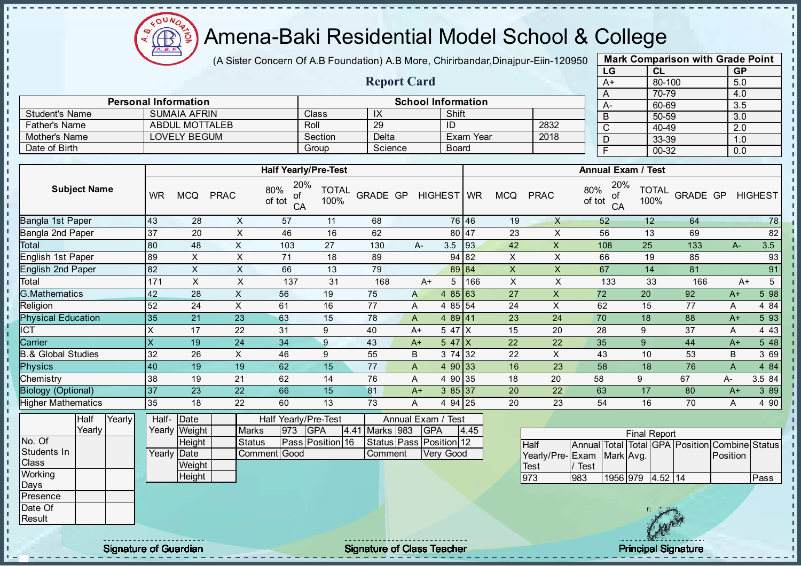

(A Sister Concern Of A.B Foundation) A.B More, Chirirbandar, Dinajpur-Eiin-120950

Report Card

| <b>Mark Comparison with Grade Point</b><br>LG |           |  |  |  |  |  |  |  |  |  |  |  |
|-----------------------------------------------|-----------|--|--|--|--|--|--|--|--|--|--|--|
| CL                                            | <b>GP</b> |  |  |  |  |  |  |  |  |  |  |  |
| 80-100                                        | 5.0       |  |  |  |  |  |  |  |  |  |  |  |
| 70-79                                         | 4.0       |  |  |  |  |  |  |  |  |  |  |  |
| 60-69                                         | 3.5       |  |  |  |  |  |  |  |  |  |  |  |
| 50-59                                         | 3.0       |  |  |  |  |  |  |  |  |  |  |  |
| 40-49                                         | 2.0       |  |  |  |  |  |  |  |  |  |  |  |
| 33-39                                         | 1.0       |  |  |  |  |  |  |  |  |  |  |  |
| $00 - 32$                                     | 0.0       |  |  |  |  |  |  |  |  |  |  |  |
|                                               |           |  |  |  |  |  |  |  |  |  |  |  |

|                       |                             |         |         |                           |      |           | $70-$ |
|-----------------------|-----------------------------|---------|---------|---------------------------|------|-----------|-------|
|                       | <b>Personal Information</b> |         |         | <b>School Information</b> |      | <b>A-</b> | 60-   |
| <b>Student's Name</b> | <b>SUMAIA AFRIN</b>         | Class   | IX      | Shift                     |      | B         | $50-$ |
| Father's Name         | ABDUL MOTTALEB              | Roll    | 29      |                           | 2832 |           | 40-   |
| Mother's Name         | LOVELY BEGUM                | Section | Delta   | Exam Year                 | 2018 |           | $33-$ |
| Date of Birth         |                             | Group   | Science | Board                     |      |           | $00-$ |

|                           |           |            |             | <b>Half Yearly/Pre-Test</b>      |                      |          |              |            |       |              |             | <b>Annual Exam / Test</b>        |                      |          |       |                |
|---------------------------|-----------|------------|-------------|----------------------------------|----------------------|----------|--------------|------------|-------|--------------|-------------|----------------------------------|----------------------|----------|-------|----------------|
| <b>Subject Name</b>       | <b>WR</b> | <b>MCQ</b> | <b>PRAC</b> | 20%<br>80%<br>οt<br>of tot<br>CA | <b>TOTAL</b><br>100% | GRADE GP |              | HIGHEST WR |       | <b>MCQ</b>   | <b>PRAC</b> | 20%<br>80%<br>οf<br>of tot<br>CA | <b>TOTAL</b><br>100% | GRADE GP |       | <b>HIGHEST</b> |
| Bangla 1st Paper          | 43        | 28         | X           | 57                               | 11                   | 68       |              |            | 76 46 | 19           | X           | 52                               | 12                   | 64       |       | 78             |
| Bangla 2nd Paper          | 37        | 20         | X           | 46                               | 16                   | 62       |              | 80 47      |       | 23           | X           | 56                               | 13                   | 69       |       | 82             |
| <b>Total</b>              | 80        | 48         | X           | 103                              | 27                   | 130      | A-           | 3.5        | 93    | 42           | X           | 108                              | 25                   | 133      | $A -$ | 3.5            |
| English 1st Paper         | 89        | X          | X           | 71                               | 18                   | 89       |              | 94 82      |       | X            | X           | 66                               | 19                   | 85       |       | 93             |
| <b>English 2nd Paper</b>  | 82        | X          | X           | 66                               | 13                   | 79       |              | 89 84      |       | $\mathsf{X}$ | X           | 67                               | 14                   | 81       |       | 91             |
| Total                     | 171       | X          | X           | 137                              | 31                   | 168      | A+           | 5          | 166   | X            | X           | 133                              | 33                   | 166      | $A+$  | 5              |
| G.Mathematics             | 42        | 28         | X           | 56                               | 19                   | 75       | $\mathsf{A}$ | 85 63<br>4 |       | 27           | X           | 72                               | 20                   | 92       | $A+$  | 5 98           |
| Religion                  | 52        | 24         | X           | 61                               | 16                   | 77       | A            | 4 85 54    |       | 24           | X           | 62                               | 15                   | 77       | A     | 4 8 4          |
| <b>Physical Education</b> | 35        | 21         | 23          | 63                               | 15                   | 78       | A            | 489 41     |       | 23           | 24          | 70                               | 18                   | 88       | $A+$  | 5 93           |
| <b>CT</b>                 | X         | 17         | 22          | 31                               | 9                    | 40       | $A+$         | 5 47 X     |       | 15           | 20          | 28                               | 9                    | 37       | A     | 4 4 3          |
| Carrier                   | X         | 19         | 24          | 34                               | 9                    | 43       | $A+$         | 5 47 $X$   |       | 22           | 22          | 35                               | 9                    | 44       | $A+$  | 548            |
| 3.& Global Studies        | 32        | 26         | X           | 46                               | 9                    | 55       | B            | 3 74 32    |       | 22           | X           | 43                               | 10                   | 53       | B     | 3 69           |
| <b>Physics</b>            | 40        | 19         | 19          | 62                               | 15                   | 77       | A            | 4 90 33    |       | 16           | 23          | 58                               | 18                   | 76       | A     | 4 8 4          |
| Chemistry                 | 38        | 19         | 21          | 62                               | 14                   | 76       | A            | 4 90 35    |       | 18           | 20          | 58                               | 9                    | 67       | A-    | 3.5 84         |
| <b>Biology (Optional)</b> | 37        | 23         | 22          | 66                               | 15                   | 81       | $A+$         | 385 37     |       | 20           | 22          | 63                               | 17                   | 80       | $A+$  | 3 8 9          |
| <b>Higher Mathematics</b> | 35        | 18         | 22          | 60                               | 13                   | 73       | A            | 4 94 25    |       | 20           | 23          | 54                               | 16                   | 70       | A     | 4 90           |

|              | Half   | Yearly | Half- Date  |               |               | Half Yearly/Pre-Test |                  |  | Annual Exam / Test |  |                               |      |                           |             |  |                     |                                                |      |
|--------------|--------|--------|-------------|---------------|---------------|----------------------|------------------|--|--------------------|--|-------------------------------|------|---------------------------|-------------|--|---------------------|------------------------------------------------|------|
|              | Yearly |        |             | Yearly Weight | <b>Marks</b>  | 973                  | <b>IGPA</b>      |  | 4.41 Marks 983     |  | <b>GPA</b>                    | 4.45 |                           |             |  | <b>Final Report</b> |                                                |      |
| No. Of       |        |        |             | Height        | <b>Status</b> |                      | Pass Position 16 |  |                    |  | Status   Pass   Position   12 |      | Half                      |             |  |                     | Annual Total Total GPA Position Combine Status |      |
| Students In  |        |        | Yearly Date |               | Comment Good  |                      |                  |  | Comment            |  | Very Good                     |      | Yearly/Pre-Exam Mark Avg. |             |  |                     | Position                                       |      |
| <b>Class</b> |        |        |             | Weight        |               |                      |                  |  |                    |  |                               |      | <b>Test</b>               | <b>Test</b> |  |                     |                                                |      |
| Working      |        |        |             | Height        |               |                      |                  |  |                    |  |                               |      | 973                       | 983         |  | 1956 979 4.52 14    |                                                | Pass |
| Days         |        |        |             |               |               |                      |                  |  |                    |  |                               |      |                           |             |  |                     |                                                |      |
| Presence     |        |        |             |               |               |                      |                  |  |                    |  |                               |      |                           |             |  |                     |                                                |      |
| Date Of      |        |        |             |               |               |                      |                  |  |                    |  |                               |      |                           |             |  |                     |                                                |      |
| Result       |        |        |             |               |               |                      |                  |  |                    |  |                               |      |                           |             |  |                     |                                                |      |

J. - II  $\mathbf{I}$ 

× - II

of Signature of Guardian and Signature of Class Teacher Principal Signature of Guardian and Signature of Class Teacher Principal Signature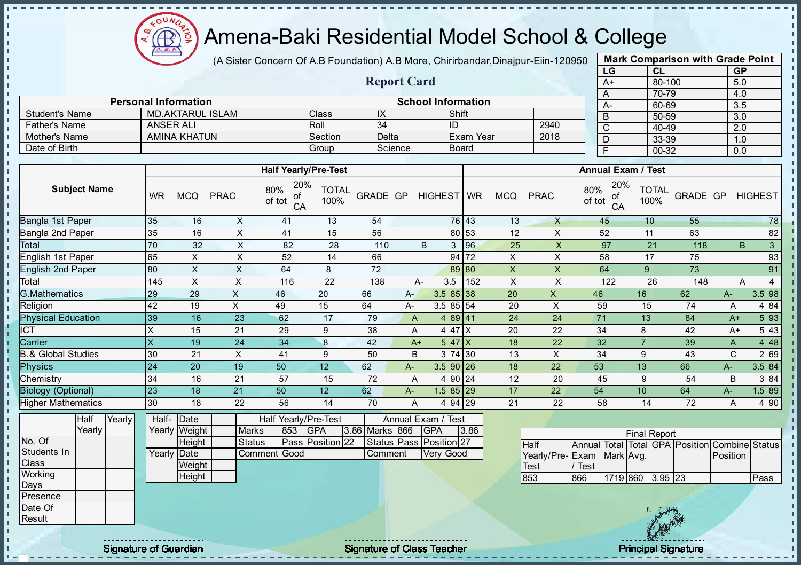

(A Sister Concern Of A.B Foundation) A.B More, Chirirbandar, Dinajpur-Eiin-120950

Report Card

| <b>Mark Comparison with Grade Point</b> |           |           |  |  |  |  |  |  |  |  |  |  |  |
|-----------------------------------------|-----------|-----------|--|--|--|--|--|--|--|--|--|--|--|
| LG                                      | CL        | <b>GP</b> |  |  |  |  |  |  |  |  |  |  |  |
| A+                                      | 80-100    | 5.0       |  |  |  |  |  |  |  |  |  |  |  |
| A                                       | 70-79     | 4.0       |  |  |  |  |  |  |  |  |  |  |  |
| А-                                      | 60-69     | 3.5       |  |  |  |  |  |  |  |  |  |  |  |
| B                                       | 50-59     | 3.0       |  |  |  |  |  |  |  |  |  |  |  |
| C                                       | 40-49     | 2.0       |  |  |  |  |  |  |  |  |  |  |  |
| D                                       | 33-39     | 1.0       |  |  |  |  |  |  |  |  |  |  |  |
| F                                       | $00 - 32$ | 0.0       |  |  |  |  |  |  |  |  |  |  |  |
|                                         |           |           |  |  |  |  |  |  |  |  |  |  |  |

|                      | <b>Personal Information</b> |         |         | <b>School Information</b> |      | $A-$ | 70-79<br>60-69 |  |  |  |  |  |  |  |
|----------------------|-----------------------------|---------|---------|---------------------------|------|------|----------------|--|--|--|--|--|--|--|
| Student's Name       | <b>MD.AKTARUL ISLAM</b>     | Class   | IX      | Shift                     |      |      | 50-59          |  |  |  |  |  |  |  |
| <b>Father's Name</b> | ANSER ALI                   | Roll    | 34      | ID                        | 2940 |      | 40-49          |  |  |  |  |  |  |  |
| Mother's Name        | AMINA KHATUN                | Section | Delta   | Exam Year                 | 2018 |      | 33-39          |  |  |  |  |  |  |  |
| Date of Birth        |                             | Group   | Science | <b>Board</b>              |      |      | 00-32          |  |  |  |  |  |  |  |
|                      |                             |         |         |                           |      |      |                |  |  |  |  |  |  |  |
|                      | <b>Half Yearly/Pre-Test</b> |         |         | <b>Annual Exam / Test</b> |      |      |                |  |  |  |  |  |  |  |

|                           |           |            |             | <b>Hall Yearly/Pre-lest</b>      |                      |          |      |             |       |            |             | Annual Exam / Test               |                      |          |      |                    |
|---------------------------|-----------|------------|-------------|----------------------------------|----------------------|----------|------|-------------|-------|------------|-------------|----------------------------------|----------------------|----------|------|--------------------|
| <b>Subject Name</b>       | <b>WR</b> | <b>MCQ</b> | <b>PRAC</b> | 20%<br>80%<br>of<br>of tot<br>CA | <b>TOTAL</b><br>100% | GRADE GP |      | HIGHEST WR  |       | <b>MCQ</b> | <b>PRAC</b> | 20%<br>80%<br>οf<br>of tot<br>CA | <b>TOTAL</b><br>100% | GRADE GP |      | <b>HIGHEST</b>     |
| Bangla 1st Paper          | 35        | 16         | X           | 41                               | 13                   | 54       |      |             | 76 43 | 13         | X           | 45                               | 10 <sup>°</sup>      | 55       |      | 78                 |
| Bangla 2nd Paper          | 35        | 16         | X           | 41                               | 15                   | 56       |      |             | 80 53 | 12         | X           | 52                               | 11                   | 63       |      | 82                 |
| Total                     | 70        | 32         | X           | 82                               | 28                   | 110      |      | 3<br>B      | 96    | 25         | X           | 97                               | 21                   | 118      |      | B.<br>$\mathbf{3}$ |
| English 1st Paper         | 65        | X.         | X           | 52                               | 14                   | 66       |      |             | 94 72 | X          | X           | 58                               | 17                   | 75       |      | 93                 |
| English 2nd Paper         | 80        | X.         | X           | 64                               | 8                    | 72       |      |             | 89 80 | X.         | X           | 64                               | 9                    | 73       |      | 91                 |
| Total                     | 145       | X.         | X           | 116                              | 22                   | 138      |      | 3.5<br>A-   | 152   | X          | X           | 122                              | 26                   | 148      |      | A                  |
| <b>G.Mathematics</b>      | 29        | 29         | X           | 46                               | 20                   | 66       | A-   | $3.585$ 38  |       | 20         | X           | 46                               | 16                   | 62       | A-   | 3.5 98             |
| Religion                  | 42        | 19         | X.          | 49                               | 15                   | 64       | A-   | $3.5855$ 54 |       | 20         | X           | 59                               | 15                   | 74       | A    | 4 8 4              |
| <b>Physical Education</b> | 39        | 16         | 23          | 62                               | 17                   | 79       | A    | 489 41      |       | 24         | 24          | 71                               | 13                   | 84       | $A+$ | 5 9 3              |
| <b>CT</b>                 |           | 15         | 21          | 29                               | 9                    | 38       | Α    | 4 47 X      |       | 20         | 22          | 34                               | 8                    | 42       | A+   | 543                |
| Carrier                   | X         | 19         | 24          | 34                               | 8                    | 42       | $A+$ | $547$ $X$   |       | 18         | 22          | 32                               |                      | 39       | A    | 4 4 8              |
| 3.& Global Studies        | 30        | 21         | X           | 41                               | 9                    | 50       | B    | 3 74 30     |       | 13         | X           | 34                               | 9                    | 43       | C    | 2 69               |
| <b>Physics</b>            | 24        | 20         | 19          | 50                               | 12                   | 62       | A-   | $3.590$ 26  |       | 18         | 22          | 53                               | 13                   | 66       | A-   | 3.5 84             |
| Chemistry                 | 34        | 16         | 21          | 57                               | 15                   | 72       | Α    | 4 90 24     |       | 12         | 20          | 45                               | 9                    | 54       | B    | 3 84               |
| <b>Biology (Optional)</b> | 23        | 18         | 21          | 50                               | 12                   | 62       | $A-$ | $1.585$ 29  |       | 17         | 22          | 54                               | 10 <sup>°</sup>      | 64       | A-   | 1.5 89             |
| <b>Higher Mathematics</b> | 30        | 18         | 22          | 56                               | 14                   | 70       | Α    | 4 94 29     |       | 21         | 22          | 58                               | 14                   | 72       | A    | 490                |

|              | Half   | Yearly |  | Half- Date    |               | Half Yearly/Pre-Test | Annual Exam / Test      |  |  |                    |                         |      |                           |        |                  |                     |                                               |             |
|--------------|--------|--------|--|---------------|---------------|----------------------|-------------------------|--|--|--------------------|-------------------------|------|---------------------------|--------|------------------|---------------------|-----------------------------------------------|-------------|
|              | Yearly |        |  | Yearly Weight | <b>Marks</b>  | 853                  | <b>IGPA</b>             |  |  | 3.86 Marks 866 GPA |                         | 3.86 |                           |        |                  | <b>Final Report</b> |                                               |             |
| No. Of       |        |        |  | <b>Height</b> | <b>Status</b> |                      | <b>Pass Position 22</b> |  |  |                    | Status Pass Position 27 |      | Half                      |        |                  |                     | Annual Total Total GPA Position Combine Statu |             |
| Students In  |        |        |  | Yearly Date   | Comment Good  |                      |                         |  |  | Comment            | <b>Very Good</b>        |      | Yearly/Pre-Exam Mark Avg. |        |                  |                     | Position                                      |             |
| <b>Class</b> |        |        |  | Weight        |               |                      |                         |  |  |                    |                         |      | Test                      | / Test |                  |                     |                                               |             |
| Working      |        |        |  | Height        |               |                      |                         |  |  |                    |                         |      | 853                       | 866    | 1719 860 3.95 23 |                     |                                               | <b>Pass</b> |
| Days         |        |        |  |               |               |                      |                         |  |  |                    |                         |      |                           |        |                  |                     |                                               |             |
| Presence     |        |        |  |               |               |                      |                         |  |  |                    |                         |      |                           |        |                  |                     |                                               |             |
| Date Of      |        |        |  |               |               |                      |                         |  |  |                    |                         |      |                           |        |                  |                     |                                               |             |
| Result       |        |        |  |               |               |                      |                         |  |  |                    |                         |      |                           |        |                  |                     |                                               |             |

- II

extending the state of Guardian Control of Class Teacher Class Teacher Principal Signature of Guardian Signature of Class Teacher Principal Signature Principal Signature of Class Teacher Principal Signature of Class Teache

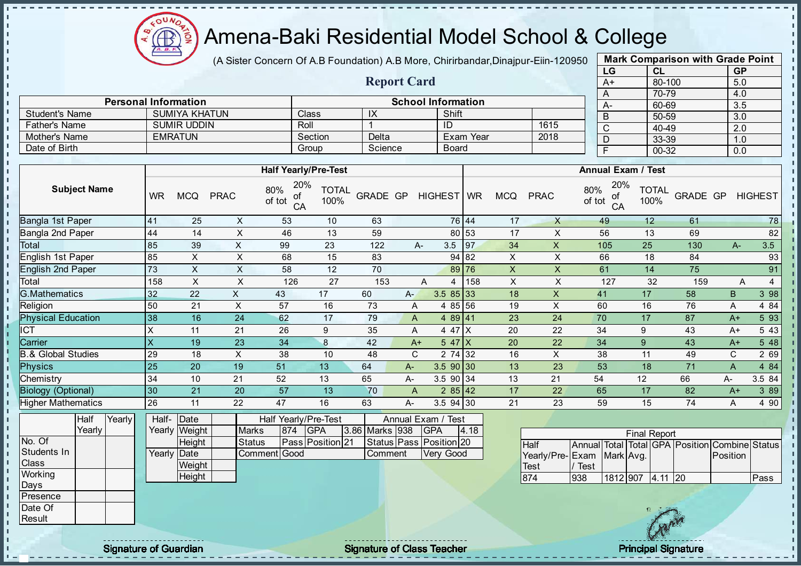

(A Sister Concern Of A.B Foundation) A.B More, Chirirbandar, Dinajpur-Eiin-120950

Report Card

Personal Information and The School Information

Father's Name SUMIR UDDIN Roll 1 1 ID 1615

Student's Name SUMIYA KHATUN Class IX IX Shift

| <b>Mark Comparison with Grade Point</b><br>LG |           |  |  |  |  |  |  |  |  |  |  |  |
|-----------------------------------------------|-----------|--|--|--|--|--|--|--|--|--|--|--|
| CL                                            | <b>GP</b> |  |  |  |  |  |  |  |  |  |  |  |
| 80-100                                        | 5.0       |  |  |  |  |  |  |  |  |  |  |  |
| 70-79                                         | 4.0       |  |  |  |  |  |  |  |  |  |  |  |
| 60-69                                         | 3.5       |  |  |  |  |  |  |  |  |  |  |  |
| 50-59                                         | 3.0       |  |  |  |  |  |  |  |  |  |  |  |
| 40-49                                         | 2.0       |  |  |  |  |  |  |  |  |  |  |  |
| 33-39                                         | 1.0       |  |  |  |  |  |  |  |  |  |  |  |
| $00 - 32$                                     | 0.0       |  |  |  |  |  |  |  |  |  |  |  |
|                                               |           |  |  |  |  |  |  |  |  |  |  |  |

| Mother's Name                 |                     |        |           | <b>EMRATUN</b> |                           |                                  | Section<br>Delta<br>Exam Year |                |                |                                      |                | 2018               |                                | D             |                 | 33-39                     | 1.0                                     |             |                     |
|-------------------------------|---------------------|--------|-----------|----------------|---------------------------|----------------------------------|-------------------------------|----------------|----------------|--------------------------------------|----------------|--------------------|--------------------------------|---------------|-----------------|---------------------------|-----------------------------------------|-------------|---------------------|
| Date of Birth                 |                     |        |           |                |                           |                                  | Group                         | Science        |                |                                      | <b>Board</b>   |                    |                                |               | F               |                           | $00 - 32$                               | 0.0         |                     |
|                               |                     |        |           |                |                           |                                  |                               |                |                |                                      |                |                    |                                |               |                 |                           |                                         |             |                     |
|                               |                     |        |           |                |                           | <b>Half Yearly/Pre-Test</b>      |                               |                |                |                                      |                |                    |                                |               |                 | <b>Annual Exam / Test</b> |                                         |             |                     |
|                               | <b>Subject Name</b> |        | <b>WR</b> | <b>MCQ</b>     | <b>PRAC</b>               | 20%<br>80%<br>of<br>of tot<br>CA | <b>TOTAL</b><br>100%          | GRADE GP       |                | HIGHEST   WR                         |                | <b>MCQ</b>         | <b>PRAC</b>                    | 80%<br>of tot | 20%<br>οf<br>CA | <b>TOTAL</b><br>100%      | GRADE GP                                |             | <b>HIGHEST</b>      |
| Bangla 1st Paper              |                     |        | 41        | 25             | $\boldsymbol{\mathsf{X}}$ | 53                               | 10                            | 63             |                |                                      | 76 44          | 17                 | $\mathsf{X}$                   |               | 49              | 12                        | 61                                      |             | 78                  |
| Bangla 2nd Paper              |                     |        | 44        | 14             | X                         | 46                               | 13                            | 59             |                |                                      | 80 53          | 17                 | X                              |               | 56              | 13                        | 69                                      |             | 82                  |
| Total                         |                     |        | 85        | 39             | X                         | 99                               | 23                            | 122            |                | $A -$                                | 3.5<br>97      | 34                 | $\boldsymbol{\mathsf{X}}$      |               | 105             | 25                        | 130                                     | $A-$        | 3.5                 |
| English 1st Paper             |                     |        | 85        | X              | $\sf X$                   | 68                               | 15                            | 83             |                |                                      | 94 82          | X                  | X                              |               | 66              | 18                        | 84                                      |             | 93                  |
| English 2nd Paper             |                     |        | 73        | X              | $\sf X$                   | 58                               | 12                            | 70             |                |                                      | 89 76          | $\pmb{\mathsf{X}}$ | $\mathsf X$                    |               | 61              | 14                        | 75                                      |             | 91                  |
| Total                         |                     |        | 158       | $\pmb{\times}$ | $\mathsf{X}$              | 126                              | 27                            | 153            |                | A                                    | 158<br>4       | $\pmb{\times}$     | X                              |               | 127             | 32                        | 159                                     |             | Α<br>$\overline{4}$ |
| <b>G.Mathematics</b>          |                     |        | 32        | 22             | X                         | 43                               | 17                            | 60             | A-             |                                      | $3.585$ 33     | 18                 | X                              |               | 41              | 17                        | 58                                      | $\sf B$     | 3 98                |
| Religion                      |                     |        | 50        | 21             | X                         | 57                               | 16                            | 73             | A              |                                      | 4 85 56        | 19                 | X                              |               | 60              | 16                        | 76                                      | A           | 4 84                |
| <b>Physical Education</b>     |                     |        | 38        | 16             | 24                        | 62                               | 17                            | 79             | A              |                                      | 4 89 41        | 23                 | 24                             |               | 70              | 17                        | 87                                      | $A+$        | 5 93                |
| <b>CT</b>                     |                     |        | X         | 11             | 21                        | 26                               | 9                             | 35             | Α              |                                      | 4 4 7 $\mid$ X | 20                 | 22                             |               | 34              | 9                         | 43                                      | $A+$        | 5 4 3               |
| Carrier                       |                     |        | X         | 19             | 23                        | 34                               | 8                             | 42             | $A+$           |                                      | $547$ $X$      | 20                 | 22                             |               | 34              | $\boldsymbol{9}$          | 43                                      | $A+$        | 5 48                |
| <b>B.&amp; Global Studies</b> |                     |        | 29        | 18             | X                         | 38                               | 10                            | 48             | $\mathsf{C}$   |                                      | 2 74 32        | 16                 | X                              |               | 38              | 11                        | 49                                      | $\mathbf C$ | 2 69                |
| <b>Physics</b>                |                     |        | 25        | 20             | 19                        | 51                               | 13                            | 64             | $A -$          |                                      | 3.590 30       | 13                 | 23                             |               | 53              | 18                        | 71                                      | A           | 4 84                |
| Chemistry                     |                     |        | 34        | 10             | 21                        | 52                               | 13                            | 65             | A-             |                                      | 3.5 90 34      | 13                 | 21                             | 54            |                 | 12                        | 66                                      | A-          | 3.5 84              |
| <b>Biology (Optional)</b>     |                     |        | 30        | 21             | 20                        | 57                               | 13                            | 70             | $\overline{A}$ |                                      | 285 42         | 17                 | 22                             |               | 65              | 17                        | 82                                      | $A+$        | 3 8 9               |
| <b>Higher Mathematics</b>     |                     |        | 26        | 11             | 22                        | 47                               | 16                            | 63             | A-             |                                      | $3.5$ 94 30    | 21                 | 23                             |               | 59              | 15                        | 74                                      | A           | 4 90                |
|                               | Half                | Yearly | Half-     | Date           |                           | Half Yearly/Pre-Test             |                               |                |                | Annual Exam / Test                   |                |                    |                                |               |                 |                           |                                         |             |                     |
|                               | Yearly              |        | Yearly    | Weight         |                           | 874<br><b>Marks</b>              | <b>GPA</b>                    | 3.86 Marks 938 |                | <b>GPA</b>                           | 4.18           |                    |                                |               |                 | <b>Final Report</b>       |                                         |             |                     |
| No. Of<br>Students In         |                     |        | Yearly    | Height<br>Date |                           | <b>Status</b><br>Comment Good    | Pass Position 21              | Comment        |                | Status Pass Position 20<br>Very Good |                |                    | <b>Half</b><br>Yearly/Pre-Exam | Annual        | Mark Avg.       |                           | Total Total GPA Position Combine Status | Position    |                     |
| Class                         |                     |        |           | Weight         |                           |                                  |                               |                |                |                                      |                |                    | Test                           | ' Test        |                 |                           |                                         |             |                     |
| Working                       |                     |        |           | Height         |                           |                                  |                               |                |                |                                      |                |                    | 874                            | 938           |                 | 1812 907 4.11 20          |                                         |             | Pass                |



Days Presence Date Of Result

J.  $\mathbf{I}$ 

 $\mathbf{I}$ J.  $\mathbf{r}$ - II - II - II  $\mathbf{r}$ 

- II  $\mathbf{I}$ J. J.  $\blacksquare$  $\mathbf{I}$ J. J. J. a. п п T. J. J. J.  $\mathbf{r}$ J.  $\mathbf{I}$  $\blacksquare$  $\mathbf{I}$  $\mathbf{I}$  $\mathbf{I}$ l ni  $\mathbf{I}$  $\mathbf{u}$  $\mathbf{r}$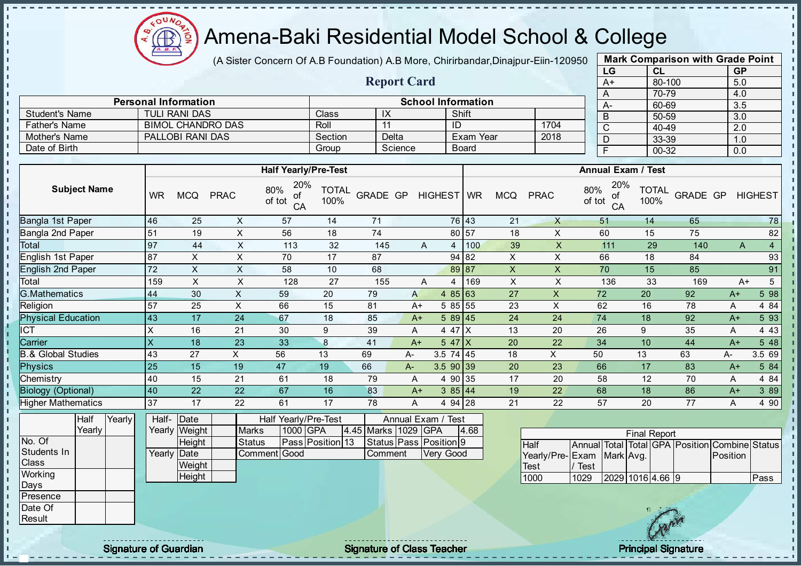$\mathbf{u}$ Æ ğ

## Amena-Baki Residential Model School & College

(A Sister Concern Of A.B Foundation) A.B More, Chirirbandar, Dinajpur-Eiin-120950

Report Card

Personal Information and School Information

Student's Name TULI RANI DAS Class IX Shift

| <b>Mark Comparison with Grade Point</b> |                        |     |  |  |  |  |  |  |  |  |  |  |  |
|-----------------------------------------|------------------------|-----|--|--|--|--|--|--|--|--|--|--|--|
| LG                                      | <b>CL</b><br><b>GP</b> |     |  |  |  |  |  |  |  |  |  |  |  |
| $A+$                                    | 80-100                 | 5.0 |  |  |  |  |  |  |  |  |  |  |  |
| A                                       | 70-79                  | 4.0 |  |  |  |  |  |  |  |  |  |  |  |
| A-                                      | 60-69                  | 3.5 |  |  |  |  |  |  |  |  |  |  |  |
| B                                       | 50-59                  | 3.0 |  |  |  |  |  |  |  |  |  |  |  |
| C                                       | 40-49                  | 2.0 |  |  |  |  |  |  |  |  |  |  |  |
| D                                       | 33-39                  | 1.0 |  |  |  |  |  |  |  |  |  |  |  |
| F                                       | 00-32                  | 0.0 |  |  |  |  |  |  |  |  |  |  |  |
|                                         |                        |     |  |  |  |  |  |  |  |  |  |  |  |

| Father's Name                 |           | <b>BIMOL CHANDRO DAS</b> |                | Roll<br>11<br>ID                 |                                                                                       |                 |         |                  | 1704         | $\mathsf C$    | 40-49               |                                   | $\overline{2.0}$     |                 |          |                |
|-------------------------------|-----------|--------------------------|----------------|----------------------------------|---------------------------------------------------------------------------------------|-----------------|---------|------------------|--------------|----------------|---------------------|-----------------------------------|----------------------|-----------------|----------|----------------|
| <b>Mother's Name</b>          |           | PALLOBI RANI DAS         |                |                                  | Section                                                                               |                 | Delta   |                  | Exam Year    |                | 2018                | D                                 | 33-39                |                 | 1.0      |                |
| Date of Birth                 |           |                          |                |                                  | Group                                                                                 |                 | Science |                  | <b>Board</b> |                |                     | $\overline{F}$                    | $00 - 32$            |                 | 0.0      |                |
|                               |           |                          |                |                                  |                                                                                       |                 |         |                  |              |                |                     |                                   |                      |                 |          |                |
|                               |           |                          |                | <b>Half Yearly/Pre-Test</b>      |                                                                                       |                 |         |                  |              |                |                     | <b>Annual Exam / Test</b>         |                      |                 |          |                |
| <b>Subject Name</b>           | <b>WR</b> | <b>MCQ</b>               | <b>PRAC</b>    | 20%<br>80%<br>οf<br>of tot<br>CA | <b>TOTAL</b><br>100%                                                                  | <b>GRADE GP</b> |         | HIGHEST WR       |              | <b>MCQ</b>     | <b>PRAC</b>         | 20%<br>80%<br>of<br>of tot<br>CA  | <b>TOTAL</b><br>100% | <b>GRADE GP</b> |          | <b>HIGHEST</b> |
| Bangla 1st Paper              | 46        | 25                       | X              | 57                               | 14                                                                                    | 71              |         |                  | 76 43        | 21             | X                   | 51                                | 14                   | 65              |          | 78             |
| Bangla 2nd Paper              | 51        | 19                       | $\mathsf X$    | 56                               | 18                                                                                    | 74              |         |                  | 80 57        | 18             | X                   | 60                                | 15                   | 75              |          | 82             |
| Total                         | 97        | 44                       | $\sf X$        | 113                              | 32                                                                                    | 145             |         | A<br>4           | 100          | 39             | X                   | 111                               | 29                   | 140             | A        | $\overline{4}$ |
| English 1st Paper             | 87        | X                        | X              | 70                               | 17                                                                                    | 87              |         |                  | 94 82        | $\pmb{\times}$ | X                   | 66                                | 18                   | 84              |          | 93             |
| English 2nd Paper             | 72        | X                        | X              | 58                               | 10                                                                                    | 68              |         |                  | 89 87        | $\pmb{\times}$ | X                   | 70                                | 15                   | 85              |          | 91             |
| Total                         | 159       | X                        | $\sf X$        | 128                              | 27                                                                                    | 155             |         | A<br>4           | 169          | $\mathsf X$    | X                   | 136                               | 33                   | 169             | $A+$     | $\overline{5}$ |
| <b>G.Mathematics</b>          | 44        | 30                       | $\pmb{\times}$ | 59                               | 20                                                                                    | 79              | A       | 485 63           |              | 27             | X                   | 72                                | 20                   | 92              | $A+$     | 5 98           |
| Religion                      | 57        | 25                       | X              | 66                               | 15                                                                                    | 81              | $A+$    | 5 85 55          |              | 23             | X                   | 62                                | 16                   | 78              | Α        | 4 84           |
| <b>Physical Education</b>     | 43        | 17                       | 24             | 67                               | 18                                                                                    | 85              | $A+$    | $589$ 45         |              | 24             | 24                  | 74                                | 18                   | 92              | $A+$     | 5 93           |
| ICT                           | X         | 16                       | 21             | 30                               | 9                                                                                     | 39              | A       | 4 47 X           |              | 13             | 20                  | 26                                | 9                    | 35              | A        | 4 4 3          |
| Carrier                       | X         | 18                       | 23             | 33                               | 8                                                                                     | 41              | $A+$    | $547$ X          |              | 20             | 22                  | 34                                | 10                   | 44              | $A+$     | 5 48           |
| <b>B.&amp; Global Studies</b> | 43        | 27                       | X.             | 56                               | 13                                                                                    | 69              | А-      | $3.5$ 74 45      |              | 18             | X                   | 50                                | 13                   | 63              | А-       | 3.5 69         |
| <b>Physics</b>                | 25        | 15                       | 19             | 47                               | 19                                                                                    | 66              | A-      | $3.590$ 39       |              | 20             | 23                  | 66                                | 17                   | 83              | $A+$     | 5 84           |
| Chemistry                     | 40        | 15                       | 21             | 61                               | 18                                                                                    | 79              | A       | 4 90 35          |              | 17             | 20                  | 58                                | 12                   | 70              | Α        | 4 84           |
| <b>Biology (Optional)</b>     | 40        | 22                       | 22             | 67                               | 16                                                                                    | 83              | $A+$    | 385 44           |              | 19             | 22                  | 68                                | 18                   | 86              | $A+$     | 3 8 9          |
| <b>Higher Mathematics</b>     | 37        | 17                       | 22             | 61                               | 17                                                                                    | 78              | A       | 4 94 28          |              | 21             | 22                  | 57                                | 20                   | 77              | Α        | 4 90           |
| Half<br>Yearly<br>Yearly      | Half-     | Date<br>Yearly Weight    | <b>Marks</b>   |                                  | Half Yearly/Pre-Test<br>Annual Exam / Test<br>1000 GPA<br>4.45 Marks 1029 GPA<br>4.68 |                 |         |                  |              |                | <b>Final Report</b> |                                   |                      |                 |          |                |
| No. Of                        |           | Height                   | <b>Status</b>  |                                  | Pass Position 13<br>Status Pass Position 9                                            |                 |         |                  | Half         | Annual Total   |                     | Total GPA Position Combine Status |                      |                 |          |                |
| Students In                   |           | Yearly Date              |                | Comment Good                     |                                                                                       | Comment         |         | <b>Very Good</b> |              |                |                     | Yearly/Pre-IFxam IMarkIAvg        |                      |                 | Position |                |

| <b>Half</b>                |      |                  |  | Annual Total Total GPA Position Combine Statu |       |
|----------------------------|------|------------------|--|-----------------------------------------------|-------|
| Yearly/Pre- Exam Mark Avg. |      |                  |  | <b>Position</b>                               |       |
| <b>ITest</b>               | Test |                  |  |                                               |       |
| 1000                       | 1029 | 2029 1016 4.66 9 |  |                                               | lPass |
|                            |      |                  |  |                                               |       |

**Weight Height** 

Students In **Class Working** Days Presence Date Of **Result** 

h  $\mathbf{I}$  $\mathbf{r}$ - II - II I۳ h h. l n l n  $\mathbf{I}$  $\mathbf{I}$ J.  $\mathbf{I}$ J.  $\mathbf{r}$  $\mathbf{I}$  $\mathbf{I}$  $\mathbf{I}$  $\mathbf{I}$  $\mathbf{I}$  $\mathbf{I}$  $\mathbf{r}$  $\mathbf{I}$  $\mathbf{I}$  $\mathbf{I}$  $\mathbf{I}$  $\mathbf{I}$ ÷.  $\mathbf{I}$ a. п п T. J. J. - II  $\mathbf{I}$  $\mathbb T$  $\mathbf{I}$  $\mathbf{I}$  $\mathbf{L}$  $\mathbf{L}$ H.  $\begin{array}{c} 1 \\ 1 \\ 1 \end{array}$ l ni h.  $\mathbf{r}$  $\mathbf{I}$ l<br>L - II

Signature of Guardian Signature of Class Teacher Principal Signature of Class Teacher Principal Signature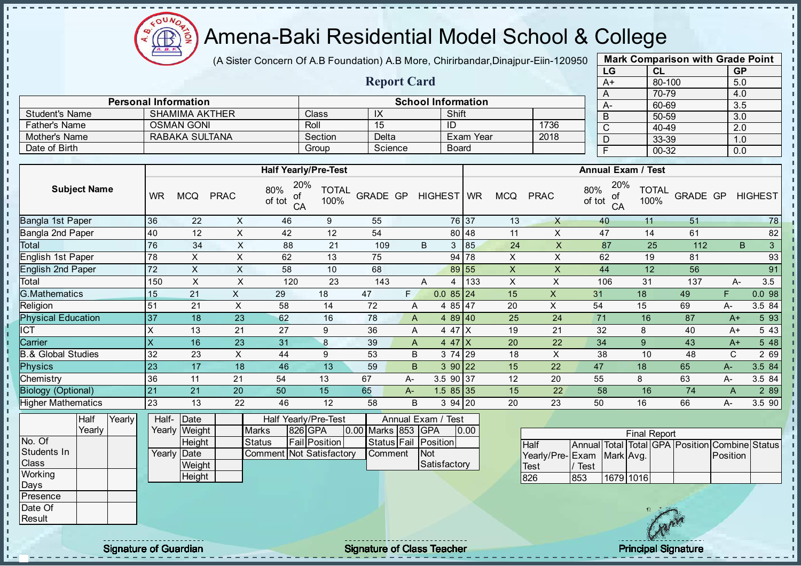

(A Sister Concern Of A.B Foundation) A.B More, Chirirbandar, Dinajpur-Eiin-120950

Report Card

| <b>Mark Comparison with Grade Point</b> |           |           |  |  |  |  |  |  |  |  |
|-----------------------------------------|-----------|-----------|--|--|--|--|--|--|--|--|
| LG                                      | CL        | <b>GP</b> |  |  |  |  |  |  |  |  |
| $A+$                                    | 80-100    | 5.0       |  |  |  |  |  |  |  |  |
| A                                       | 70-79     | 4.0       |  |  |  |  |  |  |  |  |
| A-                                      | 60-69     | 3.5       |  |  |  |  |  |  |  |  |
| B                                       | 50-59     | 3.0       |  |  |  |  |  |  |  |  |
| C                                       | 40-49     | 2.0       |  |  |  |  |  |  |  |  |
| D                                       | 33-39     | 1.0       |  |  |  |  |  |  |  |  |
| F                                       | $00 - 32$ | 0.0       |  |  |  |  |  |  |  |  |

| <b>Personal Information</b>   |                         |                              |             |                                  |                                   |                    |    | <b>School Information</b> |                       |                |                | $\sqrt{ }$<br>A- |                           | ט ו־ט ו<br>60-69     |          | ᠇.∪<br>3.5       |                |
|-------------------------------|-------------------------|------------------------------|-------------|----------------------------------|-----------------------------------|--------------------|----|---------------------------|-----------------------|----------------|----------------|------------------|---------------------------|----------------------|----------|------------------|----------------|
| <b>Student's Name</b>         |                         | <b>SHAMIMA AKTHER</b>        |             |                                  | Class                             | $\mathsf{IX}$      |    |                           | Shift                 |                |                | $\overline{B}$   |                           | $50 - 59$            |          | $\overline{3.0}$ |                |
| <b>Father's Name</b>          |                         | <b>OSMAN GONI</b>            |             |                                  | Roll                              | 15                 |    |                           | ID                    |                | 1736           | $\mathsf{C}$     |                           | 40-49                |          | 2.0              |                |
| Mother's Name                 |                         | RABAKA SULTANA               |             |                                  | Section                           | Delta              |    |                           | Exam Year             |                | 2018           | D                |                           | 33-39                |          | 1.0              |                |
| Date of Birth                 |                         |                              |             |                                  | Group                             | Science            |    |                           | <b>Board</b>          |                |                | $\overline{F}$   |                           | 00-32                |          | 0.0              |                |
|                               |                         |                              |             |                                  |                                   |                    |    |                           |                       |                |                |                  |                           |                      |          |                  |                |
|                               |                         |                              |             |                                  | <b>Half Yearly/Pre-Test</b>       |                    |    |                           |                       |                |                |                  | <b>Annual Exam / Test</b> |                      |          |                  |                |
| <b>Subject Name</b>           | <b>WR</b>               | <b>MCQ</b>                   | <b>PRAC</b> | 20%<br>80%<br>of<br>of tot<br>CA | <b>TOTAL</b><br>100%              | <b>GRADE GP</b>    |    | HIGHEST WR                |                       | <b>MCQ</b>     | <b>PRAC</b>    | 80%<br>of tot    | 20%<br>of<br>CA           | <b>TOTAL</b><br>100% | GRADE GP |                  | <b>HIGHEST</b> |
| Bangla 1st Paper              | 36                      | 22                           | X           | 46                               | 9                                 | 55                 |    |                           | 76 37                 | 13             | X              | 40               |                           | 11                   | 51       |                  | 78             |
| Bangla 2nd Paper              | 40                      | 12                           | X           | 42                               | 12                                | 54                 |    |                           | 80 48                 | 11             | X              | 47               |                           | 14                   | 61       |                  | 82             |
| Total                         | 76                      | 34                           | X           | 88                               | 21                                | 109                |    | B                         | 85<br>3               | 24             | X              | 87               |                           | 25                   | 112      |                  | B<br>3         |
| English 1st Paper             | 78                      | X                            | $\mathsf X$ | 62                               | 13                                | 75                 |    |                           | 94 78                 | X              | X              | 62               |                           | 19                   | 81       |                  | 93             |
| English 2nd Paper             | 72                      | X                            | X           | 58                               | 10                                | 68                 |    |                           | 89 55                 | $\mathsf X$    | X              | 44               |                           | 12                   | 56       |                  | 91             |
| Total                         | 150                     | X                            | X           | 120                              | 23                                | 143                |    | Α                         | 133<br>4              | $\pmb{\times}$ | X              | 106              |                           | 31                   | 137      | A-               | 3.5            |
| <b>G.Mathematics</b>          | 15                      | 21                           | X           | 29                               | 18                                | 47                 | F. |                           | $0.085$ <sub>24</sub> | 15             | $\pmb{\times}$ | 31               |                           | 18                   | 49       | F                | 0.098          |
| Religion                      | 51                      | 21                           | X           | 58                               | 14                                | 72                 | A  |                           | 4 85 47               | 20             | X              | 54               |                           | 15                   | 69       | A-               | 3.5 84         |
| <b>Physical Education</b>     | 37                      | 18                           | 23          | 62                               | 16                                | 78                 | A  |                           | $489$ 40              | 25             | 24             | 71               |                           | 16                   | 87       | $A+$             | 5 9 3          |
| <b>ICT</b>                    | X                       | 13                           | 21          | 27                               | 9                                 | 36                 | A  |                           | 4 47 X                | 19             | 21             | 32               |                           | 8                    | 40       | $A+$             | 5 4 3          |
| Carrier                       | $\overline{\mathsf{x}}$ | 16                           | 23          | 31                               | $\bf 8$                           | 39                 | A  |                           | 4 47 $X$              | 20             | 22             | 34               |                           | $9\,$                | 43       | $A+$             | 5 48           |
| <b>B.&amp; Global Studies</b> | 32                      | 23                           | $\times$    | 44                               | 9                                 | 53                 | B  |                           | 3 74 29               | 18             | X              | 38               |                           | 10                   | 48       | $\mathsf{C}$     | 2 69           |
| <b>Physics</b>                | 23                      | 17                           | 18          | 46                               | 13                                | 59                 | B. |                           | 390 22                | 15             | 22             | 47               |                           | 18                   | 65       | A-               | 3.5 84         |
| Chemistry                     | 36                      | 11                           | 21          | 54                               | 13                                | 67                 | A- |                           | 3.5 90 37             | 12             | 20             | 55               | 8                         |                      | 63       | A-               | 3.5 84         |
| <b>Biology (Optional)</b>     | 21                      | 21                           | 20          | 50                               | 15                                | 65                 | A- |                           | $1.585$ 35            | 15             | 22             | 58               |                           | 16                   | 74       | A                | 2 8 9          |
| <b>Higher Mathematics</b>     | 23                      | 13                           | 22          | 46                               | 12                                | 58                 | B  |                           | $394$ 20              | 20             | 23             | 50               |                           | 16                   | 66       | А-               | 3.5 90         |
| Yearly<br>Half<br>Vearly      | Half-                   | Date<br>Vearly <i>Weight</i> |             | $M$ orke                         | Half Yearly/Pre-Test<br>$326$ CDA | 0.00 Marke 853 CDA |    | Annual Exam / Test        | $\ln$ oo l            |                |                |                  | $-$                       |                      |          |                  |                |

|              | - 1911 | . vu. | - 1911               | 1 Duw         |                                 | , KII TUUTIVAT IU TUUT |                    |                      |      |      |
|--------------|--------|-------|----------------------|---------------|---------------------------------|------------------------|--------------------|----------------------|------|------|
|              | Yearly |       |                      | Yearly Weight | <b>Marks</b>                    | 826 GPA                | 0.00 Marks 853 GPA |                      | 0.00 |      |
| No. Of       |        |       |                      | <b>Height</b> | <b>Status</b>                   | <b>Fail Position</b>   |                    | Status Fail Position |      | Hall |
| Students In  |        |       | Yearlv <b>I</b> Date |               | <b>Comment Not Satisfactory</b> |                        | lComment           | <b>INot</b>          |      | Yea  |
| <b>Class</b> |        |       |                      | Weight        |                                 |                        |                    | Satisfactory         |      | Tes  |
| Working      |        |       |                      | Height        |                                 |                        |                    |                      |      | 826  |
| Days         |        |       |                      |               |                                 |                        |                    |                      |      |      |
| Presence     |        |       |                      |               |                                 |                        |                    |                      |      |      |

|                           |      |           | <b>Final Report</b> |  |                                                |  |
|---------------------------|------|-----------|---------------------|--|------------------------------------------------|--|
| <b>Half</b>               |      |           |                     |  | Annual Total Total GPA Position Combine Status |  |
| Yearly/Pre-Exam Mark Avg. |      |           |                     |  | Position                                       |  |
| Test                      | Test |           |                     |  |                                                |  |
| 826                       | 853  | 1679 1016 |                     |  |                                                |  |

- II J. - II ×

**II**  $\mathbf{I}$  $\mathbf{I}$ 

 $\frac{1}{1}$ 

Date Of **Result**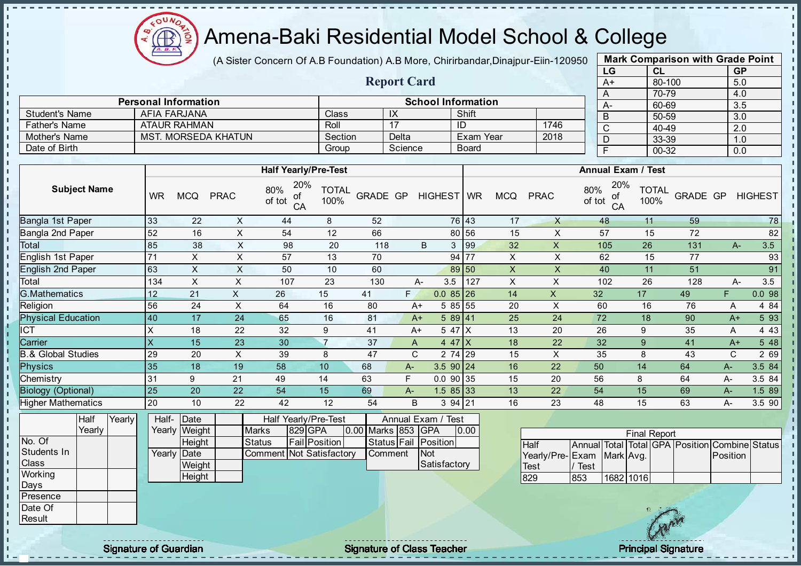

(A Sister Concern Of A.B Foundation) A.B More, Chirirbandar, Dinajpur-Eiin-120950

Report Card

Personal Information and School Information

Father's Name ATAUR RAHMAN Roll 17 ID 1746

Student's Name | AFIA FARJANA | Class | IX | Shift

Mother's Name MST. MORSEDA KHATUN Section Delta Exam Year

| <b>Mark Comparison with Grade Point</b> |        |           |  |  |  |  |  |  |  |  |
|-----------------------------------------|--------|-----------|--|--|--|--|--|--|--|--|
| LG                                      | CL     | <b>GP</b> |  |  |  |  |  |  |  |  |
| $A+$                                    | 80-100 | 5.0       |  |  |  |  |  |  |  |  |
| A                                       | 70-79  | 4.0       |  |  |  |  |  |  |  |  |
| А-                                      | 60-69  | 3.5       |  |  |  |  |  |  |  |  |
| B                                       | 50-59  | 3.0       |  |  |  |  |  |  |  |  |
| C                                       | 40-49  | 2.0       |  |  |  |  |  |  |  |  |
| D                                       | 33-39  | 1.0       |  |  |  |  |  |  |  |  |
| F                                       | 00-32  | 0.0       |  |  |  |  |  |  |  |  |
|                                         |        |           |  |  |  |  |  |  |  |  |

| Date of Birth                 |                     |        |                           |                |                |                                  | Group                       |                | Science     |                    | <b>Board</b> |                           |                    |               | F               | 00 O<br>$00 - 32$         |                                               | .<br>0.0    |                |
|-------------------------------|---------------------|--------|---------------------------|----------------|----------------|----------------------------------|-----------------------------|----------------|-------------|--------------------|--------------|---------------------------|--------------------|---------------|-----------------|---------------------------|-----------------------------------------------|-------------|----------------|
|                               |                     |        |                           |                |                |                                  |                             |                |             |                    |              |                           |                    |               |                 |                           |                                               |             |                |
|                               |                     |        |                           |                |                |                                  | <b>Half Yearly/Pre-Test</b> |                |             |                    |              |                           |                    |               |                 | <b>Annual Exam / Test</b> |                                               |             |                |
|                               | <b>Subject Name</b> |        | <b>WR</b>                 | <b>MCQ</b>     | <b>PRAC</b>    | 20%<br>80%<br>οf<br>of tot<br>CA | <b>TOTAL</b><br>100%        | GRADE GP       |             | HIGHEST WR         |              | <b>MCQ</b>                | <b>PRAC</b>        | 80%<br>of tot | 20%<br>οf<br>CA | <b>TOTAL</b><br>100%      | GRADE GP                                      |             | <b>HIGHEST</b> |
| Bangla 1st Paper              |                     |        | 33                        | 22             | X              | 44                               | 8                           | 52             |             |                    | 76 43        | 17                        | $\times$           |               | 48              | 11                        | 59                                            |             | 78             |
| Bangla 2nd Paper              |                     |        | 52                        | 16             | X              | 54                               | 12                          | 66             |             | 80                 | 56           | 15                        | X                  |               | 57              | 15                        | 72                                            |             | 82             |
| Total                         |                     |        | 85                        | 38             | X              | 98                               | 20                          | 118            |             | B.<br>$\mathbf{3}$ | 99           | 32                        | X                  |               | 105             | 26                        | 131                                           | $A-$        | 3.5            |
| English 1st Paper             |                     |        | 71                        | X              | X              | 57                               | 13                          | 70             |             |                    | 94 77        | X                         | X                  |               | 62              | 15                        | 77                                            |             | 93             |
| <b>English 2nd Paper</b>      |                     |        | 63                        | $\pmb{\times}$ | X              | 50                               | 10                          | 60             |             |                    | 89 50        | X                         | X                  |               | 40              | 11                        | 51                                            |             | 91             |
| Total                         |                     |        | 134                       | $\pmb{\times}$ | $\mathsf X$    | 107                              | 23                          | 130            |             | 3.5<br>A-          | 127          | $\boldsymbol{\mathsf{X}}$ | X                  |               | 102             | 26                        | 128                                           | $A-$        | 3.5            |
| <b>G.Mathematics</b>          |                     |        | 12                        | 21             | X              | 26                               | 15                          | 41             | F.          | $0.085$ 26         |              | 14                        | X                  | 32            |                 | 17                        | 49                                            | F           | 0.098          |
| Religion                      |                     |        | 56                        | 24             | $\pmb{\times}$ | 64                               | 16                          | 80             | $A+$        | 5 85 55            |              | 20                        | X                  | 60            |                 | 16                        | 76                                            | Α           | 4 8 4          |
| <b>Physical Education</b>     |                     |        | 40                        | 17             | 24             | 65                               | 16                          | 81             | $A+$        | 589 41             |              | 25                        | 24                 | 72            |                 | 18                        | 90                                            | $A+$        | 5 93           |
| <b>ICT</b>                    |                     |        | X                         | 18             | 22             | 32                               | 9                           | 41             | $A+$        | 5 47               | X            | 13                        | 20                 | 26            |                 | 9                         | 35                                            | Α           | 4 4 3          |
| Carrier                       |                     |        | $\boldsymbol{\mathsf{X}}$ | 15             | 23             | 30                               | $\overline{7}$              | 37             | A           | $447$ X            |              | 18                        | 22                 | 32            |                 | 9                         | 41                                            | $A+$        | 5 48           |
| <b>B.&amp; Global Studies</b> |                     |        | 29                        | 20             | $\pmb{\times}$ | 39                               | 8                           | 47             | C           | 2 74 29            |              | 15                        | $\pmb{\mathsf{X}}$ | 35            |                 | 8                         | 43                                            | $\mathsf C$ | 2 69           |
| <b>Physics</b>                |                     |        | 35                        | 18             | 19             | 58                               | 10                          | 68             | A-          | $3.590$ 24         |              | 16                        | 22                 | 50            |                 | 14                        | 64                                            | A-          | 3.5 84         |
| Chemistry                     |                     |        | 31                        | 9              | 21             | 49                               | 14                          | 63             | F           | $0.0$ 90 35        |              | 15                        | 20                 | 56            |                 | 8                         | 64                                            | A-          | 3.5 84         |
| <b>Biology (Optional)</b>     |                     |        | 25                        | 20             | 22             | 54                               | 15                          | 69             | A-          | $1.585$ 33         |              | 13                        | 22                 | 54            |                 | 15                        | 69                                            | A-          | 1.5 89         |
| <b>Higher Mathematics</b>     |                     |        | 20                        | 10             | 22             | 42                               | 12                          | 54             | B           | 3 94               | 21           | 16                        | 23                 | 48            |                 | 15                        | 63                                            | A-          | 3.5 90         |
|                               | Half                | Yearly | Half-                     | Date           |                |                                  | Half Yearly/Pre-Test        |                | Annual      | Exam / Test        |              |                           |                    |               |                 |                           |                                               |             |                |
|                               | Yearly              |        | Yearly                    | Weight         |                | <b>Marks</b>                     | 829 GPA                     | 0.00 Marks 853 |             | <b>GPA</b>         | 0.00         |                           |                    |               |                 | <b>Final Report</b>       |                                               |             |                |
| No. Of                        |                     |        |                           | Height         |                | <b>Status</b>                    | Fail Position               |                | Status Fail | Position           |              |                           | Half               | Annual        |                 |                           | Total   Total GPA   Position   Combine Status |             |                |
| Students In                   |                     |        | Yearly                    | Date           |                | <b>Comment Not Satisfactory</b>  |                             |                | Comment     | <b>Not</b>         |              |                           | Yearly/Pre-        | Exam          | Mark Avg.       |                           |                                               | Position    |                |
| Class                         |                     |        |                           | Weight         |                |                                  |                             |                |             | Satisfactory       |              |                           | Test               | <b>Test</b>   |                 |                           |                                               |             |                |
| Working                       |                     |        |                           | Height         |                |                                  |                             |                |             |                    |              |                           | 829                | 853           | 1682 1016       |                           |                                               |             |                |

**Working** Days Presence Date Of Result

 $\frac{1}{1}$ - II

 $\mathbf{I}$ J.  $\mathbf{r}$ - II - II J. - II - II  $\mathbf{I}$ 

 $\mathbf{r}$ J. - II

 $\mathbf{I}$  $\mathbf{I}$ J.  $\mathbf{I}$  $\mathbf{I}$  $\mathbf{I}$  $\mathbf{I}$  $\mathbf{I}$  $\mathbf{I}$  $\mathbf{I}$  $\mathbf{I}$ a, b. T. h. ń. T. J.  $\mathbf{I}$  $\mathbf{I}$  $\mathbf{I}$  $\mathbf{r}$  $\mathbf{I}$  $\mathbf{I}$ l ni h. li. h. l n h  $\mathbf{r}$ 

Signature of Guardian Signature of Class Teacher Principal Signature of Class Teacher Principal Signature



1682 1016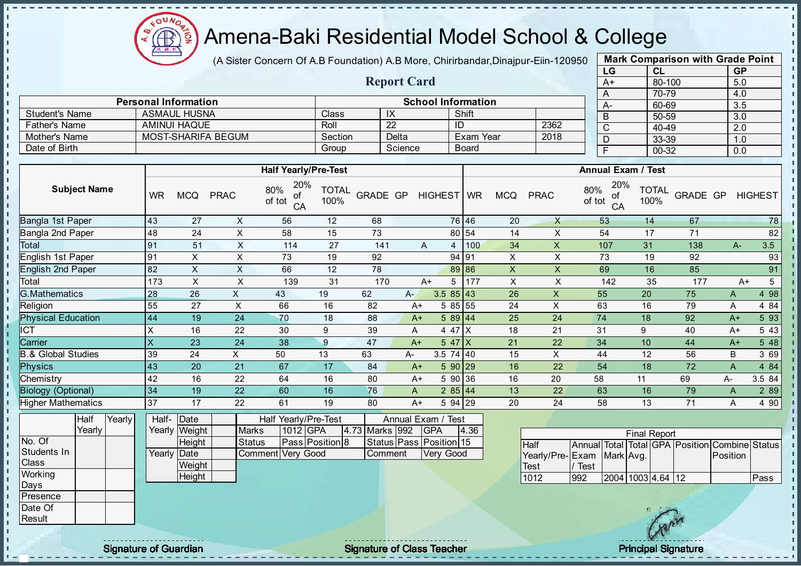Æ

J. - II

J.

J.

-8

a.

п

п

J. J. J.

- II  $\mathbf{r}$ 

J.

 $\blacksquare$ **II**  $\mathbf{r}$ 

J.

 $\blacksquare$  $\mathbf{I}$  $\mathbf{I}$  $\mathbf{I}$  $\mathbf{u}$  $\mathbf{I}$ - II л - II

## Amena-Baki Residential Model School & College

(A Sister Concern Of A.B Foundation) A.B More, Chirirbandar, Dinajpur-Eiin-120950

Report Card

Personal Information School Information

Father's Name AMINUI HAQUE Roll 22 ID 2362<br>
Mother's Name MOST-SHARIFA BEGUM Section Delta Exam Year 2018

Student's Name ASMAUL HUSNA Class IX Shift<br>
Father's Name AMINUI HAQUE Roll 22 ID

Mother's Name MOST-SHARIFA BEGUM Section Delta Exam Year Date of Birth Group Science Board

| <b>Mark Comparison with Grade Point</b> |        |           |  |  |  |  |  |  |  |  |
|-----------------------------------------|--------|-----------|--|--|--|--|--|--|--|--|
| LG                                      | CL     | <b>GP</b> |  |  |  |  |  |  |  |  |
| $A+$                                    | 80-100 | 5.0       |  |  |  |  |  |  |  |  |
| A                                       | 70-79  | 4.0       |  |  |  |  |  |  |  |  |
| А-                                      | 60-69  | 3.5       |  |  |  |  |  |  |  |  |
| B                                       | 50-59  | 3.0       |  |  |  |  |  |  |  |  |
| C                                       | 40-49  | 2.0       |  |  |  |  |  |  |  |  |
| D                                       | 33-39  | 1.0       |  |  |  |  |  |  |  |  |
| F                                       | 00-32  | 0.0       |  |  |  |  |  |  |  |  |
|                                         |        |           |  |  |  |  |  |  |  |  |

п

 $\mathbf{I}$ 

 $\mathbf{I}$ 

r.

п

J.

h,

п

п

|                               |                 |                 |                           | <b>Half Yearly/Pre-Test</b>      |                      |                         |                    |                |             |      |                           |                           |                     |                 | <b>Annual Exam / Test</b> |                                   |          |                 |
|-------------------------------|-----------------|-----------------|---------------------------|----------------------------------|----------------------|-------------------------|--------------------|----------------|-------------|------|---------------------------|---------------------------|---------------------|-----------------|---------------------------|-----------------------------------|----------|-----------------|
| <b>Subject Name</b>           | <b>WR</b>       | <b>MCQ</b>      | <b>PRAC</b>               | 20%<br>80%<br>of<br>of tot<br>CA | <b>TOTAL</b><br>100% | GRADE GP                |                    | HIGHEST WR     |             |      | <b>MCQ</b>                | <b>PRAC</b>               | 80%<br>of tot       | 20%<br>оf<br>CA | <b>TOTAL</b><br>100%      | GRADE GP                          |          | <b>HIGHEST</b>  |
| Bangla 1st Paper              | 43              | 27              | X                         | 56                               | 12                   | 68                      |                    |                | 76 46       |      | 20                        | $\times$                  |                     | 53              | 14                        | 67                                |          | 78              |
| Bangla 2nd Paper              | 48              | 24              | $\sf X$                   | 58                               | 15                   | 73                      |                    |                | 80 54       |      | 14                        | X                         |                     | 54              | 17                        | 71                                |          | 82              |
| Total                         | 91              | 51              | $\mathsf X$               | 114                              | 27                   | 141                     |                    | $\overline{A}$ | 4           | 100  | 34                        | $\pmb{\times}$            |                     | 107             | 31                        | 138                               | $A -$    | 3.5             |
| English 1st Paper             | 91              | $\times$        | $\sf X$                   | 73                               | 19                   | 92                      |                    |                | 94 91       |      | X                         | $\mathsf X$               |                     | 73              | 19                        | 92                                |          | 93              |
| <b>English 2nd Paper</b>      | $\overline{82}$ | $\mathsf X$     | $\mathsf{X}$              | 66                               | 12                   | 78                      |                    |                | 89 86       |      | $\pmb{\mathsf{X}}$        | $\boldsymbol{\mathsf{X}}$ |                     | 69              | 16                        | 85                                |          | 91              |
| Total                         | 173             | X               | $\mathsf X$               | 139                              | 31                   | 170                     |                    | $A+$           | 5           | 177  | $\boldsymbol{\mathsf{X}}$ | $\mathsf X$               |                     | 142             | 35                        | 177                               | $A+$     | $5\phantom{.0}$ |
| <b>G.Mathematics</b>          | 28              | 26              | $\boldsymbol{\mathsf{X}}$ | 43                               | 19                   | 62                      | A-                 |                | $3.585$ 43  |      | 26                        | $\boldsymbol{\mathsf{X}}$ |                     | 55              | 20                        | 75                                | A        | 4 98            |
| Religion                      | 55              | 27              | $\sf X$                   | 66                               | 16                   | 82                      | $A+$               |                | 5 85 55     |      | 24                        | $\mathsf X$               |                     | 63              | 16                        | 79                                | A        | 4 8 4           |
| <b>Physical Education</b>     | 44              | 19              | 24                        | 70                               | 18                   | 88                      | $A+$               |                | 589 44      |      | 25                        | 24                        | 74                  |                 | 18                        | 92                                | $A+$     | 5 93            |
| <b>ICT</b>                    | X               | 16              | 22                        | 30                               | 9                    | 39                      | A                  |                | 4 47 X      |      | 18                        | 21                        | 31                  |                 | 9                         | 40                                | $A+$     | 5 4 3           |
| Carrier                       | X               | 23              | 24                        | 38                               | 9                    | 47                      | $A+$               |                | $547$ X     |      | 21                        | 22                        | 34                  |                 | 10                        | 44                                | $A+$     | 5 48            |
| <b>B.&amp; Global Studies</b> | 39              | 24              | $\times$                  | 50                               | 13                   | 63                      | А-                 |                | $3.5$ 74 40 |      | 15                        | X                         |                     | 44              | 12                        | 56                                | B        | 3 69            |
| <b>Physics</b>                | 43              | $\overline{20}$ | $\overline{21}$           | 67                               | 17                   | 84                      | $A+$               |                | 590 29      |      | 16                        | $\overline{22}$           |                     | 54              | 18                        | 72                                | A        | 4 8 4           |
| Chemistry                     | 42              | 16              | 22                        | 64                               | 16                   | 80                      | $A+$               |                | 5 90 36     |      | 16                        | 20                        | 58                  |                 | 11                        | 69                                | A-       | 3.5 84          |
| <b>Biology (Optional)</b>     | 34              | 19              | 22                        | 60                               | 16                   | 76                      | A                  |                | 285 44      |      | 13                        | 22                        |                     | 63              | 16                        | 79                                | A        | 2 8 9           |
| <b>Higher Mathematics</b>     | 37              | 17              | 22                        | 61                               | 19                   | 80                      | $A+$               |                | 5 94 29     |      | 20                        | 24                        |                     | 58              | 13                        | 71                                | A        | 4 90            |
| Half<br>Yearly                | Half-           | Date            |                           | Half Yearly/Pre-Test             |                      |                         | Annual Exam / Test |                |             |      |                           |                           |                     |                 |                           |                                   |          |                 |
| Yearly                        |                 | Yearly Weight   | <b>Marks</b>              | 1012 GPA                         |                      | 4.73 Marks 992          |                    | <b>GPA</b>     |             | 4.36 |                           |                           |                     |                 | <b>Final Report</b>       |                                   |          |                 |
| No. Of                        |                 | Height          | <b>Status</b>             |                                  | Pass Position 8      | Status Pass Position 15 |                    |                |             |      |                           | Half                      | <b>Annual</b> Total |                 |                           | Total GPA Position Combine Status |          |                 |
| Students In                   |                 | Yearly Date     |                           | Comment Very Good                |                      | Comment                 |                    |                | Very Good   |      |                           | Yearly/Pre-Exam           |                     | Mark Avg.       |                           |                                   | Position |                 |
| Class                         |                 | Weight          |                           |                                  |                      |                         |                    |                |             |      |                           | Test                      | / Test              |                 |                           |                                   |          |                 |
| Working                       |                 | Height          |                           |                                  |                      |                         |                    |                |             |      |                           | 1012                      | 992                 |                 | 2004 1003 4.64 12         |                                   |          | Pass            |
| Days<br>Presence              |                 |                 |                           |                                  |                      |                         |                    |                |             |      |                           |                           |                     |                 |                           |                                   |          |                 |
| Date Of                       |                 |                 |                           |                                  |                      |                         |                    |                |             |      |                           |                           |                     |                 |                           |                                   |          |                 |
| Result                        |                 |                 |                           |                                  |                      |                         |                    |                |             |      |                           |                           |                     |                 |                           |                                   |          |                 |
|                               |                 |                 |                           |                                  |                      |                         |                    |                |             |      |                           |                           |                     |                 |                           |                                   |          |                 |

Signature of Guardian Teacher Signature of Class Teacher Principal Signature of Class Teacher Principal Signature

 $\mathcal{U}^{\prime}$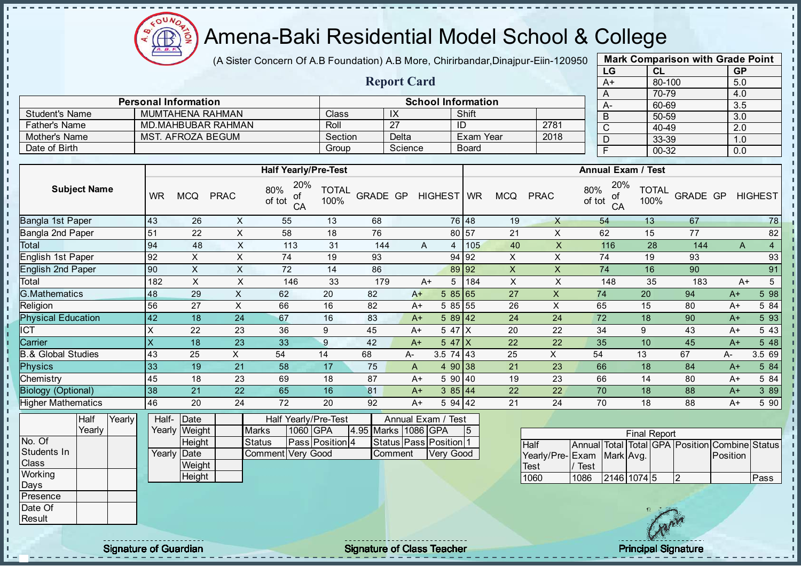

(A Sister Concern Of A.B Foundation) A.B More, Chirirbandar, Dinajpur-Eiin-120950

Report Card

Personal Information and School Information

Father's Name MD.MAHBUBAR RAHMAN ROLL 27 1D 2781 Mother's Name MST. AFROZA BEGUM Section Delta Exam Year 2018

Student's Name MUMTAHENA RAHMAN Class IX Shift<br>
Father's Name MD.MAHBUBAR RAHMAN Roll 27 ID

Date of Birth Group Science Board

| <b>Mark Comparison with Grade Point</b> |           |           |  |  |  |  |  |  |  |
|-----------------------------------------|-----------|-----------|--|--|--|--|--|--|--|
| LG                                      | <b>CL</b> | <b>GP</b> |  |  |  |  |  |  |  |
| $A+$                                    | 80-100    | 5.0       |  |  |  |  |  |  |  |
| A                                       | 70-79     | 4.0       |  |  |  |  |  |  |  |
| А-                                      | 60-69     | 3.5       |  |  |  |  |  |  |  |
| B                                       | 50-59     | 3.0       |  |  |  |  |  |  |  |
| C                                       | 40-49     | 2.0       |  |  |  |  |  |  |  |
| D                                       | 33-39     | 1.0       |  |  |  |  |  |  |  |
| F                                       | 00-32     | 0.0       |  |  |  |  |  |  |  |

л h,

п

 $\mathbf{I}$ 

 $\mathbf{I}$ 

|                               |                     |        |           |               |                           | <b>Half Yearly/Pre-Test</b>      |                      |                     |         |      |                        |                |                           |                 | <b>Annual Exam / Test</b>                      |                      |          |          |                |
|-------------------------------|---------------------|--------|-----------|---------------|---------------------------|----------------------------------|----------------------|---------------------|---------|------|------------------------|----------------|---------------------------|-----------------|------------------------------------------------|----------------------|----------|----------|----------------|
|                               | <b>Subject Name</b> |        | <b>WR</b> | <b>MCQ</b>    | <b>PRAC</b>               | 20%<br>80%<br>οf<br>of tot<br>CA | <b>TOTAL</b><br>100% | GRADE GP            |         |      | HIGHEST WR             |                | <b>MCQ</b>                | <b>PRAC</b>     | 20%<br>80%<br>οf<br>of tot<br>CA               | <b>TOTAL</b><br>100% | GRADE GP |          | <b>HIGHEST</b> |
| Bangla 1st Paper              |                     |        | 43        | 26            | X                         | 55                               | 13                   | 68                  |         |      | 76 48                  |                | 19                        | $\mathsf{X}$    | 54                                             | 13                   | 67       |          | 78             |
| Bangla 2nd Paper              |                     |        | 51        | 22            | X                         | 58                               | 18                   | 76                  |         |      | 80 57                  |                | 21                        | X               | 62                                             | 15                   | 77       |          | 82             |
| <b>Total</b>                  |                     |        | 94        | 48            | $\boldsymbol{\mathsf{X}}$ | 113                              | 31                   | 144                 |         | A    | 4                      | 105            | 40                        | X               | 116                                            | 28                   | 144      | A        | $\overline{4}$ |
| English 1st Paper             |                     |        | 92        | X             | X                         | 74                               | 19                   | 93                  |         |      | 94 92                  |                | X                         | X               | 74                                             | 19                   | 93       |          | 93             |
| <b>English 2nd Paper</b>      |                     |        | 90        | $\sf X$       | $\times$                  | 72                               | 14                   | 86                  |         |      | 89 92                  |                | $\mathsf X$               | $\mathsf{X}$    | 74                                             | 16                   | 90       |          | 91             |
| Total                         |                     |        | 182       | X             | $\pmb{\times}$            | 146                              | 33                   | 179                 |         | $A+$ | 5                      | 184            | $\boldsymbol{\mathsf{X}}$ | X               | 148                                            | 35                   | 183      | $A+$     | 5 <sup>5</sup> |
| <b>G.Mathematics</b>          |                     |        | 48        | 29            | $\times$                  | 62                               | 20                   | 82                  | $A+$    |      | 585 65                 |                | 27                        | $\times$        | 74                                             | 20                   | 94       | $A+$     | 5 98           |
| Religion                      |                     |        | 56        | 27            | X                         | 66                               | 16                   | 82                  | $A+$    |      | 5 85 55                |                | 26                        | X               | 65                                             | 15                   | 80       | $A+$     | 5 84           |
| <b>Physical Education</b>     |                     |        | 42        | 18            | 24                        | 67                               | 16                   | 83                  | $A+$    |      | $589$ 42               |                | 24                        | 24              | 72                                             | 18                   | 90       | $A+$     | 5 93           |
| <b>ICT</b>                    |                     |        | X         | 22            | 23                        | 36                               | 9                    | 45                  | $A+$    |      | 5 47 X                 |                | 20                        | 22              | 34                                             | 9                    | 43       | $A+$     | 5 4 3          |
| Carrier                       |                     |        | X         | 18            | 23                        | 33                               | 9                    | 42                  | $A+$    |      | $547$ X                |                | 22                        | 22              | 35                                             | 10                   | 45       | $A+$     | 5 48           |
| <b>B.&amp; Global Studies</b> |                     |        | 43        | 25            | X                         | 54                               | 14                   | 68                  | А-      |      | $3.5$ 74 43            |                | 25                        | X               | 54                                             | 13                   | 67       | А-       | 3.5 69         |
| <b>Physics</b>                |                     |        | 33        | 19            | 21                        | 58                               | 17                   | 75                  | A       |      | 4 90 38                |                | 21                        | 23              | 66                                             | 18                   | 84       | $A+$     | 5 84           |
| Chemistry                     |                     |        | 45        | 18            | 23                        | 69                               | 18                   | 87                  | $A+$    |      | 5 90 40                |                | 19                        | 23              | 66                                             | 14                   | 80       | $A+$     | 5 84           |
| <b>Biology (Optional)</b>     |                     |        | 38        | 21            | 22                        | 65                               | 16                   | 81                  | $A+$    |      | 385 44                 |                | 22                        | 22              | 70                                             | 18                   | 88       | $A+$     | 3 8 9          |
| <b>Higher Mathematics</b>     |                     |        | 46        | 20            | 24                        | 72                               | 20                   | 92                  | $A+$    |      | 5 94 42                |                | 21                        | 24              | 70                                             | 18                   | 88       | $A+$     | 5 90           |
|                               | Half                | Yearly | Half-     | Date          |                           | Half Yearly/Pre-Test             |                      |                     |         |      | Annual Exam / Test     |                |                           |                 |                                                |                      |          |          |                |
|                               | Yearly              |        |           | Yearly Weight |                           | <b>Marks</b><br>1060 GPA         |                      | 4.95 Marks 1086 GPA |         |      |                        | 5 <sup>5</sup> |                           |                 |                                                | <b>Final Report</b>  |          |          |                |
| No. Of                        |                     |        |           | Height        |                           | <b>Status</b>                    | Pass Position 4      |                     |         |      | Status Pass Position 1 |                |                           | <b>Half</b>     | Annual Total Total GPA Position Combine Status |                      |          |          |                |
| Students In                   |                     |        |           | Yearly Date   |                           | Very Good<br>Comment             |                      |                     | Comment |      | Very Good              |                |                           | Yearly/Pre-Exam | Mark Avg.                                      |                      |          | Position |                |
| Class                         |                     |        |           | Weight        |                           |                                  |                      |                     |         |      |                        |                |                           | Test            | <b>Test</b>                                    |                      |          |          |                |
| Working                       |                     |        |           | Height        |                           |                                  |                      |                     |         |      |                        |                |                           | 1060            | 2146 1074 5<br>1086                            |                      | <b>2</b> |          | Pass           |
| Days                          |                     |        |           |               |                           |                                  |                      |                     |         |      |                        |                |                           |                 |                                                |                      |          |          |                |
| Presence                      |                     |        |           |               |                           |                                  |                      |                     |         |      |                        |                |                           |                 |                                                |                      |          |          |                |
| Date Of                       |                     |        |           |               |                           |                                  |                      |                     |         |      |                        |                |                           |                 |                                                | 18 二字名               |          |          |                |

**Result** 

J. - II  $\mathbf{r}$ J. J.

- II  $\mathbf{I}$ J.  $\mathbf{I}$  $\blacksquare$  $\mathbf{I}$ J. ÷. J. J. п п T. J. T. J.  $\mathbf{I}$  $\mathbf{I}$ 

 $\mathbf{I}$  $\mathbf{r}$  $\mathbf{I}$  $\mathbf{I}$ 

 $\blacksquare$  $\mathbf{I}$ 

 $\mathbf{I}$ 

 $\mathbf{u}$  $\mathbf{I}$  $\mathbf{I}$  $\mathbf{I}$ - II J.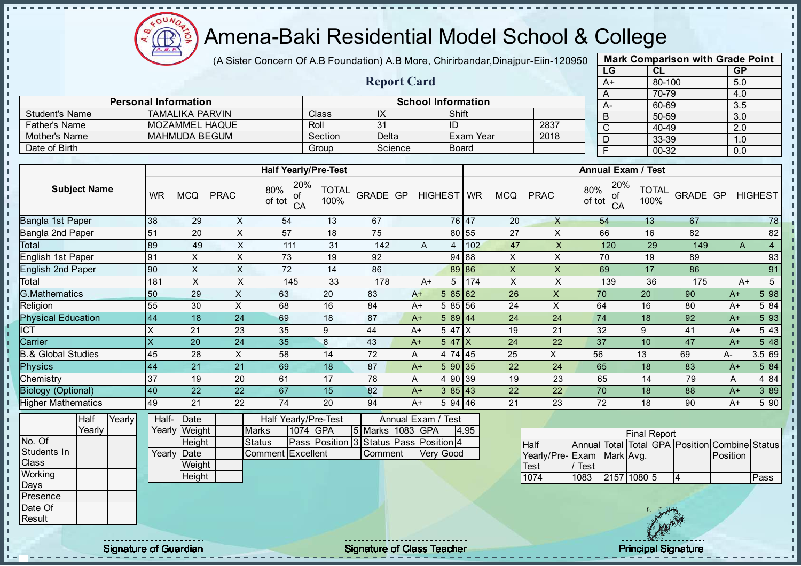

(A Sister Concern Of A.B Foundation) A.B More, Chirirbandar, Dinajpur-Eiin-120950

Report Card

Personal Information School Information

Father's Name MOZAMMEL HAQUE Roll 31 ID 2837 Mother's Name MAHMUDA BEGUM Section Delta Exam Year 2018

Student's Name TAMALIKA PARVIN Class IX IX Shift

| <b>Mark Comparison with Grade Point</b> |  |  |  |  |  |  |  |  |  |
|-----------------------------------------|--|--|--|--|--|--|--|--|--|
|                                         |  |  |  |  |  |  |  |  |  |
|                                         |  |  |  |  |  |  |  |  |  |
|                                         |  |  |  |  |  |  |  |  |  |
|                                         |  |  |  |  |  |  |  |  |  |
|                                         |  |  |  |  |  |  |  |  |  |
|                                         |  |  |  |  |  |  |  |  |  |
|                                         |  |  |  |  |  |  |  |  |  |
|                                         |  |  |  |  |  |  |  |  |  |
|                                         |  |  |  |  |  |  |  |  |  |

 $\mathbf{I}$ 

п

 $\mathbf{I}$ 

 $\mathbf{I}$ 

 $\mathbf{I}$  $\mathbf{I}$ 

 $\mathbf{I}$ 

п

J.  $\frac{1}{1}$ 

п  $\mathbf{I}$  $\mathbf{I}$  $\mathbf{I}$ 

 $\mathbf{I}$ 

 $\mathbf{I}$ 

| Date of Birth                 |                |        |                         |                       |                           |                     | Group                                      |                  | Science     |           | <b>Board</b>   |     |              |                 |               | $\overline{F}$  | $00 - 32$                 |                                                | 0.0      |                 |
|-------------------------------|----------------|--------|-------------------------|-----------------------|---------------------------|---------------------|--------------------------------------------|------------------|-------------|-----------|----------------|-----|--------------|-----------------|---------------|-----------------|---------------------------|------------------------------------------------|----------|-----------------|
|                               |                |        |                         |                       |                           |                     |                                            |                  |             |           |                |     |              |                 |               |                 |                           |                                                |          |                 |
|                               |                |        |                         |                       |                           |                     | <b>Half Yearly/Pre-Test</b>                |                  |             |           |                |     |              |                 |               |                 | <b>Annual Exam / Test</b> |                                                |          |                 |
| <b>Subject Name</b>           |                |        | <b>WR</b>               | <b>MCQ</b>            | <b>PRAC</b>               | 80%<br>ot<br>of tot | 20%<br><b>TOTAL</b><br>100%<br>CA          | GRADE GP         |             |           | HIGHEST WR     |     | <b>MCQ</b>   | <b>PRAC</b>     | 80%<br>of tot | 20%<br>οf<br>CA | <b>TOTAL</b><br>100%      | GRADE GP                                       |          | <b>HIGHEST</b>  |
| Bangla 1st Paper              |                |        | 38                      | 29                    | X                         | 54                  | 13                                         | 67               |             |           | 76 47          |     | 20           | $\times$        |               | 54              | 13                        | 67                                             |          | 78              |
| Bangla 2nd Paper              |                |        | 51                      | 20                    | $\pmb{\mathsf{X}}$        | 57                  | 18                                         | 75               |             |           | 80 55          |     | 27           | X               |               | 66              | 16                        | 82                                             |          | 82              |
| Total                         |                |        | 89                      | 49                    | $\sf X$                   | 111                 | 31                                         | 142              |             | A         | 4              | 102 | 47           | $\mathsf X$     |               | 120             | 29                        | 149                                            | A        | $\overline{4}$  |
| English 1st Paper             |                |        | 91                      | X                     | $\boldsymbol{\mathsf{X}}$ | 73                  | 19                                         | 92               |             |           | 94 88          |     | $\mathsf{X}$ | X               |               | 70              | 19                        | 89                                             |          | 93              |
| <b>English 2nd Paper</b>      |                |        | 90                      | X                     | $\mathsf X$               | 72                  | 14                                         | 86               |             |           | 89 86          |     | $\mathsf{x}$ | $\times$        |               | 69              | 17                        | 86                                             |          | 91              |
| Total                         |                |        | 181                     | $\pmb{\times}$        | X                         | 145                 | 33                                         | 178              |             | $A+$      | 5              | 174 | $\mathsf X$  | $\mathsf{X}$    |               | 139             | 36                        | 175                                            | $A+$     | $5\overline{)}$ |
| <b>G.Mathematics</b>          |                |        | 50                      | 29                    | X                         | 63                  | 20                                         | 83               | $A+$        |           | 585 62         |     | 26           | $\times$        | 70            |                 | 20                        | 90                                             | $A+$     | 5 98            |
| Religion                      |                |        | 55                      | 30                    | X                         | 68                  | 16                                         | 84               | $A+$        |           | 5 85 56        |     | 24           | $\times$        | 64            |                 | 16                        | 80                                             | $A+$     | 5 84            |
| <b>Physical Education</b>     |                |        | 44                      | 18                    | 24                        | 69                  | 18                                         | 87               | $A+$        |           | 44<br>5 89     |     | 24           | 24              | 74            |                 | 18                        | 92                                             | $A+$     | 5 93            |
| $\overline{CT}$               |                |        | X                       | 21                    | 23                        | 35                  | 9                                          | 44               | $A+$        |           | $547$ $X$      |     | 19           | 21              | 32            |                 | 9                         | 41                                             | $A+$     | 5 4 3           |
| Carrier                       |                |        | $\overline{\mathsf{X}}$ | 20                    | 24                        | 35                  | 8                                          | 43               | $A+$        |           | 5 47<br>ΙX     |     | 24           | 22              | 37            |                 | 10                        | 47                                             | $A+$     | 5 48            |
| <b>B.&amp; Global Studies</b> |                |        | 45                      | 28                    | X                         | 58                  | 14                                         | 72               | Α           |           | 4 74 45        |     | 25           | X               | 56            |                 | 13                        | 69                                             | A-       | 3.5 69          |
| <b>Physics</b>                |                |        | 44                      | 21                    | 21                        | 69                  | 18                                         | 87               | $A+$        |           | 590 35         |     | 22           | 24              | 65            |                 | 18                        | 83                                             | $A+$     | 5 84            |
| Chemistry                     |                |        | 37                      | 19                    | 20                        | 61                  | 17                                         | 78               | A           |           | 4 90 39        |     | 19           | 23              |               | 65              | 14                        | 79                                             | Α        | 4 8 4           |
| <b>Biology (Optional)</b>     |                |        | 40                      | 22                    | 22                        | 67                  | 15                                         | 82               | $A+$        |           | 3 85 43        |     | 22           | 22              | 70            |                 | 18                        | 88                                             | $A+$     | 3 8 9           |
| <b>Higher Mathematics</b>     |                |        | 49                      | 21                    | 22                        | 74                  | 20                                         | 94               | A+          |           | 5 94 46        |     | 21           | 23              | 72            |                 | 18                        | 90                                             | A+       | 5 90            |
|                               | Half<br>Yearly | Yearly | Half-                   | Date<br>Yearly Weight |                           | <b>Marks</b>        | Half Yearly/Pre-Test<br>1074<br><b>GPA</b> | 5 Marks 1083 GPA | Annual Exam |           | / Test<br>4.95 |     |              |                 |               |                 |                           |                                                |          |                 |
| No. Of                        |                |        |                         | Height                |                           | <b>Status</b>       | Pass Position 3 Status Pass Position 4     |                  |             |           |                |     |              | Half            |               |                 | <b>Final Report</b>       |                                                |          |                 |
| Students In                   |                |        | Yearly                  | Date                  |                           | Comment Excellent   |                                            | Comment          |             | Very Good |                |     |              | Yearly/Pre-Exam |               | Mark Avg.       |                           | Annual Total Total GPA Position Combine Status | Position |                 |
| Class                         |                |        |                         | Weight                |                           |                     |                                            |                  |             |           |                |     |              | <b>Test</b>     | Test          |                 |                           |                                                |          |                 |
| Working                       |                |        |                         | Height                |                           |                     |                                            |                  |             |           |                |     |              | 1074            | 1083          |                 | 2157 1080 5               | $\overline{4}$                                 |          | Pass            |
| Days                          |                |        |                         |                       |                           |                     |                                            |                  |             |           |                |     |              |                 |               |                 |                           |                                                |          |                 |



Presence Date Of **Result** 

J. J. - II

- II - II J. - II

J.  $\mathbf{r}$ 

J.

-8

J. J.

п п

T. J. T.

J.  $\mathbf{r}$ 

 $\mathbf{I}$  $\blacksquare$ 

 $\mathbf{I}$ 

 $\mathbf{I}$ 

 $\mathbf{r}$  $\mathbf{r}$ 

ñ

Signature of Guardian Signature Signature of Class Teacher National Signature Principal Signature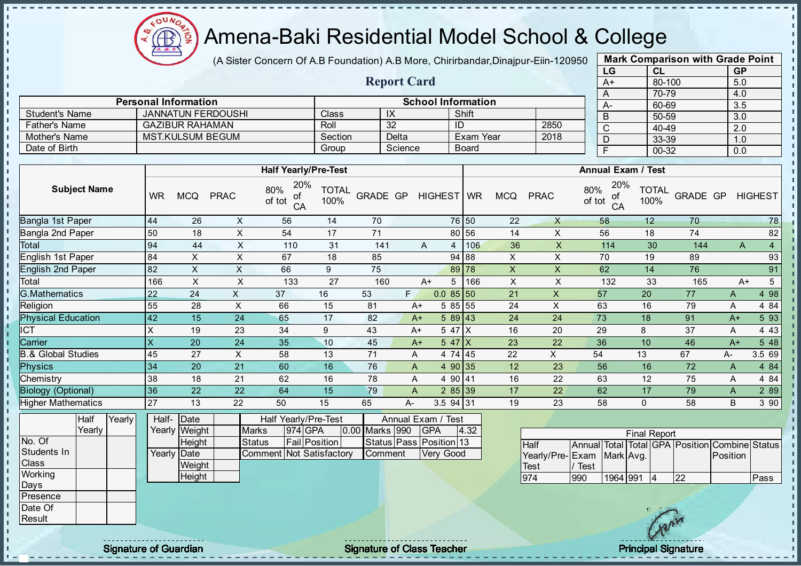

J. - II  $\mathbf{r}$ J. J.

J.  $\mathbf{I}$ J.  $\mathbf{I}$ 

 $\blacksquare$  $\mathbf{I}$ J.

÷.

J. J.

п п

T. J.

T.

J.

 $\mathbf{I}$ 

 $\mathbf{I}$ 

 $\mathbf{r}$ 

 $\mathbf{I}$  $\mathbf{I}$ 

 $\mathbf{I}$ 

 $\mathbf{I}$  $\mathbf{I}$  $\mathbf{I}$  $\mathbf{I}$  $\mathbf{r}$  $\mathbf{I}$  $\mathbf{I}$  $\mathbf{I}$  $\mathbf{I}$  $\mathbf{I}$ - II

#### Amena-Baki Residential Model School & College

(A Sister Concern Of A.B Foundation) A.B More, Chirirbandar, Dinajpur-Eiin-120950

Report Card

Personal Information and Theorem School Information

Father's Name GAZIBUR RAHAMAN Roll 32 ID 2850

Student's Name JANNATUN FERDOUSHI Class IX Shift<br>
Father's Name GAZIBUR RAHAMAN Roll 32 ID

Mother's Name MST.KULSUM BEGUM Section Delta Exam Year Date of Birth Group Science Board

| <b>Mark Comparison with Grade Point</b> |        |           |  |  |  |  |  |  |  |  |
|-----------------------------------------|--------|-----------|--|--|--|--|--|--|--|--|
| LG                                      | CL     | <b>GP</b> |  |  |  |  |  |  |  |  |
| $A+$                                    | 80-100 | 5.0       |  |  |  |  |  |  |  |  |
| A                                       | 70-79  | 4.0       |  |  |  |  |  |  |  |  |
| A-                                      | 60-69  | 3.5       |  |  |  |  |  |  |  |  |
| B                                       | 50-59  | 3.0       |  |  |  |  |  |  |  |  |
| $\overline{\text{c}}$                   | 40-49  | 2.0       |  |  |  |  |  |  |  |  |
| D                                       | 33-39  | 1.0       |  |  |  |  |  |  |  |  |
| F                                       | 00-32  | 0.0       |  |  |  |  |  |  |  |  |
|                                         |        |           |  |  |  |  |  |  |  |  |

л

п  $\mathbf{I}$ 

 $\mathbf{I}$ 

 $\mathbf{I}$  $\mathbf{I}$ 

 $\mathbf{I}$ 

п

п

J.

J.

J.

ī.

п

п

|                                |                     |        |                           |                                 |              | <b>Half Yearly/Pre-Test</b>                                       |                      |                                    |    |            |                    |      |                |                                    |                          |                    | <b>Annual Exam / Test</b> |                                   |          |                |
|--------------------------------|---------------------|--------|---------------------------|---------------------------------|--------------|-------------------------------------------------------------------|----------------------|------------------------------------|----|------------|--------------------|------|----------------|------------------------------------|--------------------------|--------------------|---------------------------|-----------------------------------|----------|----------------|
|                                | <b>Subject Name</b> |        | <b>WR</b>                 | <b>MCQ</b>                      | <b>PRAC</b>  | 20%<br>80%<br>οf<br>of tot<br>CA                                  | <b>TOTAL</b><br>100% | GRADE GP                           |    |            | HIGHEST WR         |      | <b>MCQ</b>     | <b>PRAC</b>                        | 80%<br>of tot            | 20%<br>οf<br>CA    | <b>TOTAL</b><br>100%      | GRADE GP                          |          | <b>HIGHEST</b> |
| Bangla 1st Paper               |                     |        | 44                        | 26                              | X            | 56                                                                | 14                   | 70                                 |    |            | 76 50              |      | 22             | $\times$                           | 58                       |                    | 12                        | 70                                |          | 78             |
| Bangla 2nd Paper               |                     |        | 50                        | 18                              | $\times$     | 54                                                                | 17                   | 71                                 |    |            | 80 56              |      | 14             | X                                  | 56                       |                    | 18                        | 74                                |          | 82             |
| Total                          |                     |        | 94                        | 44                              | $\times$     | 110                                                               | 31                   | 141                                |    | A          | $\overline{4}$     | 106  | 36             | X                                  |                          | 114                | 30                        | 144                               | A        | $\overline{4}$ |
| English 1st Paper              |                     |        | 84                        | X                               | X            | 67                                                                | 18                   | 85                                 |    |            | 94 88              |      | X              | X                                  | 70                       |                    | 19                        | 89                                |          | 93             |
| <b>English 2nd Paper</b>       |                     |        | 82                        | $\boldsymbol{\mathsf{X}}$       | $\mathsf X$  | 66                                                                | 9                    | 75                                 |    |            | 89 78              |      | $\pmb{\times}$ | $\mathsf{X}$                       | 62                       |                    | 14                        | 76                                |          | 91             |
| Total                          |                     |        | 166                       | $\boldsymbol{\mathsf{X}}$       | $\times$     | 133                                                               | 27                   | 160                                |    | $A+$       | 5                  | 166  | $\pmb{\times}$ | X                                  |                          | 132                | 33                        | 165                               |          | 5<br>$A+$      |
| <b>G.Mathematics</b>           |                     |        | 22                        | 24                              | $\mathsf{X}$ | 37                                                                | 16                   | 53                                 | F  |            | $0.085$ 50         |      | 21             | $\boldsymbol{\mathsf{X}}$          | 57                       |                    | 20                        | 77                                | A        | 4 98           |
| Religion                       |                     |        | 55                        | 28                              | $\times$     | 66                                                                | 15                   | 81                                 |    | $A+$       | 58555              |      | 24             | $\boldsymbol{\mathsf{X}}$          | 63                       |                    | 16                        | 79                                | Α        | 4 8 4          |
| <b>Physical Education</b>      |                     |        | 42                        | 15                              | 24           | 65                                                                | 17                   | 82                                 |    | $A+$       | 589 43             |      | 24             | 24                                 | 73                       |                    | 18                        | 91                                | $A+$     | 5 9 3          |
| $\overline{\text{ICT}}$        |                     |        | X.                        | 19                              | 23           | 34                                                                | 9                    | 43                                 |    | $A+$       | 5 47 X             |      | 16             | 20                                 | 29                       |                    | 8                         | 37                                | Α        | 4 4 3          |
| Carrier                        |                     |        | $\boldsymbol{\mathsf{X}}$ | 20                              | 24           | 35                                                                | 10                   | 45                                 |    | $A+$       | $547$ $X$          |      | 23             | 22                                 | 36                       |                    | 10                        | 46                                | $A+$     | 5 48           |
| <b>B.&amp; Global Studies</b>  |                     |        | 45                        | 27                              | $\times$     | 58                                                                | 13                   | 71                                 | A  |            | 4 74 45            |      | 22             | X                                  | 54                       |                    | 13                        | 67                                | A-       | 3.5 69         |
| <b>Physics</b>                 |                     |        | 34                        | 20                              | 21           | 60                                                                | 16                   | 76                                 | A  |            | 4 90 35            |      | 12             | 23                                 | 56                       |                    | 16                        | 72                                | A        | 4 8 4          |
| Chemistry                      |                     |        | 38                        | 18                              | 21           | 62                                                                | 16                   | 78                                 | Α  |            | 4 90 41            |      | 16             | 22                                 | 63                       |                    | 12                        | 75                                | Α        | 4 8 4          |
| <b>Biology (Optional)</b>      |                     |        | 36                        | 22                              | 22           | 64                                                                | 15                   | 79                                 | A  |            | 285 39             |      | 17             | 22                                 | 62                       |                    | 17                        | 79                                | A        | 2 8 9          |
| <b>Higher Mathematics</b>      |                     |        | 27                        | 13                              | 22           | 50                                                                | 15                   | 65                                 | A- |            | $3.594$ 31         |      | 19             | 23                                 | 58                       |                    | $\mathbf 0$               | 58                                | B        | 3 90           |
|                                | Half<br>Yearly      | Yearly | Half-                     | Date<br>Yearly Weight           | <b>Marks</b> | Half Yearly/Pre-Test<br>974 GPA                                   |                      | 0.00 Marks 990                     |    | <b>GPA</b> | Annual Exam / Test | 4.32 |                |                                    |                          |                    | <b>Final Report</b>       |                                   |          |                |
| No. Of<br>Students In<br>Class |                     |        |                           | Height<br>Yearly Date<br>Weight |              | <b>Fail Position</b><br><b>Status</b><br>Comment Not Satisfactory |                      | Status Pass Position 13<br>Comment |    |            | Very Good          |      |                | <b>Half</b><br>Yearly/Pre-<br>Test | Annual<br>Exam<br>/ Test | Total<br>Mark Avg. |                           | Total GPA Position Combine Status | Position |                |
| Working<br>Days<br>Presence    |                     |        |                           | Height                          |              |                                                                   |                      |                                    |    |            |                    |      |                | 974                                | 990                      | 1964 991           | $\vert 4 \vert$           | $\overline{22}$                   |          | Pass           |
| Date Of<br>Result              |                     |        |                           |                                 |              |                                                                   |                      |                                    |    |            |                    |      |                |                                    |                          |                    |                           |                                   |          |                |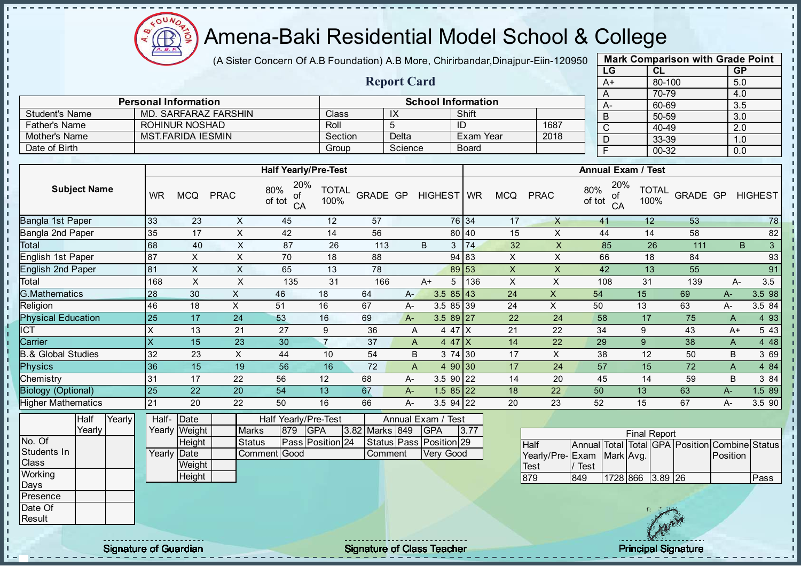$QUN$ Æ

## Amena-Baki Residential Model School & College

(A Sister Concern Of A.B Foundation) A.B More, Chirirbandar, Dinajpur-Eiin-120950

Report Card

Personal Information and School Information

Father's Name ROHINUR NOSHAD Roll 5 ID 1687

Student's Name MD. SARFARAZ FARSHIN Class IX Shift

| <b>Mark Comparison with Grade Point</b> |           |           |  |  |  |  |  |  |  |
|-----------------------------------------|-----------|-----------|--|--|--|--|--|--|--|
| LG                                      | <b>CL</b> | <b>GP</b> |  |  |  |  |  |  |  |
| $A+$                                    | 80-100    | 5.0       |  |  |  |  |  |  |  |
| A                                       | 70-79     | 4.0       |  |  |  |  |  |  |  |
| А-                                      | 60-69     | 3.5       |  |  |  |  |  |  |  |
| B                                       | 50-59     | 3.0       |  |  |  |  |  |  |  |
| C                                       | 40-49     | 2.0       |  |  |  |  |  |  |  |
| D                                       | 33-39     | 1.0       |  |  |  |  |  |  |  |
| F                                       | $00 - 32$ | 0.0       |  |  |  |  |  |  |  |
|                                         |           |           |  |  |  |  |  |  |  |

| Mother's Name<br><b>MST.FARIDA IESMIN</b>                     |                     |        | Delta<br>Exam Year<br>Section |                                                                    |                           | 2018                                                                         | $\overline{D}$                 |                  | 33-39   | 1.0                                                                      |              |                           |                                    |                       |                                                      |                                                |             |                |
|---------------------------------------------------------------|---------------------|--------|-------------------------------|--------------------------------------------------------------------|---------------------------|------------------------------------------------------------------------------|--------------------------------|------------------|---------|--------------------------------------------------------------------------|--------------|---------------------------|------------------------------------|-----------------------|------------------------------------------------------|------------------------------------------------|-------------|----------------|
| Date of Birth                                                 |                     |        |                               |                                                                    |                           |                                                                              | Group                          |                  | Science |                                                                          | <b>Board</b> |                           |                                    | $\overline{F}$        |                                                      | $00 - 32$                                      | 0.0         |                |
|                                                               |                     |        |                               |                                                                    |                           |                                                                              |                                |                  |         |                                                                          |              |                           |                                    |                       |                                                      |                                                |             |                |
|                                                               |                     |        |                               |                                                                    |                           |                                                                              | <b>Half Yearly/Pre-Test</b>    |                  |         |                                                                          |              |                           |                                    |                       | <b>Annual Exam / Test</b>                            |                                                |             |                |
|                                                               | <b>Subject Name</b> |        | <b>WR</b>                     | <b>MCQ</b>                                                         | <b>PRAC</b>               | 80%<br>of<br>of tot<br>CA                                                    | 20%<br><b>TOTAL</b><br>100%    | <b>GRADE GP</b>  |         | HIGHEST   WR                                                             |              | <b>MCQ</b>                | <b>PRAC</b>                        | 80%<br>of tot         | 20%<br><b>TOTAL</b><br>οf<br>100%<br>CA              | <b>GRADE GP</b>                                |             | <b>HIGHEST</b> |
| Bangla 1st Paper                                              |                     |        | 33                            | 23                                                                 | $\boldsymbol{\mathsf{X}}$ | 45                                                                           | 12                             | $\overline{57}$  |         |                                                                          | 76 34        | 17                        | $\mathsf{X}$                       | 41                    | 12                                                   | 53                                             |             | 78             |
| Bangla 2nd Paper                                              |                     |        | 35                            | 17                                                                 | X                         | 42                                                                           | 14                             | 56               |         |                                                                          | 80 40        | 15                        | X                                  | 44                    | 14                                                   | 58                                             |             | 82             |
| Total                                                         |                     |        | 68                            | 40                                                                 | $\overline{X}$            | $\overline{87}$                                                              | $\overline{26}$                | $\overline{113}$ |         | <sub>B</sub>                                                             | $3 \mid 74$  | 32                        | $\overline{X}$                     | 85                    | $\overline{26}$                                      | 111                                            | B           | $\overline{3}$ |
| English 1st Paper                                             |                     |        | 87                            | $\times$                                                           | $\mathsf X$               | 70                                                                           | 18                             | 88               |         |                                                                          | 94 83        | X                         | $\times$                           | 66                    | 18                                                   | 84                                             |             | 93             |
| <b>English 2nd Paper</b>                                      |                     |        | 81                            | X                                                                  | X                         | 65                                                                           | 13                             | 78               |         |                                                                          | 89 53        | X                         | X                                  | 42                    | 13                                                   | 55                                             |             | 91             |
| Total                                                         |                     |        | 168                           | $\overline{\mathsf{x}}$                                            | $\sf X$                   | 135                                                                          | 31                             | 166              |         | $A+$                                                                     | 5<br>136     | $\boldsymbol{\mathsf{X}}$ | $\pmb{\times}$                     | 108                   | 31                                                   | 139                                            | A-          | 3.5            |
| <b>G.Mathematics</b>                                          |                     |        | 28                            | 30                                                                 | $\mathsf{X}$              | 46                                                                           | 18                             | 64               | $A -$   |                                                                          | $3.585$ 43   | 24                        | $\pmb{\times}$                     | 54                    | 15                                                   | 69                                             | $A-$        | 3.5 98         |
| Religion                                                      |                     |        | 46                            | 18                                                                 | X                         | 51                                                                           | 16                             | 67               | A-      |                                                                          | 3.5 85 39    | 24                        | $\mathsf{X}$                       | 50                    | 13                                                   | 63                                             | A-          | 3.5 84         |
| <b>Physical Education</b>                                     |                     |        | 25                            | 17                                                                 | 24                        | 53                                                                           | 16                             | 69               | $A -$   |                                                                          | $3.589$ 27   | 22                        | 24                                 | 58                    | 17                                                   | 75                                             | A           | 4 9 3          |
| ICT                                                           |                     |        | $\boldsymbol{\mathsf{X}}$     | 13                                                                 | 21                        | 27                                                                           | 9                              | 36               | A       |                                                                          | 4 47 X       | 21                        | 22                                 | 34                    | $\boldsymbol{9}$                                     | 43                                             | $A+$        | 5 4 3          |
| Carrier                                                       |                     |        | $\overline{\mathsf{x}}$       | 15                                                                 | 23                        | 30                                                                           | $\overline{7}$                 | 37               | A       |                                                                          | 4 47 $X$     | 14                        | 22                                 | 29                    | $\overline{9}$                                       | 38                                             | A           | 4 4 8          |
| <b>B.&amp; Global Studies</b>                                 |                     |        | 32                            | 23                                                                 | $\mathsf X$               | 44                                                                           | 10                             | 54               | B       |                                                                          | 3 74 30      | 17                        | $\boldsymbol{\mathsf{X}}$          | 38                    | 12                                                   | 50                                             | B           | 3 69           |
| <b>Physics</b>                                                |                     |        | 36                            | 15                                                                 | 19                        | 56                                                                           | 16                             | 72               | A       |                                                                          | 4 90 30      | 17                        | 24                                 | 57                    | 15                                                   | 72                                             | $\mathsf A$ | 4 84           |
| Chemistry                                                     |                     |        | 31                            | 17                                                                 | 22                        | 56                                                                           | 12                             | 68               | A-      |                                                                          | $3.590$ 22   | 14                        | 20                                 | 45                    | 14                                                   | 59                                             | B           | 3 84           |
| <b>Biology (Optional)</b>                                     |                     |        | 25                            | 22                                                                 | 20                        | 54                                                                           | 13                             | 67               | A-      |                                                                          | $1.585$ 22   | 18                        | 22                                 | 50                    | 13                                                   | 63                                             | $A-$        | 1.5 89         |
| <b>Higher Mathematics</b>                                     |                     |        | 21                            | 20                                                                 | 22                        | 50                                                                           | 16                             | 66               | A-      |                                                                          | $3.5$ 94 22  | 20                        | 23                                 | 52                    | 15                                                   | 67                                             | $A-$        | 3.5 90         |
| No. Of<br>Students In<br>Class<br>Working<br>Days<br>Presence | Half<br>Yearly      | Yearly | Half-                         | Date<br>Yearly Weight<br>Height<br>Yearly Date<br>Weight<br>Height |                           | Half Yearly/Pre-Test<br><b>Marks</b><br>879<br><b>Status</b><br>Comment Good | <b>GPA</b><br>Pass Position 24 | 3.82 Marks 849   | Comment | Annual Exam / Test<br><b>GPA</b><br>Status Pass Position 29<br>Very Good | 3.77         |                           | Half<br>Yearly/Pre-<br>Test<br>879 | Exam<br>/ Test<br>849 | <b>Final Report</b><br>Mark Avg.<br>1728 866 3.89 26 | Annual Total Total GPA Position Combine Status | Position    | Pass           |
| Date Of<br>Result                                             |                     |        |                               |                                                                    |                           |                                                                              |                                |                  |         |                                                                          |              |                           |                                    |                       |                                                      | $\sqrt{2}$                                     |             |                |

- II a. п п T. J. J. - II  $\mathbf{I}$ - II - II

 $\mathbf{u}$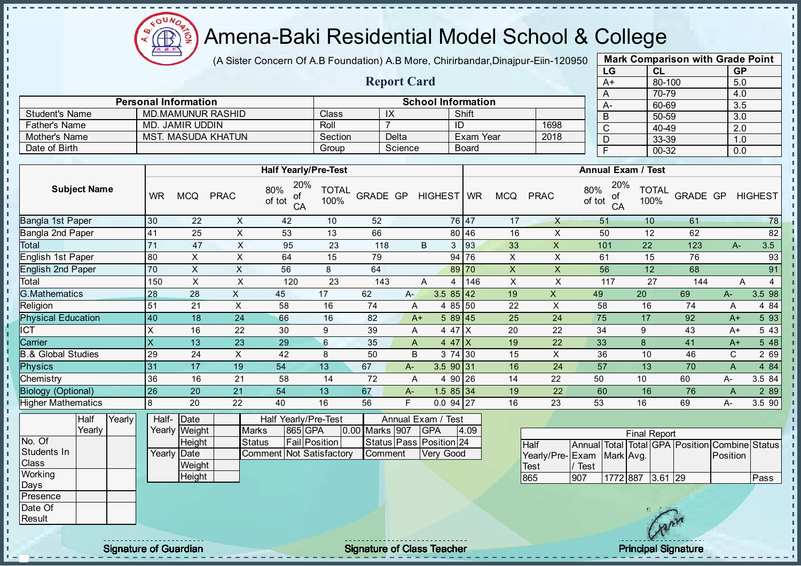

(A Sister Concern Of A.B Foundation) A.B More, Chirirbandar, Dinajpur-Eiin-120950

Report Card

| <b>Mark Comparison with Grade Point</b> |        |           |  |  |  |  |  |  |  |  |
|-----------------------------------------|--------|-----------|--|--|--|--|--|--|--|--|
| LG                                      | CL     | <b>GP</b> |  |  |  |  |  |  |  |  |
| A+                                      | 80-100 | 5.0       |  |  |  |  |  |  |  |  |
| A                                       | 70-79  | 4.0       |  |  |  |  |  |  |  |  |
| A-                                      | 60-69  | 3.5       |  |  |  |  |  |  |  |  |
| B                                       | 50-59  | 3.0       |  |  |  |  |  |  |  |  |
| C                                       | 40-49  | 2.0       |  |  |  |  |  |  |  |  |
| D                                       | 33-39  | 1.0       |  |  |  |  |  |  |  |  |
| F                                       | 00-32  | 0.0       |  |  |  |  |  |  |  |  |
|                                         |        |           |  |  |  |  |  |  |  |  |

|                       | <b>Personal Information</b> |         |         | <b>School Information</b> |      | $A-$ |
|-----------------------|-----------------------------|---------|---------|---------------------------|------|------|
| <b>Student's Name</b> | MD MAMUNUR RASHID           | Class   | IΛ      | Shift                     |      |      |
| <b>Father's Name</b>  | MD. JAMIR UDDIN             | Roll    |         | ID                        | 1698 |      |
| Mother's Name         | <b>MST. MASUDA KHATUN</b>   | Section | Delta   | <b>Exam Year</b>          | 2018 |      |
| Date of Birth         |                             | Group   | Science | <b>Board</b>              |      |      |

|                               |           |            |             | <b>Half Yearly/Pre-Test</b>      |                      |                 |       |                | <b>Annual Exam / Test</b> |                |             |                                  |                      |          |      |                     |  |
|-------------------------------|-----------|------------|-------------|----------------------------------|----------------------|-----------------|-------|----------------|---------------------------|----------------|-------------|----------------------------------|----------------------|----------|------|---------------------|--|
| <b>Subject Name</b>           | <b>WR</b> | <b>MCQ</b> | <b>PRAC</b> | 20%<br>80%<br>οf<br>of tot<br>CA | <b>TOTAL</b><br>100% | <b>GRADE GP</b> |       | HIGHEST WR     |                           | <b>MCQ</b>     | <b>PRAC</b> | 20%<br>80%<br>оf<br>of tot<br>CA | <b>TOTAL</b><br>100% | GRADE GP |      | <b>HIGHEST</b>      |  |
| Bangla 1st Paper              | 30        | 22         | X           | 42                               | 10                   | 52              |       |                | 76 47                     | 17             | X           | 51                               | 10                   | 61       |      | 78                  |  |
| Bangla 2nd Paper              | 41        | 25         | X           | 53                               | 13                   | 66              |       |                | 80 46                     | 16             | X           | 50                               | 12                   | 62       |      | 82                  |  |
| Total                         | 71        | 47         | X           | 95                               | 23                   | 118             |       | 3<br>B         | 93                        | 33             | X           | 101                              | 22                   | 123      | $A-$ | 3.5                 |  |
| English 1st Paper             | 80        | X          | X           | 64                               | 15                   | 79              |       |                | 94 76                     | X              | X           | 61                               | 15                   | 76       |      | 93                  |  |
| <b>English 2nd Paper</b>      | 70        | X          | X           | 56                               | 8                    | 64              |       |                | 89 70                     | $\pmb{\times}$ | X           | 56                               | 12                   | 68       |      | 91                  |  |
| Total                         | 150       | X          | X           | 120                              | 23                   | 143             |       | A<br>4         | 146                       | X              | X           | 117                              | 27                   | 144      |      | $\overline{4}$<br>A |  |
| <b>G.Mathematics</b>          | 28        | 28         | X           | 45                               | 17                   | 62              | $A -$ | $3.585$ 42     |                           | 19             | X           | 49                               | 20                   | 69       | A-   | 3.5 98              |  |
| Religion                      | 51        | 21         | X           | 58                               | 16                   | 74              | A     | 4 85 50        |                           | 22             | X           | 58                               | 16                   | 74       | A    | 4 8 4               |  |
| <b>Physical Education</b>     | 40        | 18         | 24          | 66                               | 16                   | 82              |       | 589 45<br>$A+$ |                           | 25             | 24          | 75                               | 17                   | 92       | $A+$ | 5 9 3               |  |
| <b>ICT</b>                    | X         | 16         | 22          | 30                               | 9                    | 39              | A     | 4 47 X         |                           | 20             | 22          | 34                               | 9                    | 43       | A+   | 5 4 3               |  |
| Carrier                       | X         | 13         | 23          | 29                               | 6                    | 35              | A     | 4 47 $ X $     |                           | 19             | 22          | 33                               | 8                    | 41       | $A+$ | 5 48                |  |
| <b>B.&amp; Global Studies</b> | 29        | 24         | X           | 42                               | 8                    | 50              | B     | 3 74 30        |                           | 15             | X           | 36                               | 10                   | 46       | C    | 2 69                |  |
| <b>Physics</b>                | 31        | 17         | 19          | 54                               | 13                   | 67              | $A-$  | 3.590 31       |                           | 16             | 24          | 57                               | 13                   | 70       | A    | 4 8 4               |  |
| Chemistry                     | 36        | 16         | 21          | 58                               | 14                   | 72              | A     | 4 90 26        |                           | 14             | 22          | 50                               | 10                   | 60       | A-   | 3.5 84              |  |
| <b>Biology (Optional)</b>     | 26        | 20         | 21          | 54                               | 13                   | 67              | $A-$  | $1.585$ 34     |                           | 19             | 22          | 60                               | 16                   | 76       | A    | 2 8 9               |  |
| <b>Higher Mathematics</b>     | 8         | 20         | 22          | 40                               | 16                   | 56              | F.    | $0.094$ 27     |                           | 16             | 23          | 53                               | 16                   | 69       | A-   | 3.5 90              |  |

|              | Half   | Yearly | Half- Date  |               |                          | Half Yearly/Pre-Test |  | Annual Exam / Test |                         |      |
|--------------|--------|--------|-------------|---------------|--------------------------|----------------------|--|--------------------|-------------------------|------|
|              | Yearlv |        |             | Yearly Weight | <b>Marks</b>             | <b>865 GPA</b>       |  | 0.00 Marks 907     | <b>IGPA</b>             | 4.09 |
| No. Of       |        |        |             | <b>Height</b> | Status                   | <b>Fail Position</b> |  |                    | Status Pass Position 24 |      |
| Students In  |        |        | Yearly Date |               | Comment Not Satisfactory |                      |  | Comment            | <b>Verv Good</b>        |      |
| <b>Class</b> |        |        |             | Weight        |                          |                      |  |                    |                         |      |
| Working      |        |        |             | Height        |                          |                      |  |                    |                         |      |
| Days         |        |        |             |               |                          |                      |  |                    |                         |      |

| <b>Final Report</b>       |            |                  |  |  |  |                                                |      |  |  |  |  |  |  |
|---------------------------|------------|------------------|--|--|--|------------------------------------------------|------|--|--|--|--|--|--|
| <b>I</b> Half             |            |                  |  |  |  | Annual Total Total GPA Position Combine Status |      |  |  |  |  |  |  |
| Yearly/Pre-Exam Mark Avg. |            |                  |  |  |  | Position                                       |      |  |  |  |  |  |  |
| <b>Test</b>               | Test       |                  |  |  |  |                                                |      |  |  |  |  |  |  |
| 865                       | <b>907</b> | 1772 887 3.61 29 |  |  |  |                                                | Pass |  |  |  |  |  |  |

Presence Date Of **Result** 

 $\mathbf{r}$  $\mathbf{I}$  $\mathbf{r}$  $\mathbf{I}$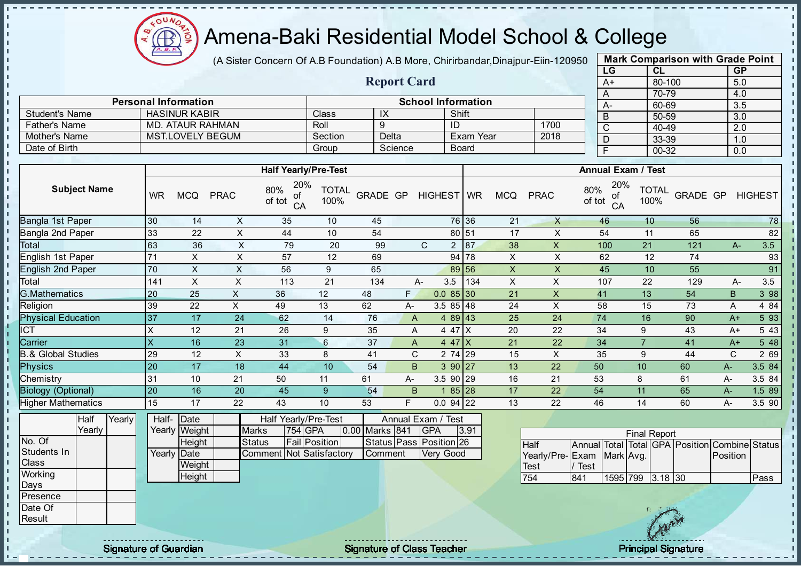

(A Sister Concern Of A.B Foundation) A.B More, Chirirbandar, Dinajpur-Eiin-120950

Report Card

| <b>Mark Comparison with Grade Point</b> |           |           |  |  |  |  |  |  |  |  |
|-----------------------------------------|-----------|-----------|--|--|--|--|--|--|--|--|
| LG                                      | CL        | <b>GP</b> |  |  |  |  |  |  |  |  |
| A+                                      | 80-100    | 5.0       |  |  |  |  |  |  |  |  |
| A                                       | 70-79     | 4.0       |  |  |  |  |  |  |  |  |
| A-                                      | 60-69     | 3.5       |  |  |  |  |  |  |  |  |
| B                                       | 50-59     | 3.0       |  |  |  |  |  |  |  |  |
| C                                       | 40-49     | 2.0       |  |  |  |  |  |  |  |  |
| D                                       | 33-39     | 1.0       |  |  |  |  |  |  |  |  |
| F                                       | $00 - 32$ | 0.0       |  |  |  |  |  |  |  |  |
|                                         |           |           |  |  |  |  |  |  |  |  |

п

| <b>School Information</b><br><b>Personal Information</b> |                      |         |         |              |      |      |                  |  |  |  |  |
|----------------------------------------------------------|----------------------|---------|---------|--------------|------|------|------------------|--|--|--|--|
| Student's Name                                           | <b>HASINUR KABIR</b> | Class   | $\sim$  | Shift        |      | $A-$ | 60-6<br>$50 - 5$ |  |  |  |  |
| Father's Name                                            | MD. ATAUR RAHMAN     | Roll    |         | ID           | 1700 |      | $40 - 4$         |  |  |  |  |
| Mother's Name                                            | MST.LOVELY BEGUM     | Section | Delta   | Exam Year    | 2018 |      | $33 - 3$         |  |  |  |  |
| Date of Birth                                            |                      | Group   | Science | <b>Board</b> |      |      | $00 - 3$         |  |  |  |  |

|                               |                           |            |             | <b>Half Yearly/Pre-Test</b>      |                      |                 |    |                     |           |            |              | <b>Annual Exam / Test</b>        |                      |          |      |                |
|-------------------------------|---------------------------|------------|-------------|----------------------------------|----------------------|-----------------|----|---------------------|-----------|------------|--------------|----------------------------------|----------------------|----------|------|----------------|
| <b>Subject Name</b>           | <b>WR</b>                 | <b>MCQ</b> | <b>PRAC</b> | 20%<br>80%<br>οf<br>of tot<br>CA | <b>TOTAL</b><br>100% | <b>GRADE GP</b> |    | HIGHEST WR          |           | <b>MCQ</b> | <b>PRAC</b>  | 20%<br>80%<br>оf<br>of tot<br>CA | <b>TOTAL</b><br>100% | GRADE GP |      | <b>HIGHEST</b> |
| Bangla 1st Paper              | 30                        | 14         | X           | 35                               | 10                   | 45              |    |                     | 76 36     | 21         | $\mathsf{X}$ | 46                               | 10                   | 56       |      | 78             |
| Bangla 2nd Paper              | 33                        | 22         | Χ           | 44                               | 10                   | 54              |    |                     | 80 51     | 17         | X            | 54                               | 11                   | 65       |      | 82             |
| Total                         | 63                        | 36         | X           | 79                               | 20                   | 99              |    | C<br>$\overline{2}$ | 87        | 38         | X            | 100                              | 21                   | 121      | $A-$ | 3.5            |
| English 1st Paper             | 71                        | X          | X           | 57                               | 12                   | 69              |    |                     | 94 78     | X          | X.           | 62                               | 12                   | 74       |      | 93             |
| <b>English 2nd Paper</b>      | 70                        | X          | X           | 56                               | 9                    | 65              |    |                     | 89 56     | X          | X            | 45                               | 10                   | 55       |      | 91             |
| Total                         | 141                       | X          | X           | 113                              | 21                   | 134             |    | 3.5<br>A-           | 134       | X          | X            | 107                              | 22                   | 129      | A-   | 3.5            |
| <b>G.Mathematics</b>          | 20                        | 25         | X           | 36                               | 12                   | 48              | F. | $0.085$ 30          |           | 21         | X            | 41                               | 13                   | 54       | B    | 3 98           |
| Religion                      | 39                        | 22         | X           | 49                               | 13                   | 62              | A- | $3.585$ 48          |           | 24         | X            | 58                               | 15                   | 73       | A    | 4 8 4          |
| <b>Physical Education</b>     | 37                        | 17         | 24          | 62                               | 14                   | 76              | A  |                     | $489$ 43  | 25         | 24           | 74                               | 16                   | 90       | $A+$ | 5 93           |
| ICT                           | X                         | 12         | 21          | 26                               | 9                    | 35              | A  |                     | 4 47 X    | 20         | 22           | 34                               | 9                    | 43       | A+   | 5 4 3          |
| Carrier                       | $\boldsymbol{\mathsf{X}}$ | 16         | 23          | 31                               | 6                    | 37              | A  |                     | $447$ X   | 21         | 22           | 34                               | 7                    | 41       | $A+$ | 5 48           |
| <b>B.&amp; Global Studies</b> | 29                        | 12         | X           | 33                               | 8                    | 41              | C. |                     | 2 74 29   | 15         | X            | 35                               | 9                    | 44       | C    | 2 69           |
| <b>Physics</b>                | 20                        | 17         | 18          | 44                               | 10                   | 54              | B. |                     | 390 27    | 13         | 22           | 50                               | 10                   | 60       | A-   | 3.5 84         |
| Chemistry                     | 31                        | 10         | 21          | 50                               | 11                   | 61              | A- | $3.590$ 29          |           | 16         | 21           | 53                               | 8                    | 61       | A-   | 3.5 84         |
| <b>Biology (Optional)</b>     | 20                        | 16         | 20          | 45                               | 9                    | 54              | B  |                     | $185$  28 | 17         | 22           | 54                               | 11                   | 65       | A-   | 1.5 89         |
| <b>Higher Mathematics</b>     | 15                        | 17         | 22          | 43                               | 10                   | 53              | F  | $0.0$ 94 22         |           | 13         | 22           | 46                               | 14                   | 60       | A-   | 3.5 90         |

|                  | Half   | Yearly | Half-       | <b>IDate</b>  |                                 | Half Yearly/Pre-Test |                | Annual Exam / Test          |      |
|------------------|--------|--------|-------------|---------------|---------------------------------|----------------------|----------------|-----------------------------|------|
|                  | Yearlv |        |             | Yearly Weight | <b>Marks</b>                    | 754 GPA              | 0.00 Marks 841 | <b>IGPA</b>                 | 3.91 |
| No. Of           |        |        |             | <b>Height</b> | Status                          | <b>Fail Position</b> |                | Status   Pass   Position 26 |      |
| Students In      |        |        | Yearly Date |               | <b>Comment Not Satisfactory</b> |                      | Comment        | Verv Good                   |      |
| <b>Class</b>     |        |        |             | Weight        |                                 |                      |                |                             |      |
| Working          |        |        |             | Height        |                                 |                      |                |                             |      |
| Days             |        |        |             |               |                                 |                      |                |                             |      |
| <b>IPresence</b> |        |        |             |               |                                 |                      |                |                             |      |

|                           |      |                  | <b>Final Report</b> |                                                |              |
|---------------------------|------|------------------|---------------------|------------------------------------------------|--------------|
| <b>Half</b>               |      |                  |                     | Annual Total Total GPA Position Combine Status |              |
| Yearly/Pre-Exam Mark Avg. |      |                  |                     | <b>IPosition</b>                               |              |
| Test                      | Test |                  |                     |                                                |              |
| 754                       | 841  | 1595 799 3.18 30 |                     |                                                | <b>IPass</b> |

Date Of **Result** 

J.  $\blacksquare$  $\mathbf{r}$ 

 $\mathbf{r}$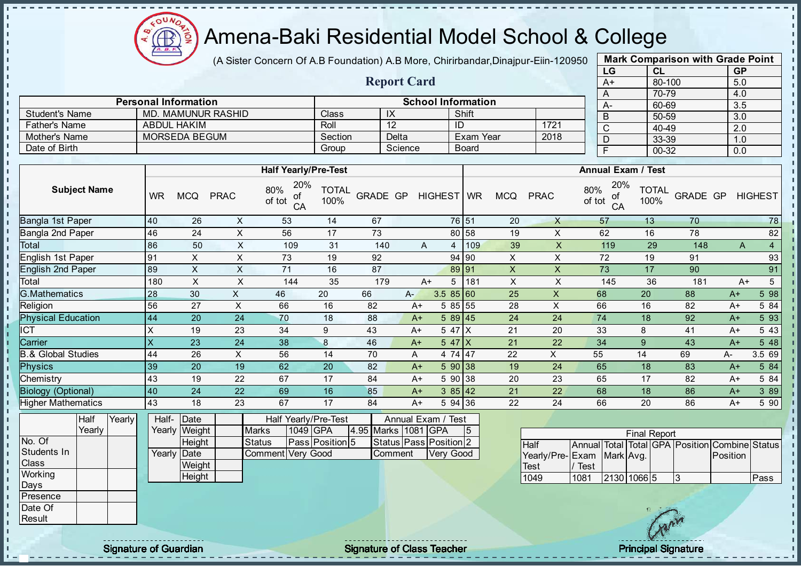

(A Sister Concern Of A.B Foundation) A.B More, Chirirbandar, Dinajpur-Eiin-120950

Report Card

|              | <b>Mark Comparison with Grade Point</b> |                  |
|--------------|-----------------------------------------|------------------|
| LG           | <b>CL</b>                               | <b>GP</b>        |
| $A+$         | 80-100                                  | 5.0              |
| A            | 70-79                                   | 4.0              |
| A-           | 60-69                                   | $3.\overline{5}$ |
| B            | 50-59                                   | 3.0              |
| $\mathsf{C}$ | 40-49                                   | 2.0              |
| D            | 33-39                                   | 1.0              |
| F            | 00-32                                   | 0.0              |

|                       | <b>Personal Information</b> |              |         | <b>School Information</b> |      | $A -$ |
|-----------------------|-----------------------------|--------------|---------|---------------------------|------|-------|
| <b>Student's Name</b> | MD. MAMUNUR RASHID          | <b>Class</b> | $\sim$  | Shift                     |      |       |
| <b>Father's Name</b>  | <b>ABDUL HAKIM</b>          | Roll         |         | ID                        | 1721 |       |
| Mother's Name         | MORSEDA BEGUM               | Section      | Delta   | Exam Year                 | 2018 |       |
| Date of Birth         |                             | Group        | Science | <b>Board</b>              |      |       |

|                               |                           |            |             | <b>Half Yearly/Pre-Test</b>      |                      |          |      |            |           |     |            |              | <b>Annual Exam / Test</b>        |                      |          |      |                |
|-------------------------------|---------------------------|------------|-------------|----------------------------------|----------------------|----------|------|------------|-----------|-----|------------|--------------|----------------------------------|----------------------|----------|------|----------------|
| <b>Subject Name</b>           | <b>WR</b>                 | <b>MCQ</b> | <b>PRAC</b> | 20%<br>80%<br>οt<br>of tot<br>CA | <b>TOTAL</b><br>100% | GRADE GP |      | HIGHEST WR |           |     | <b>MCQ</b> | <b>PRAC</b>  | 20%<br>80%<br>οf<br>of tot<br>CA | <b>TOTAL</b><br>100% | GRADE GP |      | <b>HIGHEST</b> |
| Bangla 1st Paper              | 40                        | 26         | X           | 53                               | 14                   | 67       |      |            | 76 51     |     | 20         | $\mathsf{X}$ | 57                               | 13                   | 70       |      | 78             |
| Bangla 2nd Paper              | 46                        | 24         | X           | 56                               | 17                   | 73       |      |            | 80 58     |     | 19         | X            | 62                               | 16                   | 78       |      | 82             |
| Total                         | 86                        | 50         | X           | 109                              | 31                   | 140      |      | A          | 4         | 109 | 39         | X.           | 119                              | 29                   | 148      | A    | $\overline{4}$ |
| English 1st Paper             | 91                        | X.         | X           | 73                               | 19                   | 92       |      |            | 94 90     |     | X          | X            | 72                               | 19                   | 91       |      | 93             |
| <b>English 2nd Paper</b>      | 89                        | X          | X           | 71                               | 16                   | 87       |      |            | 89 91     |     | X          | X            | 73                               | 17                   | 90       |      | 91             |
| Total                         | 180                       | X          | X           | 144                              | 35                   | 179      |      | $A+$       | 5         | 181 | X          | X            | 145                              | 36                   | 181      | $A+$ | 5              |
| <b>G.Mathematics</b>          | 28                        | 30         | X.          | 46                               | 20                   | 66       | $A-$ |            | 3.585 60  |     | 25         | X            | 68                               | 20                   | 88       | $A+$ | 5 98           |
| Religion                      | 56                        | 27         | X           | 66                               | 16                   | 82       | $A+$ |            | 5 85 55   |     | 28         | X            | 66                               | 16                   | 82       | $A+$ | 5 84           |
| <b>Physical Education</b>     | 44                        | 20         | 24          | 70                               | 18                   | 88       | $A+$ |            | 589 45    |     | 24         | 24           | 74                               | 18                   | 92       | $A+$ | 5 93           |
| <b>ICT</b>                    | X                         | 19         | 23          | 34                               | 9                    | 43       | $A+$ |            | $547$ $X$ |     | 21         | 20           | 33                               | 8                    | 41       | $A+$ | 5 4 3          |
| Carrier                       | $\boldsymbol{\mathsf{X}}$ | 23         | 24          | 38                               | 8                    | 46       | $A+$ |            | 547X      |     | 21         | 22           | 34                               | 9                    | 43       | $A+$ | 5 48           |
| <b>B.&amp; Global Studies</b> | 44                        | 26         | X           | 56                               | 14                   | 70       | A    |            | 4 74 47   |     | 22         | X            | 55                               | 14                   | 69       | A-   | 3.5 69         |
| <b>Physics</b>                | 39                        | 20         | 19          | 62                               | 20                   | 82       | $A+$ |            | 590 38    |     | 19         | 24           | 65                               | 18                   | 83       | $A+$ | 5 84           |
| Chemistry                     | 43                        | 19         | 22          | 67                               | 17                   | 84       | $A+$ |            | 5 90 38   |     | 20         | 23           | 65                               | 17                   | 82       | A+   | 5 84           |
| <b>Biology (Optional)</b>     | 40                        | 24         | 22          | 69                               | 16                   | 85       | $A+$ |            | 385 42    |     | 21         | 22           | 68                               | 18                   | 86       | $A+$ | 3 8 9          |
| <b>Higher Mathematics</b>     | 43                        | 18         | 23          | 67                               | 17                   | 84       | $A+$ |            | 5 94 36   |     | 22         | 24           | 66                               | 20                   | 86       | $A+$ | 5 90           |

|              | Half   | Yearly | Half-       | <b>IDate</b>  |                   |          | Half Yearly/Pre-Test   |                       | Annual Exam / Test     |    |
|--------------|--------|--------|-------------|---------------|-------------------|----------|------------------------|-----------------------|------------------------|----|
|              | Yearly |        |             | Yearly Weight | <b>Marks</b>      | 1049 GPA |                        | 4.95 Marks   1081 GPA |                        | 15 |
| No. Of       |        |        |             | Height        | <b>Status</b>     |          | <b>Pass Position 5</b> |                       | Status Pass Position 2 |    |
| Students In  |        |        | Yearly Date |               | Comment Very Good |          |                        | <b>Comment</b>        | Very Good              |    |
| <b>Class</b> |        |        |             | Weight        |                   |          |                        |                       |                        |    |
| Working      |        |        |             | Height        |                   |          |                        |                       |                        |    |
| Days         |        |        |             |               |                   |          |                        |                       |                        |    |
| Presence     |        |        |             |               |                   |          |                        |                       |                        |    |

|                           |      |             | <b>Final Report</b> |    |                                                |       |
|---------------------------|------|-------------|---------------------|----|------------------------------------------------|-------|
| <b>Half</b>               |      |             |                     |    | Annual Total Total GPA Position Combine Status |       |
| Yearly/Pre-Exam Mark Avg. |      |             |                     |    | Position                                       |       |
| Test                      | Test |             |                     |    |                                                |       |
| 1049                      | 1081 | 2130 1066 5 |                     | 13 |                                                | lPass |

Date Of **Result** 

 $\mathbf{I}$  $\mathbf{u}$  $\mathbf{I}$  $\mathbf{I}$ - II  $\frac{1}{1}$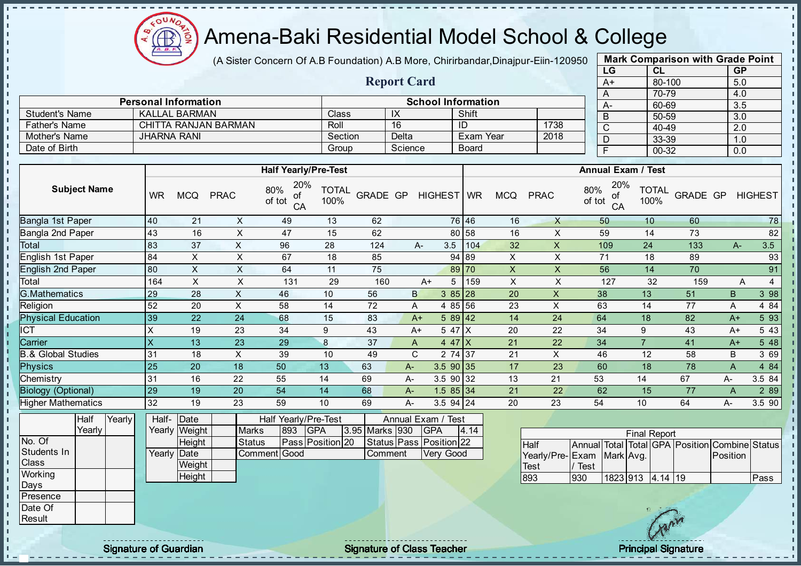$\sim$ Æ

# Amena-Baki Residential Model School & College

(A Sister Concern Of A.B Foundation) A.B More, Chirirbandar, Dinajpur-Eiin-120950

Report Card

| <b>Mark Comparison with Grade Point</b> |
|-----------------------------------------|
|                                         |
|                                         |
|                                         |
|                                         |
|                                         |
|                                         |
|                                         |
|                                         |
|                                         |

r.

|                       | <b>Personal Information</b> |         |            | <b>School Information</b> |      | $A-$ |
|-----------------------|-----------------------------|---------|------------|---------------------------|------|------|
| <b>Student's Name</b> | KALLAL BARMAN               | Class   | $\sqrt{ }$ | Shift                     |      | B    |
| <b>Father's Name</b>  | CHITTA RANJAN BARMAN        | Roll    | 16         | ID                        | 1738 |      |
| Mother's Name         | <b>JHARNA RANI</b>          | Section | Delta      | <b>Exam Year</b>          | 2018 |      |
| Date of Birth         |                             | Group   | Science    | Board                     |      |      |

|                           |                   |            |             | <b>Half Yearly/Pre-Test</b>      |                      |          |              |             |       |                |             | <b>Annual Exam / Test</b>        |                      |          |       |                |
|---------------------------|-------------------|------------|-------------|----------------------------------|----------------------|----------|--------------|-------------|-------|----------------|-------------|----------------------------------|----------------------|----------|-------|----------------|
| <b>Subject Name</b>       | <b>WR</b>         | <b>MCQ</b> | <b>PRAC</b> | 20%<br>80%<br>of<br>of tot<br>CA | <b>TOTAL</b><br>100% | GRADE GP |              | HIGHEST WR  |       | <b>MCQ</b>     | <b>PRAC</b> | 20%<br>80%<br>оf<br>of tot<br>CA | <b>TOTAL</b><br>100% | GRADE GP |       | <b>HIGHEST</b> |
| Bangla 1st Paper          | 40                | 21         | X           | 49                               | 13                   | 62       |              |             | 76 46 | 16             | $\sf X$     | 50                               | 10                   | 60       |       | 78             |
| Bangla 2nd Paper          | 43                | 16         | X           | 47                               | 15                   | 62       |              |             | 80 58 | 16             | X           | 59                               | 14                   | 73       |       | 82             |
| Total                     | 83                | 37         | X           | 96                               | 28                   | 124      |              | 3.5<br>A-   | 104   | 32             | X           | 109                              | 24                   | 133      | $A -$ | 3.5            |
| English 1st Paper         | 84                | X.         | X           | 67                               | 18                   | 85       |              |             | 94 89 | X              | X           | 71                               | 18                   | 89       |       | 93             |
| <b>English 2nd Paper</b>  | 80                | X.         | X           | 64                               | 11                   | 75       |              |             | 89 70 | $\pmb{\times}$ | X           | 56                               | 14                   | 70       |       | 91             |
| Total                     | 164               | X          | X           | 131                              | 29                   | 160      |              | A+<br>5     | 159   | X              | X           | 127                              | 32                   | 159      |       | 4<br>Α         |
| <b>G.Mathematics</b>      | 29                | 28         | X           | 46                               | 10                   | 56       | $\mathsf{B}$ | $385$   28  |       | 20             | X           | 38                               | 13                   | 51       | B     | 3 98           |
| Religion                  | 52                | 20         | X           | 58                               | 14                   | 72       | A            | 4 85 56     |       | 23             | X           | 63                               | 14                   | 77       | A     | 4 8 4          |
| <b>Physical Education</b> | 39                | 22         | 24          | 68                               | 15                   | 83       | $A+$         | 589 42      |       | 14             | 24          | 64                               | 18                   | 82       | $A+$  | 5 93           |
| ICT                       | X                 | 19         | 23          | 34                               | 9                    | 43       | $A+$         | 5 47 X      |       | 20             | 22          | 34                               | 9                    | 43       | A+    | 5 4 3          |
| Carrier                   | $\times$          | 13         | 23          | 29                               | 8                    | 37       | A            | $447$ X     |       | 21             | 22          | 34                               |                      | 41       | $A+$  | 5 48           |
| .& Global Studies         | 31                | 18         | X           | 39                               | 10                   | 49       | C            | 2 74 37     |       | 21             | X           | 46                               | 12                   | 58       | В     | 3 69           |
| <b>Physics</b>            | 25                | 20         | 18          | 50                               | 13                   | 63       | A-           | $3.5$ 90 35 |       | 17             | 23          | 60                               | 18                   | 78       | A     | 4 8 4          |
| Chemistry                 | 31                | 16         | 22          | 55                               | 14                   | 69       | A-           | 3.5 90 32   |       | 13             | 21          | 53                               | 14                   | 67       | A-    | 3.5 84         |
| <b>Biology (Optional)</b> | 29                | 19         | 20          | 54                               | 14                   | 68       | A-           | $1.585$ 34  |       | 21             | 22          | 62                               | 15                   | 77       | A     | 2 8 9          |
| <b>Higher Mathematics</b> | 32                | 19         | 23          | 59                               | 10                   | 69       | $A -$        | $3.5$ 94 24 |       | 20             | 23          | 54                               | 10                   | 64       | A-    | 3.5 90         |
|                           | — <del>. 1-</del> |            |             |                                  |                      |          |              |             |       |                |             |                                  |                      |          |       |                |

|               | Half   | Yearly | Half- Date  |               |               |     | Half Yearly/Pre-Test |                | Annual Exam / Test      |      |
|---------------|--------|--------|-------------|---------------|---------------|-----|----------------------|----------------|-------------------------|------|
|               | Yearlv |        |             | Yearly Weight | <b>Marks</b>  | 893 | <b>IGPA</b>          | 3.95 Marks 930 | <b>IGPA</b>             | 4.14 |
| No. Of        |        |        |             | <b>Height</b> | <b>Status</b> |     | Pass Position 20     |                | Status Pass Position 22 |      |
| Students In   |        |        | Yearly Date |               | Comment Good  |     |                      | Comment        | Very Good               |      |
| Class         |        |        |             | Weight        |               |     |                      |                |                         |      |
| Working       |        |        |             | Height        |               |     |                      |                |                         |      |
| Days          |        |        |             |               |               |     |                      |                |                         |      |
| Presence      |        |        |             |               |               |     |                      |                |                         |      |
| Date Of       |        |        |             |               |               |     |                      |                |                         |      |
| <b>Result</b> |        |        |             |               |               |     |                      |                |                         |      |

| <b>Final Report</b>       |      |                  |  |  |  |                                                |      |  |  |  |  |  |  |  |
|---------------------------|------|------------------|--|--|--|------------------------------------------------|------|--|--|--|--|--|--|--|
| <b>I</b> Half             |      |                  |  |  |  | Annual Total Total GPA Position Combine Status |      |  |  |  |  |  |  |  |
| Yearly/Pre-Exam Mark Avg. |      |                  |  |  |  | <b>Position</b>                                |      |  |  |  |  |  |  |  |
| <b>Test</b>               | Test |                  |  |  |  |                                                |      |  |  |  |  |  |  |  |
| 893                       | 1930 | 1823 913 4.14 19 |  |  |  |                                                | Pass |  |  |  |  |  |  |  |

 $\mathbf{I}$  $\mathbf{I}$ 

Signature of Guardian **Signature Signature of Class Teacher Principal Signature Principal Signature**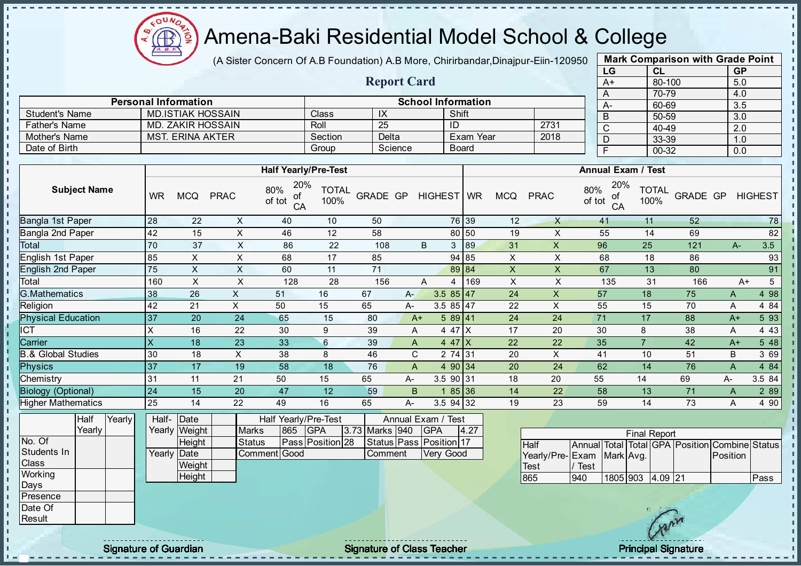

(A Sister Concern Of A.B Foundation) A.B More, Chirirbandar, Dinajpur-Eiin-120950

Report Card

| <b>Mark Comparison with Grade Point</b><br>LG |           |  |  |  |  |  |  |  |  |  |  |  |  |
|-----------------------------------------------|-----------|--|--|--|--|--|--|--|--|--|--|--|--|
| <b>CL</b>                                     | <b>GP</b> |  |  |  |  |  |  |  |  |  |  |  |  |
| 80-100                                        | 5.0       |  |  |  |  |  |  |  |  |  |  |  |  |
| 70-79                                         | 4.0       |  |  |  |  |  |  |  |  |  |  |  |  |
| 60-69                                         | 3.5       |  |  |  |  |  |  |  |  |  |  |  |  |
| 50-59                                         | 3.0       |  |  |  |  |  |  |  |  |  |  |  |  |
| 40-49                                         | 2.0       |  |  |  |  |  |  |  |  |  |  |  |  |
| 33-39                                         | 1.0       |  |  |  |  |  |  |  |  |  |  |  |  |
| 00-32                                         | 0.0       |  |  |  |  |  |  |  |  |  |  |  |  |
|                                               |           |  |  |  |  |  |  |  |  |  |  |  |  |

л  $\mathbf{I}$ 

п п  $\mathbf{I}$  $\mathbf{I}$  $\mathbf{I}$  $\frac{1}{1}$  $\mathbf{r}$ 

 $\begin{array}{c} 1 & 1 & 1 & 1 & 1 & 1 & 1 \\ 1 & 1 & 1 & 1 & 1 & 1 & 1 \\ 1 & 1 & 1 & 1 & 1 & 1 & 1 \\ 1 & 1 & 1 & 1 & 1 & 1 & 1 \\ 1 & 1 & 1 & 1 & 1 & 1 & 1 \\ 1 & 1 & 1 & 1 & 1 & 1 & 1 \\ 1 & 1 & 1 & 1 & 1 & 1 & 1 \\ 1 & 1 & 1 & 1 & 1 & 1 & 1 \\ 1 & 1 & 1 & 1 & 1 & 1 & 1 \\ 1 & 1 & 1 & 1 & 1 & 1 & 1 \\ 1 &$ 

|                       | <b>Personal Information</b> |         |         | <b>School Information</b> |      | $A-$ |
|-----------------------|-----------------------------|---------|---------|---------------------------|------|------|
| <b>Student's Name</b> | MD.ISTIAK HOSSAIN           | Class   | IΛ      | Shift                     |      |      |
| <b>Father's Name</b>  | MD. ZAKIR HOSSAIN           | Roll    | 25      |                           | 2731 |      |
| Mother's Name         | <b>MST. ERINA AKTER</b>     | Section | Delta   | Exam Year                 | 2018 |      |
| Date of Birth         |                             | Group   | Science | Board                     |      |      |

|                               |                     |  |           |               |               | <b>Half Yearly/Pre-Test</b>      |                  |                         |       |               |              |       |            | <b>Annual Exam / Test</b> |                                                |                      |          |      |                |
|-------------------------------|---------------------|--|-----------|---------------|---------------|----------------------------------|------------------|-------------------------|-------|---------------|--------------|-------|------------|---------------------------|------------------------------------------------|----------------------|----------|------|----------------|
|                               | <b>Subject Name</b> |  | <b>WR</b> | <b>MCQ</b>    | <b>PRAC</b>   | 20%<br>80%<br>of<br>of tot<br>CA | TOTAL<br>100%    | GRADE GP                |       |               | HIGHEST   WR |       | <b>MCQ</b> | <b>PRAC</b>               | 20%<br>80%<br>of<br>of tot<br>CA               | <b>TOTAL</b><br>100% | GRADE GP |      | <b>HIGHEST</b> |
| Bangla 1st Paper              |                     |  | 28        | 22            | X             | 40                               | 10               | 50                      |       |               |              | 76 39 | 12         | X                         | 41                                             | 11                   | 52       |      | 78             |
| Bangla 2nd Paper              |                     |  | 42        | 15            | X             | 46                               | 12               | 58                      |       |               |              | 80 50 | 19         | X                         | 55                                             | 14                   | 69       |      | 82             |
| Total                         |                     |  | 70        | 37            | X             | 86                               | 22               | 108                     |       | B             | 3            | 189   | 31         | X                         | 96                                             | 25                   | 121      | $A-$ | 3.5            |
| English 1st Paper             |                     |  | 85        | X             | X             | 68                               | 17               | 85                      |       |               |              | 94 85 | X          | X                         | 68                                             | 18                   | 86       |      | 93             |
| English 2nd Paper             |                     |  | 75        | X             | X             | 60                               | 11               | 71                      |       |               |              | 89 84 | X          | X.                        | 67                                             | 13                   | 80       |      | 91             |
| Total                         |                     |  | 160       | X             | X             | 128                              | 28               | 156                     |       | A             | 4            | 169   | X          | X                         | 135                                            | 31                   | 166      |      | 5<br>$A+$      |
| <b>G.Mathematics</b>          |                     |  | 38        | 26            | X             | 51                               | 16               | 67                      | $A -$ |               | $3.585$ 47   |       | 24         | X                         | 57                                             | 18                   | 75       | A    | 4 98           |
| Religion                      |                     |  | 42        | 21            | X             | 50                               | 15               | 65                      | А-    |               | 3.5 $85$ 47  |       | 22         | X                         | 55                                             | 15                   | 70       | A    | 4 8 4          |
| <b>Physical Education</b>     |                     |  | 37        | 20            | 24            | 65                               | 15               | 80                      |       | $A+$          | 589 41       |       | 24         | 24                        | 71                                             | 17                   | 88       | $A+$ | 5 93           |
| ICT                           |                     |  | X         | 16            | 22            | 30                               | 9                | 39                      |       | A             | 4 47 X       |       | 17         | 20                        | 30                                             | 8                    | 38       | A    | 4 4 3          |
| Carrier                       |                     |  | X         | 18            | 23            | 33                               | $6\phantom{.}$   | 39                      |       | A             | 4 47 $X$     |       | 22         | 22                        | 35                                             |                      | 42       | $A+$ | 5 48           |
| <b>B.&amp; Global Studies</b> |                     |  | 30        | 18            | X             | 38                               | 8                | 46                      |       | C.            | 2 74 31      |       | 20         | X                         | 41                                             | 10                   | 51       | B    | 3 69           |
| Physics                       |                     |  | 37        | 17            | 19            | 58                               | 18               | 76                      |       | A             | 4 90 34      |       | 20         | 24                        | 62                                             | 14                   | 76       | A    | 4 8 4          |
| Chemistry                     |                     |  | 31        | 11            | 21            | 50                               | 15               | 65                      | А-    |               | 3.5 90 31    |       | 18         | 20                        | 55                                             | 14                   | 69       | A-   | 3.5 84         |
| <b>Biology (Optional)</b>     |                     |  | 24        | 15            | 20            | 47                               | 12               | 59                      |       | B             |              | 85 36 | 14         | 22                        | 58                                             | 13                   | 71       | A    | 2 8 9          |
| <b>Higher Mathematics</b>     |                     |  | 25        | 14            | 22            | 49                               | 16               | 65                      | A-    |               | 3.5 94 32    |       | 19         | 23                        | 59                                             | 14                   | 73       | A    | 4 90           |
| Yearly<br>Half                |                     |  | Half-     | Date          |               | Half                             | Yearly/Pre-Test  |                         |       | Annual Exam / | Test         |       |            |                           |                                                |                      |          |      |                |
|                               | Yearly              |  | Yearly    | Weight        | <b>Marks</b>  | 865                              | <b>GPA</b>       | 3.73 Marks 940          |       | <b>GPA</b>    |              | 4.27  |            |                           |                                                | <b>Final Report</b>  |          |      |                |
| No. Of                        |                     |  |           | <b>Height</b> | <b>Status</b> |                                  | Pass Position 28 | Status Pass Position 17 |       |               |              |       |            | $L = 16$                  | Appual Total Total CDA Desition Combine Status |                      |          |      |                |

| ly I |  | Yearly Weight |        | <b>Marks</b> | 865 | <b>IGPA</b>      | 3.73 Marks 940 | <b>IGPA</b>             | 4.27 | <b>Final Report</b>       |      |                  |  |  |  |                                                |      |  |
|------|--|---------------|--------|--------------|-----|------------------|----------------|-------------------------|------|---------------------------|------|------------------|--|--|--|------------------------------------------------|------|--|
|      |  |               | Height | Status       |     | Pass Position 28 |                | Status Pass Position 17 |      | Half                      |      |                  |  |  |  | Annual Total Total GPA Position Combine Status |      |  |
|      |  | Yearly Date   |        | Comment Good |     |                  | Comment        | Very Good               |      | Yearly/Pre-Exam Mark Avg. |      |                  |  |  |  | Position                                       |      |  |
|      |  |               | Weight |              |     |                  |                |                         |      | Test                      | Test |                  |  |  |  |                                                |      |  |
|      |  |               | Height |              |     |                  |                |                         |      | 865                       | 940  | 1805 903 4.09 21 |  |  |  |                                                | Pass |  |
|      |  |               |        |              |     |                  |                |                         |      |                           |      |                  |  |  |  |                                                |      |  |
|      |  |               |        |              |     |                  |                |                         |      |                           |      |                  |  |  |  |                                                |      |  |
|      |  |               |        |              |     |                  |                |                         |      |                           |      |                  |  |  |  |                                                |      |  |
|      |  |               |        |              |     |                  |                |                         |      |                           |      |                  |  |  |  |                                                |      |  |

Students In **Class Working** Days Presence Date Of **Result** 

J.

- II  $\blacksquare$  $\mathbf{r}$  $\mathbf{r}$  $\mathbf{I}$ П h i, l ni  $\mathbf{I}$  $\mathbf{I}$ J.  $\mathbf{I}$ 

experiences and the state of Class Teacher Principal Signature of Class Teacher Principal Signature Principal Signature Signature of Class Teacher Principal Signature Principal Signature of Class Teacher Principal Signatur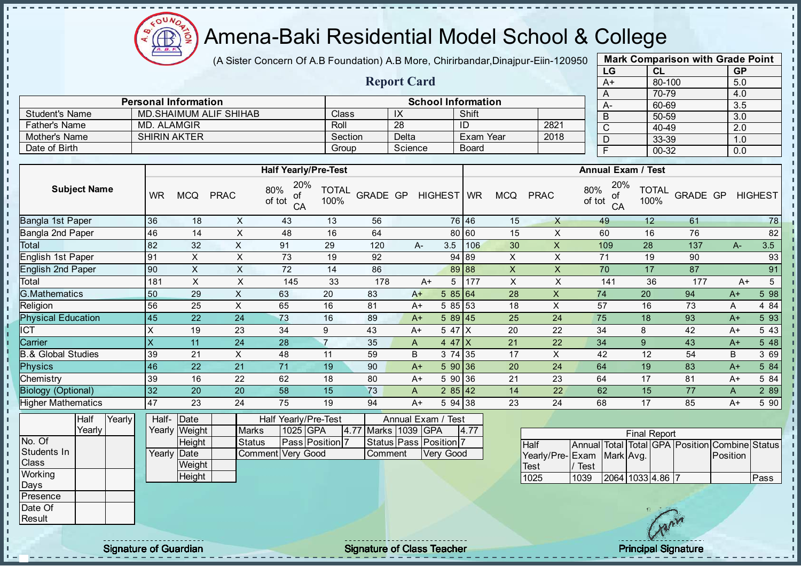$\Omega$ Œ

J. - II

J.

-8 J.

п

h h J. J.  $\mathbf{I}$ J.

 $\blacksquare$ 

 $\mathbf{u}$  $\mathbf{u}$ 

## Amena-Baki Residential Model School & College

(A Sister Concern Of A.B Foundation) A.B More, Chirirbandar, Dinajpur-Eiin-120950

Report Card

Personal Information School Information

Father's Name MD. ALAMGIR Roll 28 ID 2821 Mother's Name SHIRIN AKTER Section Delta Exam Year 2018

Student's Name MD.SHAIMUM ALIF SHIHAB Class IX Shift<br>
Father's Name MD. ALAMGIR
Bather's Name Shift Class Roll 28 ID

Date of Birth **Group Science** Board

| <b>Mark Comparison with Grade Point</b> |           |           |  |  |  |  |  |  |  |  |  |  |
|-----------------------------------------|-----------|-----------|--|--|--|--|--|--|--|--|--|--|
| LG                                      | CL        | <b>GP</b> |  |  |  |  |  |  |  |  |  |  |
| $A+$                                    | 80-100    | 5.0       |  |  |  |  |  |  |  |  |  |  |
| A                                       | 70-79     | 4.0       |  |  |  |  |  |  |  |  |  |  |
| А-                                      | 60-69     | 3.5       |  |  |  |  |  |  |  |  |  |  |
| B                                       | 50-59     | 3.0       |  |  |  |  |  |  |  |  |  |  |
| C                                       | 40-49     | 2.0       |  |  |  |  |  |  |  |  |  |  |
| D                                       | 33-39     | 1.0       |  |  |  |  |  |  |  |  |  |  |
| F                                       | $00 - 32$ | 0.0       |  |  |  |  |  |  |  |  |  |  |
|                                         |           |           |  |  |  |  |  |  |  |  |  |  |

 $\mathbf{I}$ 

r.

л h,

п

 $\mathbf{I}$  $\mathbf{I}$ 

|                               |                     |        |           |                           |                         | <b>Half Yearly/Pre-Test</b>      |                      |                     |                        |           |      |                           |                 |                     | <b>Annual Exam / Test</b> |                      |                                   |          |                        |
|-------------------------------|---------------------|--------|-----------|---------------------------|-------------------------|----------------------------------|----------------------|---------------------|------------------------|-----------|------|---------------------------|-----------------|---------------------|---------------------------|----------------------|-----------------------------------|----------|------------------------|
|                               | <b>Subject Name</b> |        | <b>WR</b> | <b>MCQ</b>                | <b>PRAC</b>             | 20%<br>80%<br>οf<br>of tot<br>CA | <b>TOTAL</b><br>100% | GRADE GP HIGHEST WR |                        |           |      | <b>MCQ</b>                | <b>PRAC</b>     | 80%<br>of tot       | 20%<br>of<br>CA           | <b>TOTAL</b><br>100% | GRADE GP                          |          | <b>HIGHEST</b>         |
| Bangla 1st Paper              |                     |        | 36        | 18                        | X                       | 43                               | 13                   | 56                  |                        | 76 46     |      | 15                        | $\mathsf{X}$    |                     | 49                        | 12                   | 61                                |          | 78                     |
| Bangla 2nd Paper              |                     |        | 46        | 14                        | X                       | 48                               | 16                   | 64                  |                        | 80 60     |      | 15                        | X               |                     | 60                        | 16                   | 76                                |          | 82                     |
| Total                         |                     |        | 82        | 32                        | $\mathsf{X}$            | 91                               | 29                   | 120                 | А-                     | 3.5       | 106  | 30                        | $\mathsf X$     |                     | 109                       | 28                   | 137                               | $A -$    | 3.5                    |
| English 1st Paper             |                     |        | 91        | X                         | $\sf X$                 | 73                               | 19                   | 92                  |                        | 94 89     |      | X                         | X               |                     | 71                        | 19                   | 90                                |          | 93                     |
| <b>English 2nd Paper</b>      |                     |        | 90        | $\mathsf{x}$              | $\overline{\mathsf{X}}$ | 72                               | 14                   | 86                  |                        | 89 88     |      | $\overline{X}$            | $\mathsf{X}$    |                     | 70                        | 17                   | 87                                |          | 91                     |
| Total                         |                     |        | 181       | $\boldsymbol{\mathsf{X}}$ | $\sf X$                 | 145                              | 33                   | 178                 | $A+$                   | 5         | 177  | $\boldsymbol{\mathsf{X}}$ | X               |                     | 141                       | 36                   | 177                               |          | $\overline{5}$<br>$A+$ |
| G.Mathematics                 |                     |        | 50        | 29                        | $\mathsf{X}$            | 63                               | 20                   | 83                  | $A+$                   | 585 64    |      | 28                        | $\mathsf X$     |                     | 74                        | 20                   | 94                                | $A+$     | 5 98                   |
| Religion                      |                     |        | 56        | 25                        | $\mathsf X$             | 65                               | 16                   | 81                  | $A+$                   | 5 85 53   |      | 18                        | $\sf X$         |                     | 57                        | 16                   | 73                                | A        | 4 8 4                  |
| <b>Physical Education</b>     |                     | 45     | 22        | 24                        | 73                      | 16                               | 89                   | $A+$                | 589 45                 |           | 25   | 24                        |                 | 75                  | 18                        | 93                   | $A+$                              | 5 93     |                        |
| <b>ICT</b>                    |                     | X      | 19        | 23                        | 34                      | 9                                | 43                   | $A+$                | 5 47 X                 |           | 20   | 22                        |                 | 34                  | 8                         | 42                   | $A+$                              | 5 4 3    |                        |
|                               | Carrier             |        |           | 11                        | 24                      | 28                               | $\overline{7}$       | 35                  | A                      | 4 47 $X$  |      | 21                        | 22              |                     | 34                        | 9                    | 43                                | $A+$     | 5 48                   |
| <b>B.&amp; Global Studies</b> |                     |        | 39        | 21                        | X                       | 48                               | 11                   | 59                  | B                      | 3 74 35   |      | 17                        | X               |                     | 42                        | 12                   | 54                                | B        | 3 69                   |
| <b>Physics</b>                |                     |        | 46        | 22                        | 21                      | 71                               | 19                   | 90                  | $A+$                   | 590 36    |      | 20                        | 24              |                     | 64                        | 19                   | 83                                | $A+$     | 5 84                   |
| Chemistry                     |                     |        | 39        | 16                        | 22                      | 62                               | 18                   | 80                  | A+                     | 5 90 36   |      | 21                        | 23              |                     | 64                        | 17                   | 81                                | $A+$     | 5 84                   |
| <b>Biology (Optional)</b>     |                     |        | 32        | 20                        | 20                      | 58                               | 15                   | 73                  | A                      | 285 42    |      | 14                        | 22              |                     | 62                        | 15                   | 77                                | A        | 2 8 9                  |
| <b>Higher Mathematics</b>     |                     |        | 47        | 23                        | 24                      | 75                               | 19                   | 94                  | A+                     | 5 94 38   |      | 23                        | 24              |                     | 68                        | 17                   | 85                                | $A+$     | 5 90                   |
|                               | Half<br>Yearly      | Yearly | Half-     | Date<br>Yearly Weight     | <b>Marks</b>            | Half Yearly/Pre-Test<br>1025 GPA |                      | 4.77 Marks 1039 GPA | Annual Exam / Test     |           | 4.77 |                           |                 |                     |                           |                      |                                   |          |                        |
| No. Of                        |                     |        |           | Height                    | <b>Status</b>           |                                  | Pass Position 7      |                     | Status Pass Position 7 |           |      |                           | Half            | <b>Annual Total</b> |                           | <b>Final Report</b>  | Total GPA Position Combine Status |          |                        |
| Students In                   |                     |        |           | Yearly Date               |                         | Comment Very Good                |                      | Comment             |                        | Very Good |      |                           | Yearly/Pre-Exam |                     | Mark Avg.                 |                      |                                   | Position |                        |
| <b>Class</b>                  |                     |        |           | Weight                    |                         |                                  |                      |                     |                        |           |      |                           | <b>Test</b>     | Test                |                           |                      |                                   |          |                        |
| Working                       |                     |        |           | Height                    |                         |                                  |                      |                     |                        |           |      |                           | 1025            | 1039                | 2064 1033 4.86 7          |                      |                                   |          | Pass                   |
| Days                          |                     |        |           |                           |                         |                                  |                      |                     |                        |           |      |                           |                 |                     |                           |                      |                                   |          |                        |
| Presence                      |                     |        |           |                           |                         |                                  |                      |                     |                        |           |      |                           |                 |                     |                           |                      |                                   |          |                        |
| Date Of                       |                     |        |           |                           |                         |                                  |                      |                     |                        |           |      |                           |                 |                     |                           |                      |                                   |          |                        |
| Result                        |                     |        |           |                           |                         |                                  |                      |                     |                        |           |      |                           |                 |                     |                           |                      |                                   |          |                        |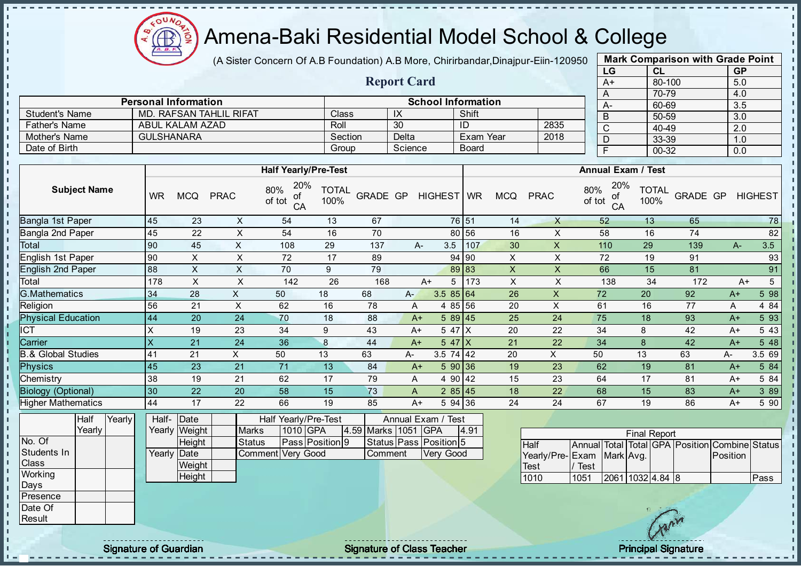

- II

п J. -f - II  $\mathbf{I}$ J.  $\mathbf{L}$  $\blacksquare$ 

**II** л л л  $\mathbf{I}$  $\mathbb T$  $\mathbf{I}$ 

#### Amena-Baki Residential Model School & College

(A Sister Concern Of A.B Foundation) A.B More, Chirirbandar, Dinajpur-Eiin-120950

Report Card

Personal Information School Information

Father's Name ABUL KALAM AZAD Roll 30 ID 2835

Student's Name MD. RAFSAN TAHLIL RIFAT Class | IX | Shift

| <b>Mark Comparison with Grade Point</b><br>LG |           |  |  |  |  |  |  |  |  |  |  |  |
|-----------------------------------------------|-----------|--|--|--|--|--|--|--|--|--|--|--|
| <b>CL</b>                                     | <b>GP</b> |  |  |  |  |  |  |  |  |  |  |  |
| 80-100                                        | 5.0       |  |  |  |  |  |  |  |  |  |  |  |
| 70-79                                         | 4.0       |  |  |  |  |  |  |  |  |  |  |  |
| 60-69                                         | 3.5       |  |  |  |  |  |  |  |  |  |  |  |
| 50-59                                         | 3.0       |  |  |  |  |  |  |  |  |  |  |  |
| 40-49                                         | 2.0       |  |  |  |  |  |  |  |  |  |  |  |
| 33-39                                         | 1.0       |  |  |  |  |  |  |  |  |  |  |  |
| 00-32                                         | 0.0       |  |  |  |  |  |  |  |  |  |  |  |
|                                               |           |  |  |  |  |  |  |  |  |  |  |  |

| Mother's Name             |                                | <b>GULSHANARA</b>    |                           |                                  | Section                                      |                 | <b>Delta</b> |                   | Exam Year    |                           | 2018           | ◡<br>D                           | →ט−<br>33-39         |          | $\sim$<br>1.0 |                |
|---------------------------|--------------------------------|----------------------|---------------------------|----------------------------------|----------------------------------------------|-----------------|--------------|-------------------|--------------|---------------------------|----------------|----------------------------------|----------------------|----------|---------------|----------------|
| Date of Birth             |                                |                      |                           |                                  | Group                                        |                 | Science      |                   | <b>Board</b> |                           |                | $\overline{F}$                   | 00-32                |          | 0.0           |                |
|                           |                                |                      |                           |                                  |                                              |                 |              |                   |              |                           |                |                                  |                      |          |               |                |
|                           |                                |                      |                           | <b>Half Yearly/Pre-Test</b>      |                                              |                 |              |                   |              |                           |                | <b>Annual Exam / Test</b>        |                      |          |               |                |
| <b>Subject Name</b>       | <b>WR</b>                      | <b>MCQ</b>           | <b>PRAC</b>               | 20%<br>80%<br>οf<br>of tot<br>CA | <b>TOTAL</b><br>100%                         | <b>GRADE GP</b> |              | HIGHEST WR        |              | <b>MCQ</b>                | <b>PRAC</b>    | 20%<br>80%<br>οf<br>of tot<br>CA | <b>TOTAL</b><br>100% | GRADE GP |               | <b>HIGHEST</b> |
| Bangla 1st Paper          | 45                             | 23                   | $\mathsf X$               | 54                               | 13                                           | 67              |              |                   | 76 51        | 14                        | X              | 52                               | 13                   | 65       |               | 78             |
| Bangla 2nd Paper          | 45                             | 22                   | X                         | 54                               | 16                                           | 70              |              |                   | 80 56        | 16                        | X              | 58                               | 16                   | 74       |               | 82             |
| Total                     | 90                             | 45                   | X                         | 108                              | 29                                           | 137             |              | 3.5<br>А-         | 107          | 30                        | X              | 110                              | 29                   | 139      | $A -$         | 3.5            |
| English 1st Paper         | 90                             | X                    | $\mathsf{X}$              | 72                               | 17                                           | 89              |              |                   | 94 90        | X                         | X              | 72                               | 19                   | 91       |               | 93             |
| <b>English 2nd Paper</b>  | 88                             | X                    | $\boldsymbol{\mathsf{X}}$ | 70                               | 9                                            | 79              |              |                   | 89 83        | $\mathsf X$               | X              | 66                               | 15                   | 81       |               | 91             |
| Total                     | 178                            | X                    | X                         | 142                              | 26                                           | 168             |              | $A+$<br>5         | 173          | $\boldsymbol{\mathsf{X}}$ | X              | 138                              | 34                   | 172      | $A+$          | 5              |
| <b>G.Mathematics</b>      | 34                             | 28                   | X                         | 50                               | 18                                           | 68              | $A -$        | 3.58564           |              | 26                        | $\pmb{\times}$ | 72                               | 20                   | 92       | $A+$          | 5 98           |
| Religion                  | 56                             | 21                   | $\times$                  | 62                               | 16                                           | 78              | A            |                   | 4 85 56      | 20                        | X              | 61                               | 16                   | 77       | Α             | 4 8 4          |
| <b>Physical Education</b> | 44                             | 20                   | 24                        | 70                               | 18                                           | 88              |              | $A+$              | 589 45       | 25                        | 24             | 75                               | 18                   | 93       | $A+$          | 5 93           |
| <b>ICT</b>                | X                              | 19                   | 23                        | 34                               | 9                                            | 43              |              | 5 47 X<br>$A+$    |              | 20                        | 22             | 34                               | 8                    | 42       | $A+$          | 5 4 3          |
| Carrier                   | X                              | 21                   | 24                        | 36                               | 8                                            | 44              |              | $547$ $X$<br>$A+$ |              | 21                        | 22             | 34                               | 8                    | 42       | $A+$          | 5 48           |
| & Global Studies          | 41                             | 21                   | X.                        | 50                               | 13                                           | 63              | A-           | $3.5$ 74 42       |              | 20                        | X              | 50                               | 13                   | 63       | A-            | 3.5 69         |
| <b>Physics</b>            | 45                             | 23                   | 21                        | 71                               | 13                                           | 84              |              | $A+$              | 590 36       | 19                        | 23             | 62                               | 19                   | 81       | $A+$          | 5 84           |
| Chemistry                 | 38                             | 19                   | 21                        | 62                               | 17                                           | 79              |              | A                 | 4 90 42      | 15                        | 23             | 64                               | 17                   | 81       | $A+$          | 5 84           |
| <b>Biology (Optional)</b> | 30                             | 22                   | 20                        | 58                               | 15                                           | 73              |              | A                 | 285 45       | 18                        | 22             | 68                               | 15                   | 83       | $A+$          | 3 8 9          |
| <b>Higher Mathematics</b> | 44                             | 17                   | 22                        | 66                               | 19                                           | 85              |              | A+                | 5 94 36      | 24                        | 24             | 67                               | 19                   | 86       | $A+$          | 5 90           |
| Half<br>Yearly<br>Voorly  | Half Yearly/Pre-Test<br>$1010$ | $150$ Merke 1051 CDA |                           | Annual Exam / Test               | $\overline{A}$ $\overline{O}$ $\overline{A}$ |                 |              |                   |              |                           |                |                                  |                      |          |               |                |

|             | Yearly |  |             | Yearly Weight | <b>Marks</b>             | 1010 GPA |                 | 4.59 Marks 1051 GPA |                              | 4.91 |                            |             |                  | <b>Final Report</b> |                                                |      |
|-------------|--------|--|-------------|---------------|--------------------------|----------|-----------------|---------------------|------------------------------|------|----------------------------|-------------|------------------|---------------------|------------------------------------------------|------|
| No. Of      |        |  |             | Height        | Status                   |          | Pass Position 9 |                     | Status   Pass   Position   5 |      | Half                       |             |                  |                     | Annual Total Total GPA Position Combine Status |      |
| Students In |        |  | Yearly Date |               | <b>Comment Very Good</b> |          |                 | Comment             | Very Good                    |      | Yearly/Pre-LExam Mark Avg. |             |                  |                     | Position                                       |      |
| Class       |        |  |             | Weight        |                          |          |                 |                     |                              |      | 'Test                      | <b>Test</b> |                  |                     |                                                |      |
| Working     |        |  |             | Height        |                          |          |                 |                     |                              |      | 1010                       | 1051        | 2061 1032 4.84 8 |                     |                                                | Pass |
| Days        |        |  |             |               |                          |          |                 |                     |                              |      |                            |             |                  |                     |                                                |      |
| Presence    |        |  |             |               |                          |          |                 |                     |                              |      |                            |             |                  |                     |                                                |      |
| Date Of     |        |  |             |               |                          |          |                 |                     |                              |      |                            |             |                  |                     |                                                |      |
| Result      |        |  |             |               |                          |          |                 |                     |                              |      |                            |             |                  | LAN                 |                                                |      |

Signature of Guardian Signature of Class Teacher Principal Signature of Class Teacher Principal Signature

 $\mathcal{N}$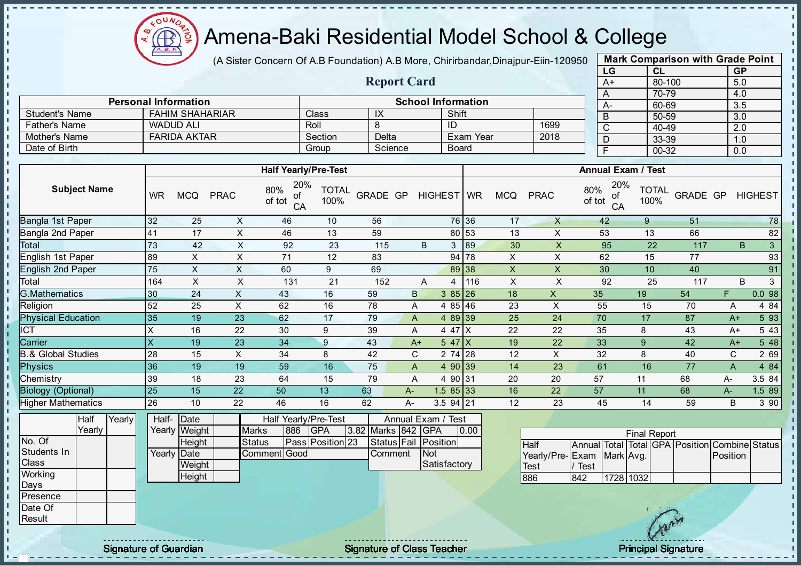

(A Sister Concern Of A.B Foundation) A.B More, Chirirbandar, Dinajpur-Eiin-120950

Report Card

Personal Information and The School Information

Father's Name | WADUD ALI | Roll | 8 | ID | 1699

Student's Name FAHIM SHAHARIAR Class IX Shift

| <b>Mark Comparison with Grade Point</b><br>LG |           |  |  |  |  |  |  |  |  |  |  |  |  |
|-----------------------------------------------|-----------|--|--|--|--|--|--|--|--|--|--|--|--|
| CL                                            | <b>GP</b> |  |  |  |  |  |  |  |  |  |  |  |  |
| 80-100                                        | 5.0       |  |  |  |  |  |  |  |  |  |  |  |  |
| 70-79                                         | 4.0       |  |  |  |  |  |  |  |  |  |  |  |  |
| 60-69                                         | 3.5       |  |  |  |  |  |  |  |  |  |  |  |  |
| 50-59                                         | 3.0       |  |  |  |  |  |  |  |  |  |  |  |  |
| 40-49                                         | 2.0       |  |  |  |  |  |  |  |  |  |  |  |  |
| 33-39                                         | 1.0       |  |  |  |  |  |  |  |  |  |  |  |  |
| 00-32                                         | 0.0       |  |  |  |  |  |  |  |  |  |  |  |  |
|                                               |           |  |  |  |  |  |  |  |  |  |  |  |  |

| <b>FARIDA AKTAR</b><br><b>Mother's Name</b> |           |                                                                      |             |                                  | Section              | Delta                           |                    |              | Exam Year    |                           | 2018           | D                                         | 33-39                             |          | 1.0         |                |
|---------------------------------------------|-----------|----------------------------------------------------------------------|-------------|----------------------------------|----------------------|---------------------------------|--------------------|--------------|--------------|---------------------------|----------------|-------------------------------------------|-----------------------------------|----------|-------------|----------------|
| Date of Birth                               |           |                                                                      |             |                                  | Group                | Science                         |                    | <b>Board</b> |              |                           |                | $\overline{F}$                            | 00-32                             |          | 0.0         |                |
|                                             |           |                                                                      |             |                                  |                      |                                 |                    |              |              |                           |                |                                           |                                   |          |             |                |
|                                             |           |                                                                      |             | <b>Half Yearly/Pre-Test</b>      |                      |                                 |                    |              |              |                           |                | <b>Annual Exam / Test</b>                 |                                   |          |             |                |
| <b>Subject Name</b>                         | <b>WR</b> | <b>MCQ</b>                                                           | <b>PRAC</b> | 20%<br>80%<br>of<br>of tot<br>CA | <b>TOTAL</b><br>100% | <b>GRADE GP</b>                 |                    | HIGHEST WR   |              | <b>MCQ</b>                | <b>PRAC</b>    | 20%<br>80%<br>οf<br>of tot<br>CA          | <b>TOTAL</b><br>100%              | GRADE GP |             | <b>HIGHEST</b> |
| Bangla 1st Paper                            | 32        | 25                                                                   | X           | 46                               | 10                   | 56                              |                    |              | 76 36        | 17                        | $\times$       | 42                                        | 9                                 | 51       |             | 78             |
| Bangla 2nd Paper                            | 41        | 17                                                                   | X           | 46                               | 13                   | 59                              |                    |              | 80 53        | 13                        | X              | 53                                        | 13                                | 66       |             | 82             |
| Total                                       | 73        | 42                                                                   | X           | 92                               | 23                   | 115                             | B                  | 3            | 89           | 30                        | X              | 95                                        | 22                                | 117      | B           | 3              |
| English 1st Paper                           | 89        | X                                                                    | X           | 71                               | 12                   | 83                              |                    |              | 94 78        | X                         | X              | 62                                        | 15                                | 77       |             | 93             |
| <b>English 2nd Paper</b>                    | 75        | X                                                                    | X           | 60                               | 9                    | 69                              |                    | 89           | 38           | $\boldsymbol{\mathsf{X}}$ | X              | 30                                        | 10                                | 40       |             | 91             |
| Total                                       | 164       | X                                                                    | X           | 131                              | 21                   | 152                             | A                  | 4            | 116          | $\boldsymbol{\mathsf{X}}$ | X              | 92                                        | 25                                | 117      | B           | 3              |
| <b>G.Mathematics</b>                        | 30        | 24                                                                   | X           | 43                               | 16                   | 59                              | B                  | $385$  26    |              | 18                        | $\pmb{\times}$ | 35                                        | 19                                | 54       | F           | 0.098          |
| Religion                                    | 52        | 25                                                                   | X           | 62                               | 16                   | 78                              | A                  | 4 85 46      |              | 23                        | X              | 55                                        | 15                                | 70       | Α           | 4 8 4          |
| <b>Physical Education</b>                   | 35        | 19                                                                   | 23          | 62                               | 17                   | 79                              | A                  | 4 8 9        | $ 39\rangle$ | 25                        | 24             | 70                                        | 17                                | 87       | $A+$        | 5 9 3          |
| $\overline{\text{CT}}$                      | X         | 16                                                                   | 22          | 30                               | 9                    | 39                              | Α                  | 4 47 X       |              | 22                        | 22             | 35                                        | 8                                 | 43       | $A+$        | 5 4 3          |
| Carrier                                     | X         | 19                                                                   | 23          | 34                               | 9                    | 43                              | $A+$               | $547$ $X$    |              | 19                        | 22             | 33                                        | 9                                 | 42       | $A+$        | 5 48           |
| <b>B.&amp; Global Studies</b>               | 28        | 15                                                                   | X           | 34                               | 8                    | 42                              | C                  | 2 74 28      |              | 12                        | X              | 32                                        | 8                                 | 40       | $\mathbf C$ | 2 69           |
| <b>Physics</b>                              | 36        | 19                                                                   | 19          | 59                               | 16                   | 75                              | A                  | 4 90         | $ 39\rangle$ | 14                        | 23             | 61                                        | 16                                | 77       | A           | 4 84           |
| Chemistry                                   | 39        | 18                                                                   | 23          | 64                               | 15                   | 79                              | A                  | 4 90 31      |              | 20                        | 20             | 57                                        | 11                                | 68       | A-          | 3.5 84         |
| <b>Biology (Optional)</b>                   | 25        | 15                                                                   | 22          | 50                               | 13                   | 63                              | A-                 | $1.585$ 33   |              | 16                        | 22             | 57                                        | 11                                | 68       | A-          | 1.5 89         |
| Higher Mathematics                          | 26        | 10                                                                   | 22          | 46                               | 16                   | 62                              | A-                 | 3.5 94 21    |              | 12                        | 23             | 45                                        | 14                                | 59       | B           | 3 90           |
| Half<br>Yearly                              | Half-     | Date                                                                 |             | Half Yearly/Pre-Test             |                      |                                 | Annual Exam / Test |              |              |                           |                |                                           |                                   |          |             |                |
| Yearly                                      |           | 886<br><b>GPA</b><br>3.82 Marks 842<br>Yearly Weight<br><b>Marks</b> |             |                                  |                      |                                 |                    | <b>GPA</b>   | 0.00         |                           |                |                                           | <b>Final Report</b>               |          |             |                |
| No. Of<br>Students In                       |           | Height<br>Yearly Date                                                |             | <b>Status</b><br>Comment Good    | Pass Position 23     | Status Fail Position<br>Comment |                    | Not          |              |                           | Half           | Annual Total<br>Yearly/Pre-IFxam MarkLAvg | Total GPA Position Combine Status |          | Position    |                |

| Half                       |         |           |  | Annual Total Total GPA Position Combine Statu |  |
|----------------------------|---------|-----------|--|-----------------------------------------------|--|
| Yearly/Pre- Exam Mark Avg. |         |           |  | <b>Position</b>                               |  |
| Test                       | I/ Test |           |  |                                               |  |
| 886                        | 842     | 1728 1032 |  |                                               |  |

**Weight Height** 

Class **Working** Days Presence Date Of **Result** 

 $\mathbf{I}$ J.  $\mathbf{r}$ 

 $\blacksquare$ J.  $\blacksquare$  $\mathbf{I}$  $\mathbf{I}$  $\mathbf{I}$  $\blacksquare$  $\mathbf{I}$ J. J. J. a. п п T. J. J. - II  $\mathbf{I}$ - II  $\mathbf{I}$ **II**  $\mathbf{I}$  $\mathbf{I}$ l n l n h. h. l n  $\mathbf{r}$  $\mathbf{r}$  $\mathbf{u}$  $\frac{1}{1}$ - II

Signature of Guardian Signature of Class Teacher Principal Signature of Class Teacher Principal Signature

**Satisfactory**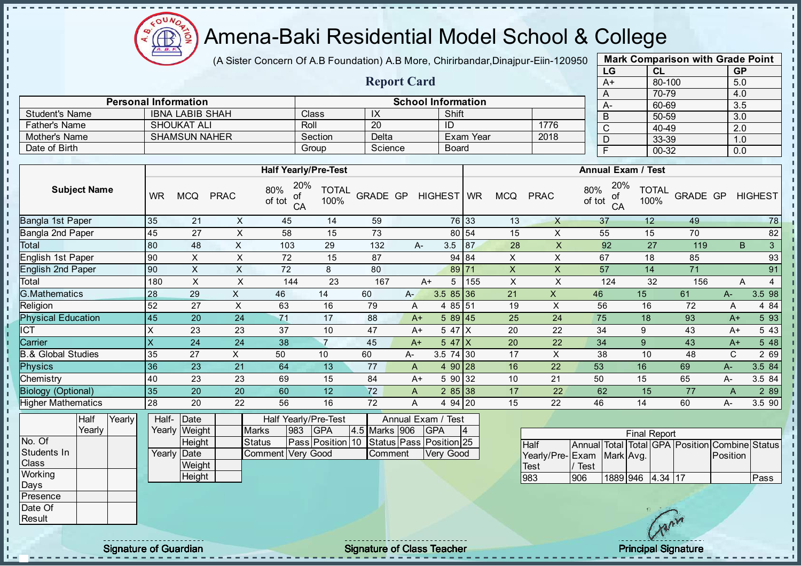

(A Sister Concern Of A.B Foundation) A.B More, Chirirbandar, Dinajpur-Eiin-120950

Report Card

Personal Information School Information

Student's Name IBNA LABIB SHAH Class IX Shift<br>Esther's Name SHOUKAT ALL Roll 20 ID

| <b>GP</b> |
|-----------|
| 5.0       |
| 4.0       |
| 3.5       |
| 3.0       |
| 2.0       |
| 1.0       |
| 0.0       |
|           |

| <b>Father's Name</b>          |                     |        |                           | <b>SHOUKAT ALI</b>        |             | Roll                                        |                               | 20                                 |              | ID                        |                  |                           | 1776                      |               | $\mathsf C$     | 40-49                     |                                                | 2.0          |                |
|-------------------------------|---------------------|--------|---------------------------|---------------------------|-------------|---------------------------------------------|-------------------------------|------------------------------------|--------------|---------------------------|------------------|---------------------------|---------------------------|---------------|-----------------|---------------------------|------------------------------------------------|--------------|----------------|
| Mother's Name                 |                     |        |                           | <b>SHAMSUN NAHER</b>      |             |                                             | Section                       | Delta                              |              |                           | <b>Exam Year</b> |                           | 2018                      |               | D               | 33-39                     |                                                | 1.0          |                |
| Date of Birth                 |                     |        |                           |                           |             |                                             | Group                         | Science                            |              | <b>Board</b>              |                  |                           |                           |               | $\overline{F}$  | 00-32                     |                                                | 0.0          |                |
|                               |                     |        |                           |                           |             |                                             |                               |                                    |              |                           |                  |                           |                           |               |                 |                           |                                                |              |                |
|                               |                     |        |                           |                           |             | <b>Half Yearly/Pre-Test</b>                 |                               |                                    |              |                           |                  |                           |                           |               |                 | <b>Annual Exam / Test</b> |                                                |              |                |
|                               | <b>Subject Name</b> |        | <b>WR</b>                 | <b>MCQ</b>                | <b>PRAC</b> | 20%<br>80%<br>of<br>of tot<br>CA            | <b>TOTAL</b><br>100%          | <b>GRADE GP</b>                    |              | <b>HIGHEST</b>            | <b>WR</b>        | <b>MCQ</b>                | <b>PRAC</b>               | 80%<br>of tot | 20%<br>of<br>CA | <b>TOTAL</b><br>100%      | <b>GRADE GP</b>                                |              | <b>HIGHEST</b> |
| Bangla 1st Paper              |                     |        | 35                        | 21                        | X           | 45                                          | 14                            | 59                                 |              |                           | 76 33            | 13                        | $\mathsf{X}$              |               | 37              | 12                        | 49                                             |              | 78             |
| Bangla 2nd Paper              |                     |        | 45                        | 27                        | X           | 58                                          | 15                            | 73                                 |              |                           | 80 54            | 15                        | X                         |               | 55              | 15                        | 70                                             |              | 82             |
| Total                         |                     |        | 80                        | 48                        | X           | 103                                         | 29                            | 132                                | A-           | 3.5                       | 87               | 28                        | $\mathsf X$               |               | 92              | 27                        | 119                                            | B            | 3              |
| English 1st Paper             |                     |        | 90                        | $\times$                  | X           | 72                                          | 15                            | 87                                 |              |                           | 94 84            | $\pmb{\times}$            | $\pmb{\times}$            |               | 67              | 18                        | 85                                             |              | 93             |
| <b>English 2nd Paper</b>      |                     |        | 90                        | $\boldsymbol{\mathsf{X}}$ | $\mathsf X$ | 72                                          | 8                             | 80                                 |              | 89 71                     |                  | $\mathsf X$               | $\boldsymbol{\mathsf{X}}$ |               | 57              | 14                        | 71                                             |              | 91             |
| Total                         |                     |        | 180                       | $\pmb{\times}$            | $\sf X$     | 144                                         | 23                            | 167                                | $A+$         | 5                         | 155              | $\boldsymbol{\mathsf{X}}$ | $\mathsf X$               |               | 124             | 32                        | 156                                            | Α            | $\overline{4}$ |
| <b>G.Mathematics</b>          |                     |        | 28                        | 29                        | X           | 46                                          | 14                            | 60                                 | A-           | $3.585$ 36                |                  | 21                        | $\mathsf{X}$              | 46            |                 | 15                        | 61                                             | $A-$         | 3.5 98         |
| Religion                      |                     |        | 52                        | 27                        | X           | 63                                          | 16                            | 79                                 | A            | 4 85 51                   |                  | 19                        | X                         | 56            |                 | 16                        | 72                                             | Α            | 4 8 4          |
| <b>Physical Education</b>     |                     |        | 45                        | 20                        | 24          | 71                                          | 17                            | 88                                 | $A+$         | 589 45                    |                  | 25                        | 24                        | 75            |                 | 18                        | 93                                             | $A+$         | 5 93           |
| $\overline{\text{CT}}$        |                     |        | $\boldsymbol{\mathsf{X}}$ | 23                        | 23          | 37                                          | 10                            | 47                                 | $A+$         | 5 47 X                    |                  | 20                        | 22                        | 34            |                 | 9                         | 43                                             | $A+$         | 5 4 3          |
| Carrier                       |                     |        | $\overline{\mathsf{x}}$   | 24                        | 24          | 38                                          | $\overline{7}$                | 45                                 | $A+$         | $547$ $X$                 |                  | 20                        | 22                        | 34            |                 | $\boldsymbol{9}$          | 43                                             | $A+$         | 5 48           |
| <b>B.&amp; Global Studies</b> |                     |        | 35                        | 27                        | X           | 50                                          | 10                            | 60                                 | A-           | 3.5 74 30                 |                  | 17                        | $\mathsf{X}$              | 38            |                 | 10                        | 48                                             | $\mathsf{C}$ | 2 69           |
| <b>Physics</b>                |                     |        | 36                        | 23                        | 21          | 64                                          | 13                            | 77                                 | $\mathsf{A}$ | 4 90 28                   |                  | 16                        | 22                        | 53            |                 | 16                        | 69                                             | $A -$        | 3.5 84         |
| Chemistry                     |                     |        | 40                        | 23                        | 23          | 69                                          | 15                            | 84                                 | $A+$         | 5 90 32                   |                  | 10                        | 21                        | 50            |                 | 15                        | 65                                             | А-           | 3.5 84         |
| <b>Biology (Optional)</b>     |                     |        | 35                        | 20                        | 20          | 60                                          | 12                            | 72                                 | A            | 285 38                    |                  | 17                        | 22                        | 62            |                 | 15                        | 77                                             | A            | 2 8 9          |
| <b>Higher Mathematics</b>     |                     |        | 28                        | 20                        | 22          | 56                                          | 16                            | 72                                 | Α            | 4 94 20                   |                  | 15                        | 22                        | 46            |                 | 14                        | 60                                             | A-           | 3.5 90         |
|                               | Half<br>Yearly      | Yearly | Half-                     | Date<br>Yearly Weight     |             | Half Yearly/Pre-Test<br>983<br><b>Marks</b> | <b>GPA</b>                    | 4.5 Marks 906                      |              | Annual Exam / Test<br>GPA | 4                |                           |                           |               |                 | <b>Final Report</b>       |                                                |              |                |
| No. Of<br>Students In         |                     |        | Yearly                    | Height<br>Date            |             | <b>Status</b><br>Comment                    | Pass Position 10<br>Very Good | Status Pass Position 25<br>Comment |              | Very Good                 |                  |                           | Half<br>Yearly/Pre-Exam   |               | Mark Avg.       |                           | Annual Total Total GPA Position Combine Status | Position     |                |
| Class                         |                     |        |                           | Weight                    |             |                                             |                               |                                    |              |                           |                  |                           | <b>Test</b>               | / Test        |                 |                           |                                                |              |                |
| Working<br>Days               |                     |        |                           | Height                    |             |                                             |                               |                                    |              |                           |                  |                           | 983                       | 906           |                 | 1889 946 4.34 17          |                                                |              | Pass           |
| Presence                      |                     |        |                           |                           |             |                                             |                               |                                    |              |                           |                  |                           |                           |               |                 |                           |                                                |              |                |
| Date Of                       |                     |        |                           |                           |             |                                             |                               |                                    |              |                           |                  |                           |                           |               |                 | $\frac{1}{2}$             |                                                |              |                |

Result

-8 a. п п T. J. T. J.  $\mathbf{I}$ J.  $\mathbf{I}$ 

л л - II л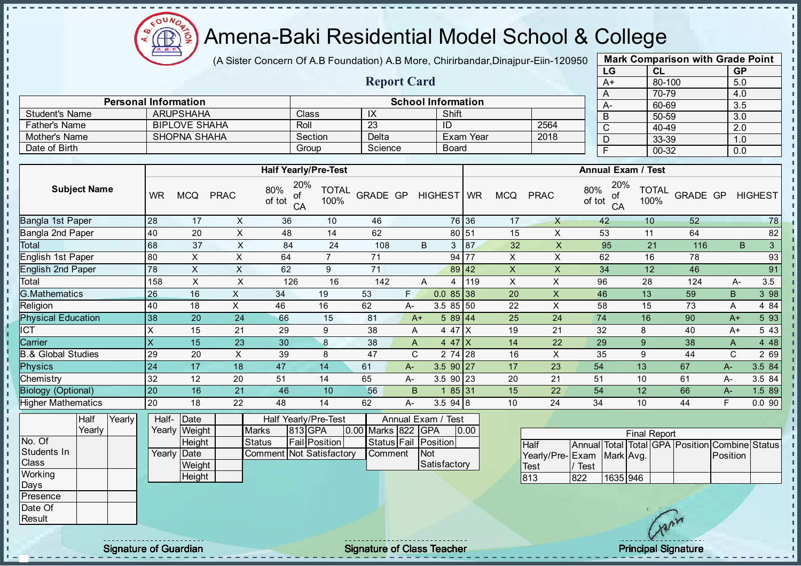

(A Sister Concern Of A.B Foundation) A.B More, Chirirbandar, Dinajpur-Eiin-120950

Report Card

Personal Information<br>
ARUPSHAHA Class IX Shift Shift

Father's Name BIPLOVE SHAHA Roll 23 ID 2564

Student's Name ARUPSHAHA Class IX Shift<br>
Father's Name BIPLOVE SHAHA Roll 23 ID

| <b>Mark Comparison with Grade Point</b> |           |           |  |  |  |  |  |  |  |  |
|-----------------------------------------|-----------|-----------|--|--|--|--|--|--|--|--|
| LG                                      | CL        | <b>GP</b> |  |  |  |  |  |  |  |  |
| $A+$                                    | 80-100    | 5.0       |  |  |  |  |  |  |  |  |
| A                                       | 70-79     | 4.0       |  |  |  |  |  |  |  |  |
| А-                                      | 60-69     | 3.5       |  |  |  |  |  |  |  |  |
| B                                       | 50-59     | 3.0       |  |  |  |  |  |  |  |  |
| C                                       | 40-49     | 2.0       |  |  |  |  |  |  |  |  |
| D                                       | 33-39     | 1.0       |  |  |  |  |  |  |  |  |
| F                                       | $00 - 32$ | 0.0       |  |  |  |  |  |  |  |  |
|                                         |           |           |  |  |  |  |  |  |  |  |

| Mother's Name                 |                     |        |                         | <b>SHOPNA SHAHA</b>   |                |                                  | Delta<br>Section            |                    |                |                                  | 2018<br><b>Exam Year</b> |                    |                           |                 | D               | 33-39                     |                                                | 1.0         |                |
|-------------------------------|---------------------|--------|-------------------------|-----------------------|----------------|----------------------------------|-----------------------------|--------------------|----------------|----------------------------------|--------------------------|--------------------|---------------------------|-----------------|-----------------|---------------------------|------------------------------------------------|-------------|----------------|
| Date of Birth                 |                     |        |                         |                       |                |                                  | Group                       | Science            |                | <b>Board</b>                     |                          |                    |                           |                 | $\overline{F}$  | $00 - 32$                 |                                                | 0.0         |                |
|                               |                     |        |                         |                       |                |                                  |                             |                    |                |                                  |                          |                    |                           |                 |                 |                           |                                                |             |                |
|                               |                     |        |                         |                       |                |                                  | <b>Half Yearly/Pre-Test</b> |                    |                |                                  |                          |                    |                           |                 |                 | <b>Annual Exam / Test</b> |                                                |             |                |
|                               | <b>Subject Name</b> |        | <b>WR</b>               | <b>MCQ</b>            | <b>PRAC</b>    | 20%<br>80%<br>ot<br>of tot<br>CA | <b>TOTAL</b><br>100%        | <b>GRADE GP</b>    |                | HIGHEST WR                       |                          | <b>MCQ</b>         | <b>PRAC</b>               | 80%<br>of tot   | 20%<br>of<br>CA | <b>TOTAL</b><br>100%      | <b>GRADE GP</b>                                |             | <b>HIGHEST</b> |
| Bangla 1st Paper              |                     |        | 28                      | 17                    | X              | 36                               | 10                          | 46                 |                |                                  | 76 36                    | 17                 | X                         |                 | 42              | 10                        | 52                                             |             | 78             |
| <b>Bangla 2nd Paper</b>       |                     |        | 40                      | 20                    | $\sf X$        | 48                               | 14                          | 62                 |                |                                  | 80 51                    | 15                 | $\times$                  |                 | 53              | 11                        | 64                                             |             | 82             |
| Total                         |                     |        | 68                      | 37                    | $\times$       | 84                               | 24                          | 108                |                | B<br>3                           | 87                       | 32                 | $\boldsymbol{\mathsf{X}}$ |                 | 95              | 21                        | 116                                            | B           | 3              |
| English 1st Paper             |                     |        | 80                      | X                     | $\mathsf{X}$   | 64                               | $\overline{7}$              | 71                 |                |                                  | 94 77                    | X                  | X                         |                 | 62              | 16                        | 78                                             |             | 93             |
| <b>English 2nd Paper</b>      |                     |        | 78                      | $\mathsf X$           | $\mathsf X$    | 62                               | 9                           | 71                 |                |                                  | 89 42                    | $\pmb{\mathsf{X}}$ | X                         |                 | 34              | 12                        | 46                                             |             | 91             |
| Total                         |                     |        | 158                     | X                     | X              | 126                              | 16                          | 142                |                | $\overline{A}$<br>$\overline{4}$ | 119                      | X                  | X                         | 96              |                 | 28                        | 124                                            | $A-$        | 3.5            |
| <b>G.Mathematics</b>          |                     |        | 26                      | 16                    | $\mathsf{X}$   | 34                               | 19                          | 53                 | F.             | $0.085$ 38                       |                          | 20                 | $\pmb{\times}$            | 46              |                 | 13                        | 59                                             | $\sf B$     | 3 98           |
| Religion                      |                     |        | 40                      | 18                    | $\mathsf X$    | 46                               | 16                          | 62                 | А-             | 3.5 85 50                        |                          | 22                 | $\pmb{\times}$            | 58              |                 | 15                        | 73                                             | A           | 4 84           |
| <b>Physical Education</b>     |                     |        | 38                      | 20                    | 24             | 66                               | 15                          | 81                 | $A+$           | 589 44                           |                          | 25                 | 24                        | $\overline{74}$ |                 | 16                        | 90                                             | $A+$        | 5 9 3          |
| ICT                           |                     |        | $\pmb{\times}$          | 15                    | 21             | 29                               | 9                           | 38                 | Α              | 4 47 X                           |                          | 19                 | 21                        | 32              |                 | 8                         | 40                                             | $A+$        | 5 4 3          |
| Carrier                       |                     |        | $\overline{\mathsf{X}}$ | 15                    | 23             | 30                               | 8                           | 38                 | A              | 4 47 $X$                         |                          | 14                 | 22                        | 29              |                 | 9                         | 38                                             | A           | 4 4 8          |
| <b>B.&amp; Global Studies</b> |                     |        | 29                      | 20                    | $\pmb{\times}$ | 39                               | 8                           | 47                 | C              | 2 74 28                          |                          | 16                 | $\pmb{\times}$            | 35              |                 | 9                         | 44                                             | $\mathbf C$ | 2 69           |
| <b>Physics</b>                |                     |        | 24                      | 17                    | 18             | 47                               | 14                          | 61                 | A-             | 3.5 90 27                        |                          | 17                 | 23                        | 54              |                 | 13                        | 67                                             | $A-$        | 3.584          |
| Chemistry                     |                     |        | 32                      | 12                    | 20             | 51                               | 14                          | 65                 | А-             | $3.5$ 90 23                      |                          | 20                 | 21                        | 51              |                 | 10                        | 61                                             | A-          | 3.5 84         |
| <b>Biology (Optional)</b>     |                     |        | 20                      | 16                    | 21             | 46                               | 10                          | 56                 | $\overline{B}$ | 1 85 31                          |                          | 15                 | 22                        | 54              |                 | 12                        | 66                                             | $A-$        | 1.5 89         |
| <b>Higher Mathematics</b>     |                     |        | 20                      | 18                    | 22             | 48                               | 14                          | 62                 | А-             | 3.594 8                          |                          | 10                 | 24                        | 34              |                 | 10                        | 44                                             | F           | 0.090          |
|                               | Half<br>Yearly      | Yearly | Half-                   | Date<br>Yearly Weight |                | Half Yearly/Pre-Test<br>Marks    | 813 GPA                     | 0.00 Marks 822 GPA |                | Annual Exam / Test               | 0.00                     |                    |                           |                 |                 | <b>Final Report</b>       |                                                |             |                |
| No. Of                        |                     |        |                         | Height                |                | <b>Status</b>                    | <b>Fail Position</b>        |                    |                | Status Fail Position             |                          |                    | <b>Half</b>               |                 |                 |                           | Annual Total Total GPA Position Combine Status |             |                |
| Students In                   |                     |        | Yearly                  | Date                  |                | Comment Not Satisfactory         |                             | Comment            |                | <b>Not</b>                       |                          |                    | Yearly/Pre-               | Exam            | Mark Avg.       |                           |                                                | Position    |                |
| Class                         |                     |        |                         | Weight                |                |                                  |                             |                    |                | Satisfactory                     |                          |                    | <b>Test</b>               | / Test          |                 |                           |                                                |             |                |
| Working<br>Days               |                     |        |                         | <b>Height</b>         |                |                                  |                             |                    |                |                                  |                          |                    | 813                       | 822             | 1635 946        |                           |                                                |             |                |
| Presence                      |                     |        |                         |                       |                |                                  |                             |                    |                |                                  |                          |                    |                           |                 |                 |                           |                                                |             |                |
| Date Of                       |                     |        |                         |                       |                |                                  |                             |                    |                |                                  |                          |                    |                           |                 |                 |                           |                                                |             |                |

Result

 $\mathbf{I}$  $\mathbf{I}$  $\mathbf{I}$  $\mathbf I$ 

J. J.  $\mathbf{r}$ J. -8 J. a) n п h ń. J.  $\mathbf{I}$  $\mathbf{I}$  $\mathbf{I}$  $\blacksquare$  $\mathbf{r}$  $\mathbf{r}$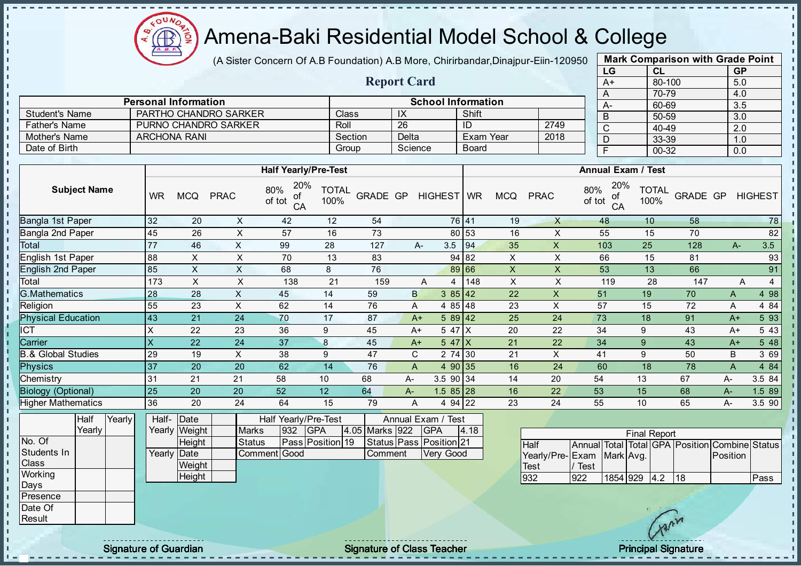

(A Sister Concern Of A.B Foundation) A.B More, Chirirbandar, Dinajpur-Eiin-120950

| <b>Mark Comparison with Grade Point</b> |           |           |  |  |  |  |  |  |  |  |
|-----------------------------------------|-----------|-----------|--|--|--|--|--|--|--|--|
| LG                                      | <b>CL</b> | <b>GP</b> |  |  |  |  |  |  |  |  |
| $\overline{A+}$                         | 80-100    | 5.0       |  |  |  |  |  |  |  |  |
| Α                                       | 70-79     | 4.0       |  |  |  |  |  |  |  |  |
| A-                                      | 60-69     | 3.5       |  |  |  |  |  |  |  |  |
| B                                       | 50-59     | 3.0       |  |  |  |  |  |  |  |  |
| C                                       | 40-49     | 2.0       |  |  |  |  |  |  |  |  |
| D                                       | 33-39     | 1.0       |  |  |  |  |  |  |  |  |
| F                                       | 00-32     | 0.0       |  |  |  |  |  |  |  |  |
|                                         |           |           |  |  |  |  |  |  |  |  |

|                       |                             |         | <b>Report Card</b> |                           |      |  |           |  |  |  |  |
|-----------------------|-----------------------------|---------|--------------------|---------------------------|------|--|-----------|--|--|--|--|
|                       |                             |         |                    |                           |      |  |           |  |  |  |  |
|                       | <b>Personal Information</b> |         |                    | <b>School Information</b> |      |  | <b>A-</b> |  |  |  |  |
| <b>Student's Name</b> | PARTHO CHANDRO SARKER       | Class   | IX                 | Shift                     |      |  |           |  |  |  |  |
| <b>Father's Name</b>  | PURNO CHANDRO SARKER        | Roll    | -26                | ID                        | 2749 |  | C         |  |  |  |  |
| Mother's Name         | <b>ARCHONA RANI</b>         | Section | Delta              | Exam Year                 | 2018 |  | D         |  |  |  |  |
| Date of Birth         |                             | Group   | Science            | <b>Board</b>              |      |  |           |  |  |  |  |

|                               |           |            |             | <b>Half Yearly/Pre-Test</b>      |                      |          |       |              |            | <b>Annual Exam / Test</b> |             |                                  |                      |          |       |                     |  |  |
|-------------------------------|-----------|------------|-------------|----------------------------------|----------------------|----------|-------|--------------|------------|---------------------------|-------------|----------------------------------|----------------------|----------|-------|---------------------|--|--|
| <b>Subject Name</b>           | <b>WR</b> | <b>MCQ</b> | <b>PRAC</b> | 20%<br>80%<br>οf<br>of tot<br>CA | <b>TOTAL</b><br>100% | GRADE GP |       | HIGHEST WR   |            | <b>MCQ</b>                | <b>PRAC</b> | 20%<br>80%<br>of<br>of tot<br>CA | <b>TOTAL</b><br>100% | GRADE GP |       | <b>HIGHEST</b>      |  |  |
| Bangla 1st Paper              | 32        | 20         | X           | 42                               | 12                   | 54       |       |              | 76 41      | 19                        | $\times$    | 48                               | 10                   | 58       |       | 78                  |  |  |
| Bangla 2nd Paper              | 45        | 26         | X           | 57                               | 16                   | 73       |       |              | 80 53      | 16                        | X           | 55                               | 15                   | 70       |       | 82                  |  |  |
| Total                         | 77        | 46         | X           | 99                               | 28                   | 127      |       | 3.5<br>$A-$  | 94         | 35                        | $\times$    | 103                              | 25                   | 128      | $A -$ | 3.5                 |  |  |
| English 1st Paper             | 88        | X          | X           | 70                               | 13                   | 83       |       |              | 94 82      | X                         | X           | 66                               | 15                   | 81       |       | 93                  |  |  |
| <b>English 2nd Paper</b>      | 85        | X          | X           | 68                               | 8                    | 76       |       |              | 89 66      | X                         | X           | 53                               | 13                   | 66       |       | 91                  |  |  |
| Total                         | 173       | X          | X           | 138                              | 21                   | 159      |       | A<br>4       | 148        | X                         | X           | 119                              | 28                   | 147      |       | $\overline{4}$<br>A |  |  |
| <b>G.Mathematics</b>          | 28        | 28         | X           | 45                               | 14                   | 59       |       | B            | 385 42     | 22                        | X           | 51                               | 19                   | 70       | A     | 4 98                |  |  |
| Religion                      | 55        | 23         | X           | 62                               | 14                   | 76       |       | A            | 4 85 48    | 23                        | X           | 57                               | 15                   | 72       | A     | 4 84                |  |  |
| <b>Physical Education</b>     | 43        | 21         | 24          | 70                               | 17                   | 87       |       | $A+$         | $589$ 42   | 25                        | 24          | 73                               | 18                   | 91       | $A+$  | 5 93                |  |  |
| ICT                           | X         | 22         | 23          | 36                               | 9                    | 45       |       | $A+$         | 5 47 X     | 20                        | 22          | 34                               | 9                    | 43       | $A+$  | 5 4 3               |  |  |
| Carrier                       | X         | 22         | 24          | 37                               | 8                    | 45       |       | $A+$         | 547X       | 21                        | 22          | 34                               | 9                    | 43       | $A+$  | 5 48                |  |  |
| <b>B.&amp; Global Studies</b> | 29        | 19         | X           | 38                               | 9                    | 47       |       | $\mathsf{C}$ | 2 74 30    | 21                        | X           | 41                               | 9                    | 50       | B     | 3 69                |  |  |
| <b>Physics</b>                | 37        | 20         | 20          | 62                               | 14                   | 76       |       | A            | 4 90 35    | 16                        | 24          | 60                               | 18                   | 78       | A     | 4 84                |  |  |
| Chemistry                     | 31        | 21         | 21          | 58                               | 10                   | 68       | $A -$ |              | 3.5 90 34  | 14                        | 20          | 54                               | 13                   | 67       | $A-$  | 3.5 84              |  |  |
| <b>Biology (Optional)</b>     | 25        | 20         | 20          | 52                               | 12                   | 64       | $A-$  |              | $1.585$ 28 | 16                        | 22          | 53                               | 15                   | 68       | A-    | 1.589               |  |  |
| <b>Higher Mathematics</b>     | 36        | 20         | 24          | 64                               | 15                   | 79       |       | A            | 4 94 22    | 23                        | 24          | 55                               | 10                   | 65       | $A-$  | 3.5 90              |  |  |

|                  | Half   | Yearly | Half-       | <b>IDate</b>  |               | Half Yearly/Pre-Test<br>Annual Exam / Test |                  |  |                |  |                         |      |  |
|------------------|--------|--------|-------------|---------------|---------------|--------------------------------------------|------------------|--|----------------|--|-------------------------|------|--|
|                  | Yearly |        |             | Yearly Weight | <b>Marks</b>  | 932                                        | <b>IGPA</b>      |  | 4.05 Marks 922 |  | <b>IGPA</b>             | 4.18 |  |
| No. Of           |        |        |             | Height        | <b>Status</b> |                                            | Pass Position 19 |  |                |  | Status Pass Position 21 |      |  |
| Students In      |        |        | Yearly Date |               | Comment Good  |                                            |                  |  | Comment        |  | <b>Very Good</b>        |      |  |
| <b>Class</b>     |        |        |             | Weight        |               |                                            |                  |  |                |  |                         |      |  |
| Working          |        |        |             | Height        |               |                                            |                  |  |                |  |                         |      |  |
| Days             |        |        |             |               |               |                                            |                  |  |                |  |                         |      |  |
| <b>IPresence</b> |        |        |             |               |               |                                            |                  |  |                |  |                         |      |  |
| Date Of          |        |        |             |               |               |                                            |                  |  |                |  |                         |      |  |
| Result           |        |        |             |               |               |                                            |                  |  |                |  |                         |      |  |

| <b>Final Report</b>       |      |          |  |     |     |                                                |      |  |  |  |  |  |  |
|---------------------------|------|----------|--|-----|-----|------------------------------------------------|------|--|--|--|--|--|--|
| <b>Half</b>               |      |          |  |     |     | Annual Total Total GPA Position Combine Status |      |  |  |  |  |  |  |
| Yearly/Pre-Exam Mark Avg. |      |          |  |     |     | Position                                       |      |  |  |  |  |  |  |
| Test                      | Test |          |  |     |     |                                                |      |  |  |  |  |  |  |
| 932                       | 922  | 1854 929 |  | 4.2 | 118 |                                                | Pass |  |  |  |  |  |  |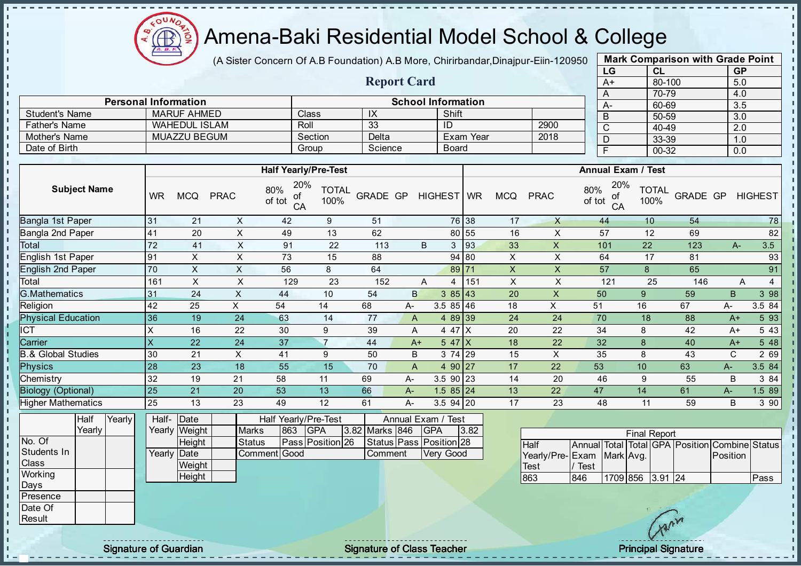

(A Sister Concern Of A.B Foundation) A.B More, Chirirbandar, Dinajpur-Eiin-120950

Report Card

Personal Information School Information

Father's Name WAHEDUL ISLAM Roll 33 ID 2900

Student's Name MARUF AHMED Class IX Shift<br>
Father's Name WAHEDUL ISLAM Roll 33 ID

| <b>Mark Comparison with Grade Point</b> |           |           |  |  |  |  |  |  |  |  |
|-----------------------------------------|-----------|-----------|--|--|--|--|--|--|--|--|
| LG                                      | <b>CL</b> | <b>GP</b> |  |  |  |  |  |  |  |  |
| $A+$                                    | 80-100    | 5.0       |  |  |  |  |  |  |  |  |
| A                                       | 70-79     | 4.0       |  |  |  |  |  |  |  |  |
|                                         | 60-69     | 3.5       |  |  |  |  |  |  |  |  |
| B                                       | 50-59     | 3.0       |  |  |  |  |  |  |  |  |
| C                                       | 40-49     | 2.0       |  |  |  |  |  |  |  |  |
| n                                       | 33-39     | 1.0       |  |  |  |  |  |  |  |  |
|                                         | 00-32     | 0.0       |  |  |  |  |  |  |  |  |

| Mother's Name                 |                 | <b>MUAZZU BEGUM</b> |                              | Section                                   | Delta           |                         |              | Exam Year |              | 2018                    | D             |                                         | 33-39                             | 1.0            |                |
|-------------------------------|-----------------|---------------------|------------------------------|-------------------------------------------|-----------------|-------------------------|--------------|-----------|--------------|-------------------------|---------------|-----------------------------------------|-----------------------------------|----------------|----------------|
| Date of Birth                 |                 |                     |                              | Group                                     | Science         |                         | <b>Board</b> |           |              |                         | F             |                                         | 00-32                             | 0.0            |                |
|                               |                 |                     |                              |                                           |                 |                         |              |           |              |                         |               |                                         |                                   |                |                |
|                               |                 |                     |                              | <b>Half Yearly/Pre-Test</b>               |                 |                         |              |           |              |                         |               | <b>Annual Exam / Test</b>               |                                   |                |                |
| <b>Subject Name</b>           | <b>WR</b>       | <b>MCQ</b>          | 80%<br><b>PRAC</b><br>of tot | 20%<br><b>TOTAL</b><br>оf<br>100%<br>CA   | <b>GRADE GP</b> |                         | HIGHEST   WR |           | <b>MCQ</b>   | <b>PRAC</b>             | 80%<br>of tot | 20%<br><b>TOTAL</b><br>οf<br>100%<br>CA | GRADE GP                          |                | <b>HIGHEST</b> |
| Bangla 1st Paper              | 31              | 21                  | X                            | 42<br>9                                   | 51              |                         | 76 38        |           | 17           | X                       | 44            | 10                                      | 54                                |                | 78             |
| Bangla 2nd Paper              | 41              | 20                  | $\times$                     | 49<br>13                                  | 62              |                         | 80 55        |           | 16           | X                       | 57            | 12                                      | 69                                |                | 82             |
| Total                         | 72              | 41                  | Χ                            | 91<br>22                                  | 113             | B                       | 3            | 93        | 33           | X                       | 101           | 22                                      | 123                               | $A-$           | 3.5            |
| English 1st Paper             | 91              | X                   | $\sf X$                      | 73<br>15                                  | 88              |                         | 94 80        |           | X            | X                       | 64            | 17                                      | 81                                |                | 93             |
| <b>English 2nd Paper</b>      | 70              | X                   | X                            | 56<br>8                                   | 64              |                         | 89 71        |           | $\mathsf{x}$ | X                       | 57            | 8                                       | 65                                |                | 91             |
| Total                         | 161             | X                   | Χ                            | 23<br>129                                 | 152             | A                       | 4            | 151       | $\mathsf X$  | X                       | 121           | 25                                      | 146                               | A              | $\overline{4}$ |
| <b>G.Mathematics</b>          | 31              | 24                  | $\times$                     | 10<br>44                                  | 54              | $\mathsf B$             | 385 43       |           | 20           | $\mathsf{X}$            | 50            | 9                                       | 59                                | $\overline{B}$ | 3 98           |
| Religion                      | 42              | 25                  | X.<br>54                     | 14                                        | 68              | A-                      | $3.585$ 46   |           | 18           | $\pmb{\times}$          | 51            | 16                                      | 67                                | А-             | 3.5 84         |
| <b>Physical Education</b>     | 36              | 19                  | 24                           | 63<br>14                                  | 77              | A                       | 4 89 39      |           | 24           | 24                      | 70            | 18                                      | 88                                | $A+$           | 5 9 3          |
| $\overline{CT}$               | Χ               | 16                  | 22                           | 30<br>9                                   | 39              | A                       | 4 47 X       |           | 20           | 22                      | 34            | 8                                       | 42                                | $A+$           | 5 4 3          |
| Carrier                       | $\times$        | 22                  | 24                           | $\overline{7}$<br>37                      | 44              | $A+$                    | 547X         |           | 18           | 22                      | 32            | 8                                       | 40                                | $A+$           | 5 48           |
| <b>B.&amp; Global Studies</b> | 30              | 21                  | X                            | 41<br>9                                   | 50              | B                       | 3 74 29      |           | 15           | X                       | 35            | 8                                       | 43                                | $\mathbf C$    | 2 69           |
| <b>Physics</b>                | 28              | 23                  | 18                           | 55<br>15                                  | 70              | $\overline{A}$          | 4 90 27      |           | 17           | 22                      | 53            | 10                                      | 63                                | $A-$           | 3.5 84         |
| Chemistry                     | 32              | 19                  | 21<br>58                     | 11                                        | 69              | A-                      | $3.590$ 23   |           | 14           | 20                      | 46            | 9                                       | 55                                | B              | 3 84           |
| <b>Biology (Optional)</b>     | 25              | 21                  | 20<br>53                     | 13                                        | 66              | A-                      | $1.585$ 24   |           | 13           | 22                      | 47            | 14                                      | 61                                | A-             | 1.5 89         |
| <b>Higher Mathematics</b>     | 25              | 13                  | 23<br>49                     | 12                                        | 61              | A-                      | 3.5 94 20    |           | 17           | 23                      | 48            | 11                                      | 59                                | B              | 3 90           |
| Half<br>Yearly<br>Yearly      | Half-<br>Yearly | Date<br>Weight      | <b>Marks</b>                 | Half Yearly/Pre-Test<br>863<br><b>GPA</b> | 3.82 Marks 846  | Annual Exam / Test      | <b>GPA</b>   | 3.82      |              |                         |               |                                         |                                   |                |                |
| No. Of                        |                 | Height              | <b>Status</b>                | Pass Position 26                          |                 | Status Pass Position 28 |              |           |              |                         |               | <b>Final Report</b>                     |                                   |                |                |
| Students In                   |                 | Yearly Date         | Comment Good                 |                                           | Comment         |                         | Very Good    |           |              | Half<br>Yearly/Pre-Exam | Annual Total  | Mark Avg.                               | Total GPA Position Combine Status | Position       |                |
| Class                         |                 | Weight              |                              |                                           |                 |                         |              |           |              | <b>Test</b>             | / Test        |                                         |                                   |                |                |

863 846 1709 856 3.91 24 Pass

**Height** 

**Working** Days Presence Date Of Result

 $\mathbf{I}$ J.  $\mathbf{r}$  $\mathbf{r}$ - II J. - II J. J.

 $\mathbf{I}$ J. J.  $\blacksquare$  $\mathbf{I}$ J. J. J. a. п п T. J. J. J.  $\mathbf{I}$ - II J.  $\mathbf{I}$  $\mathbf{I}$  $\mathbf{I}$ h. ĥ  $\mathbf{I}$  $\mathbf{r}$  $\mathbf{r}$  $\mathbf{r}$ J.  $\mathbf{I}$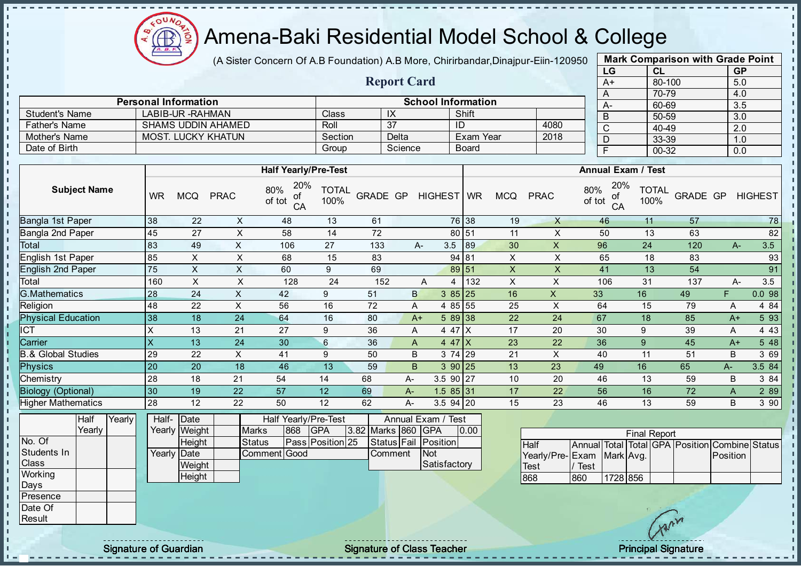

(A Sister Concern Of A.B Foundation) A.B More, Chirirbandar, Dinajpur-Eiin-120950

Report Card

| <b>Mark Comparison with Grade Point</b> |           |           |  |  |  |  |  |  |  |  |  |
|-----------------------------------------|-----------|-----------|--|--|--|--|--|--|--|--|--|
| LG                                      | <b>CL</b> | <b>GP</b> |  |  |  |  |  |  |  |  |  |
| $A+$                                    | 80-100    | 5.0       |  |  |  |  |  |  |  |  |  |
| A                                       | 70-79     | 4.0       |  |  |  |  |  |  |  |  |  |
| А-                                      | 60-69     | 3.5       |  |  |  |  |  |  |  |  |  |
| B                                       | 50-59     | 3.0       |  |  |  |  |  |  |  |  |  |
| C                                       | 40-49     | 2.0       |  |  |  |  |  |  |  |  |  |
| D                                       | 33-39     | 1.0       |  |  |  |  |  |  |  |  |  |
| F                                       | 00-32     | 0.0       |  |  |  |  |  |  |  |  |  |
|                                         |           |           |  |  |  |  |  |  |  |  |  |

|                       | <b>Personal Information</b> |         |         | A-           |      |   |
|-----------------------|-----------------------------|---------|---------|--------------|------|---|
| <b>Student's Name</b> | LABIB-UR - RAHMAN           | Classi  |         | Shift        |      | B |
| <b>Father's Name</b>  | SHAMS UDDIN AHAMED          | Roll    | 37      |              | 4080 |   |
| Mother's Name         | <b>MOST. LUCKY KHATUN</b>   | Section | Delta   | Exam Year    | 2018 |   |
| Date of Birth         |                             | Group   | Science | <b>Board</b> |      |   |

| <b>WR</b> |    | <b>PRAC</b> | 20%<br>80%<br>οf<br>of tot<br>CA | <b>TOTAL</b><br>100% |                             |                 |                                                                                          |             | <b>MCQ</b>                                                                                                                                                                                | <b>PRAC</b> | 20%<br>80%<br>οf<br>of tot<br>CA | <b>TOTAL</b><br>100% |                           |      | <b>HIGHEST</b>                         |
|-----------|----|-------------|----------------------------------|----------------------|-----------------------------|-----------------|------------------------------------------------------------------------------------------|-------------|-------------------------------------------------------------------------------------------------------------------------------------------------------------------------------------------|-------------|----------------------------------|----------------------|---------------------------|------|----------------------------------------|
| 38        | 22 | X           | 48                               | 13                   | 61                          |                 |                                                                                          |             | 19                                                                                                                                                                                        | X           | 46                               | 11                   | 57                        |      | 78                                     |
| 45        | 27 | X           | 58                               | 14                   | 72                          |                 |                                                                                          |             | 11                                                                                                                                                                                        | X           | 50                               | 13                   | 63                        |      | 82                                     |
| 83        | 49 | X           | 106                              | 27                   | 133                         |                 |                                                                                          |             | 30                                                                                                                                                                                        | X           | 96                               | 24                   | 120                       |      | 3.5                                    |
| 85        | X  | X           | 68                               | 15                   | 83                          |                 |                                                                                          |             | X                                                                                                                                                                                         | X           | 65                               | 18                   | 83                        |      | 93                                     |
| 75        | X  | X           | 60                               | 9                    | 69                          |                 |                                                                                          |             | $\boldsymbol{\mathsf{X}}$                                                                                                                                                                 | X           | 41                               | 13                   | 54                        |      | 91                                     |
| 160       | X  | X           | 128                              | 24                   | 152                         | A               | 4                                                                                        |             | X                                                                                                                                                                                         | X           | 106                              | 31                   | 137                       |      | 3.5                                    |
| 28        | 24 | X           | 42                               | 9                    | 51                          |                 |                                                                                          |             | 16                                                                                                                                                                                        | X           | 33                               | 16                   | 49                        | F.   | 0.098                                  |
| 48        | 22 | X           | 56                               | 16                   | 72                          |                 |                                                                                          |             | 25                                                                                                                                                                                        | X           | 64                               | 15                   | 79                        | Α    | 4 8 4                                  |
| 38        | 18 | 24          | 64                               | 16                   | 80                          |                 |                                                                                          |             | 22                                                                                                                                                                                        | 24          | 67                               | 18                   | 85                        |      | 5 93                                   |
|           | 13 | 21          | 27                               | 9                    | 36                          |                 |                                                                                          |             | 17                                                                                                                                                                                        | 20          | 30                               | 9                    | 39                        | A    | 4 4 3                                  |
|           | 13 | 24          | 30                               | 6                    | 36                          |                 |                                                                                          |             | 23                                                                                                                                                                                        | 22          | 36                               | 9                    | 45                        |      | 5 48                                   |
| 29        | 22 | X           | 41                               | 9                    | 50                          |                 |                                                                                          |             | 21                                                                                                                                                                                        | X           | 40                               | 11                   | 51                        | B    | 3 69                                   |
| 20        | 20 | 18          | 46                               | 13                   | 59                          |                 |                                                                                          |             | 13                                                                                                                                                                                        | 23          | 49                               | 16                   | 65                        | $A-$ | 3.5 84                                 |
| 28        | 18 | 21          | 54                               | 14                   | 68                          |                 |                                                                                          |             | 10                                                                                                                                                                                        | 20          | 46                               | 13                   | 59                        | B    | 3 84                                   |
| 30        | 19 | 22          | 57                               | 12                   | 69                          |                 |                                                                                          |             | 17                                                                                                                                                                                        | 22          | 56                               | 16                   | 72                        | A    | 2 8 9                                  |
| 28        | 12 | 22          | 50                               | 12                   | 62                          |                 |                                                                                          |             | 15                                                                                                                                                                                        | 23          | 46                               | 13                   | 59                        | B    | 3 90                                   |
|           |    | <b>MCQ</b>  |                                  |                      | <b>Half Yearly/Pre-Test</b> | <b>GRADE GP</b> | А-<br>$\mathsf{B}$<br>A<br>$A+$<br>A<br>$\mathsf{A}$<br>B<br>B.<br>$A-$<br>$A-$<br>$A -$ | 3.5<br>3 74 | HIGHEST WR<br>76 38<br>80 51<br>89<br>94 81<br>89 51<br>132<br>$385$   25<br>4 85 55<br>$589$ 38<br>4 47 X<br>$4.47$ $X$<br><b>29</b><br>390 25<br>3.5 90 27<br>$1.585$ 31<br>$3.5$ 94 20 |             |                                  |                      | <b>Annual Exam / Test</b> |      | GRADE GP<br>$A-$<br>А-<br>$A+$<br>$A+$ |

|              | <b>Half</b> | Yearlv l | Half- Date  |               |               |     | Half Yearly/Pre-Test |  | Annual Exam / Test |  |                      |      |  |
|--------------|-------------|----------|-------------|---------------|---------------|-----|----------------------|--|--------------------|--|----------------------|------|--|
|              | Yearlv      |          |             | Yearly Weight | <b>Marks</b>  | 868 | <b>IGPA</b>          |  | 3.82 Marks 860 GPA |  |                      | 0.00 |  |
| No. Of       |             |          |             | Height        | <b>Status</b> |     | Pass Position 25     |  |                    |  | Status Fail Position |      |  |
| Students In  |             |          | Yearly Date |               | Comment Good  |     |                      |  | Comment            |  | <b>INot</b>          |      |  |
| <b>Class</b> |             |          |             | Weight        |               |     |                      |  |                    |  | Satisfactory         |      |  |
| Working      |             |          |             | Height        |               |     |                      |  |                    |  |                      |      |  |
| <b>IDays</b> |             |          |             |               |               |     |                      |  |                    |  |                      |      |  |
| Presence     |             |          |             |               |               |     |                      |  |                    |  |                      |      |  |

| <b>Final Report</b>       |      |          |  |  |  |                                                |  |  |  |  |  |  |  |  |
|---------------------------|------|----------|--|--|--|------------------------------------------------|--|--|--|--|--|--|--|--|
| <b>Half</b>               |      |          |  |  |  | Annual Total Total GPA Position Combine Status |  |  |  |  |  |  |  |  |
| Yearly/Pre-Exam Mark Avg. |      |          |  |  |  | Position                                       |  |  |  |  |  |  |  |  |
| Test                      | Test |          |  |  |  |                                                |  |  |  |  |  |  |  |  |
| 868                       | 860  | 1728 856 |  |  |  |                                                |  |  |  |  |  |  |  |  |

Date Of **Result** 

 $\blacksquare$  $\mathbf{I}$  $\mathbf{I}$ 

 $\frac{1}{1}$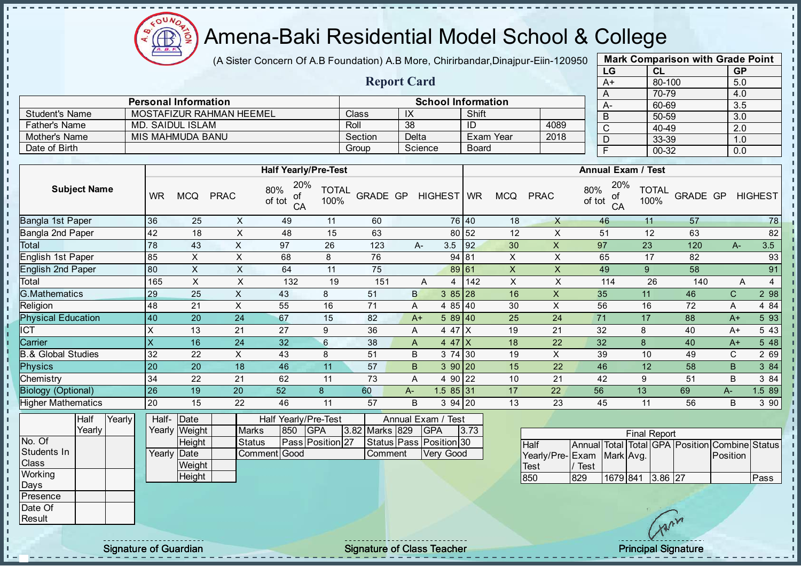oυ Æ

## Amena-Baki Residential Model School & College

(A Sister Concern Of A.B Foundation) A.B More, Chirirbandar, Dinajpur-Eiin-120950

Report Card

| <b>Mark Comparison with Grade Point</b> |
|-----------------------------------------|
|                                         |
|                                         |
|                                         |
|                                         |
|                                         |
|                                         |
|                                         |
|                                         |
|                                         |

|                      | <b>Personal Information</b> |         | <b>School Information</b> |              |      |           |  |  |  |  |
|----------------------|-----------------------------|---------|---------------------------|--------------|------|-----------|--|--|--|--|
| Student's Name       | MOSTAFIZUR RAHMAN HEEMEL    | Class   | I۸                        | Shift        |      | $A-$<br>B |  |  |  |  |
| <b>Father's Name</b> | MD. SAIDUL ISLAM            | Roll    | 38                        |              | 4089 | $\sim$    |  |  |  |  |
| Mother's Name        | MIS MAHMUDA BANU            | Section | Delta                     | Exam Year    | 2018 |           |  |  |  |  |
| Date of Birth        |                             | Group   | Science                   | <b>Board</b> |      |           |  |  |  |  |

|                               |           |                             |             | <b>Half Yearly/Pre-Test</b>          |                      |                           |        |              |            |           |            |             | <b>Annual Exam / Test</b>        |                      |          |              |                     |
|-------------------------------|-----------|-----------------------------|-------------|--------------------------------------|----------------------|---------------------------|--------|--------------|------------|-----------|------------|-------------|----------------------------------|----------------------|----------|--------------|---------------------|
| <b>Subject Name</b>           | <b>WR</b> | <b>MCQ</b>                  | <b>PRAC</b> | 20%<br>80%<br>οf<br>of tot<br>CA     | <b>TOTAL</b><br>100% | <b>GRADE GP</b>           |        |              | HIGHEST WR |           | <b>MCQ</b> | <b>PRAC</b> | 20%<br>80%<br>οf<br>of tot<br>CA | <b>TOTAL</b><br>100% | GRADE GP |              | <b>HIGHEST</b>      |
| Bangla 1st Paper              | 36        | 25                          | X           | 49                                   | 11                   | 60                        |        |              | 76 40      |           | 18         | X           | 46                               | 11                   | 57       |              | 78                  |
| Bangla 2nd Paper              | 42        | 18                          | Χ           | 48                                   | 15                   | 63                        |        |              | 80 52      |           | 12         | X           | 51                               | 12                   | 63       |              | 82                  |
| Total                         | 78        | 43                          | X           | 97                                   | 26                   | 123                       |        | А-           | 3.5        | 92        | 30         | X           | 97                               | 23                   | 120      | $A-$         | 3.5                 |
| English 1st Paper             | 85        | X                           | X           | 68                                   | 8                    | 76                        |        |              | 94 81      |           | X          | X           | 65                               | 17                   | 82       |              | 93                  |
| <b>English 2nd Paper</b>      | 80        | X                           | X           | 64                                   | 11                   | 75                        |        |              | 89 61      |           | X          | X           | 49                               | 9                    | 58       |              | 91                  |
| Total                         | 165       | X                           | X           | 132                                  | 19                   | 151                       |        | Α            | 4          | 142       | X          | X           | 114                              | 26                   | 140      |              | $\overline{4}$<br>Α |
| <b>G.Mathematics</b>          | 29        | 25                          | X           | 43                                   | 8                    | 51                        |        | $\mathsf{B}$ | $385$ 28   |           | 16         | X           | 35                               | 11                   | 46       | $\mathsf{C}$ | 2 98                |
| Religion                      | 48        | 21                          | X           | 55                                   | 16                   | 71                        |        | A            | 4 85 40    |           | 30         | X           | 56                               | 16                   | 72       | Α            | 4 8 4               |
| <b>Physical Education</b>     | 40        | 20                          | 24          | 67                                   | 15                   | 82                        |        | $A+$         | $589$ 40   |           | 25         | 24          | 71                               | 17                   | 88       | $A+$         | 5 93                |
| <b>CT</b>                     | X         | 13                          | 21          | 27                                   | 9                    | 36                        |        | A            | 4 47 X     |           | 19         | 21          | 32                               | 8                    | 40       | $A+$         | 5 4 3               |
| Carrier                       | X         | 16                          | 24          | 32                                   | 6                    | 38                        |        | A            | $4.47$ $X$ |           | 18         | 22          | 32                               | 8                    | 40       | A+           | 5 48                |
| <b>B.&amp; Global Studies</b> | 32        | 22                          | X           | 43                                   | 8                    | 51                        |        | B            | 3 74 30    |           | 19         | X           | 39                               | 10                   | 49       | C            | 2 69                |
| <b>Physics</b>                | 20        | 20                          | 18          | 46                                   | 11                   | 57                        |        | B            | 390 20     |           | 15         | 22          | 46                               | 12                   | 58       | B            | 3 84                |
| Chemistry                     | 34        | 22                          | 21          | 62                                   | 11                   | 73                        |        | A            | 4 90       | 22        | 10         | 21          | 42                               | 9                    | 51       | B            | 3 84                |
| <b>Biology (Optional)</b>     | 26        | 19                          | 20          | 52                                   | 8                    | 60                        | $A -$  |              | $1.585$ 31 |           | 17         | 22          | 56                               | 13                   | 69       | $A-$         | 1.5 89              |
| <b>Higher Mathematics</b>     | 20        | 15                          | 22          | 46                                   | 11                   | 57                        |        | B            | $394$ 20   |           | 13         | 23          | 45                               | 11                   | 56       | B            | 3 9 0               |
| Half<br>Yearly<br>Voorly      | Half-     | Date<br>$V$ oorly $M$ oight | M           | Half Yearly/Pre-Test<br>$0.50$ $CDA$ |                      | $2.82$ Marke $820 - 0.08$ | Annual | Exam /       | Test       | $\sim$ 70 |            |             |                                  |                      |          |              |                     |

|              | Yearly |  |             | Yearly Weight | <b>Marks</b> | 850 | <b>IGPA</b>      | 3.82 Marks 829 | <b>GPA</b>              | 3.73 |                           |          |          | <b>Final Report</b> |   |                                                |      |
|--------------|--------|--|-------------|---------------|--------------|-----|------------------|----------------|-------------------------|------|---------------------------|----------|----------|---------------------|---|------------------------------------------------|------|
| No. Of       |        |  |             | Height        | Status       |     | Pass Position 27 |                | Status Pass Position 30 |      | Half                      |          |          |                     |   | Annual Total Total GPA Position Combine Status |      |
| Students In  |        |  | Yearly Date |               | Comment Good |     |                  | Comment        | Very Good               |      | Yearly/Pre-Exam Mark Avg. |          |          |                     |   | Position                                       |      |
| <b>Class</b> |        |  |             | Weight        |              |     |                  |                |                         |      | Test                      | ′ Test ' |          |                     |   |                                                |      |
| Working      |        |  |             | Height        |              |     |                  |                |                         |      | 850                       | 829      | 1679 841 | 3.86 27             |   |                                                | Pass |
| Days         |        |  |             |               |              |     |                  |                |                         |      |                           |          |          |                     |   |                                                |      |
| Presence     |        |  |             |               |              |     |                  |                |                         |      |                           |          |          |                     |   |                                                |      |
| Date Of      |        |  |             |               |              |     |                  |                |                         |      |                           |          |          |                     |   |                                                |      |
| Result       |        |  |             |               |              |     |                  |                |                         |      |                           |          |          |                     | N |                                                |      |

Signature of Guardian The Class Teacher Signature of Class Teacher Principal Signature of Guardian Principal Signature

п п  $\mathbf{I}$ r.

J. n.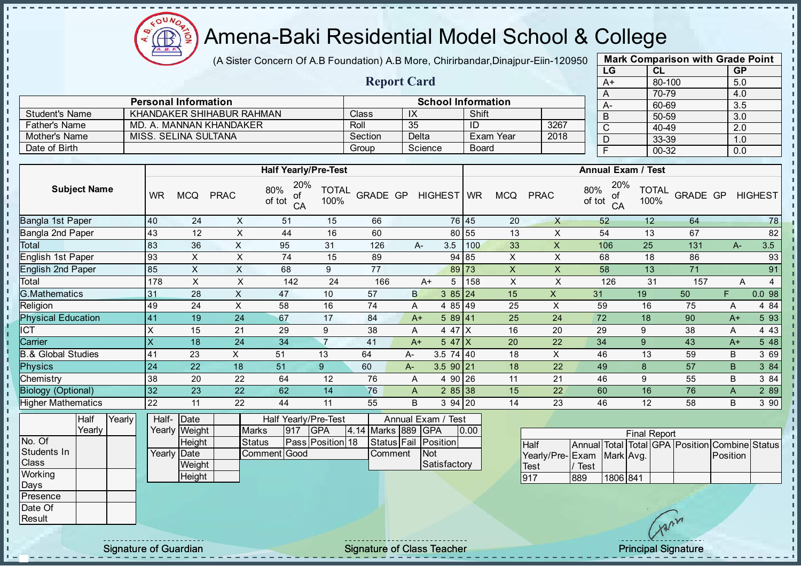(A Sister Concern Of A.B Foundation) A.B More, Chirirbandar, Dinajpur-Eiin-120950

Report Card

| <b>CL</b> |           |
|-----------|-----------|
|           | <b>GP</b> |
| 80-100    | 5.0       |
| 70-79     | 4.0       |
| 60-69     | 3.5       |
| 50-59     | 3.0       |
| 40-49     | 2.0       |
| 33-39     | 1.0       |
| 00-32     | 0.0       |
|           |           |

|                       | <b>Personal Information</b> |         | <b>School Information</b> |              |      |   |  |  |  |
|-----------------------|-----------------------------|---------|---------------------------|--------------|------|---|--|--|--|
| <b>Student's Name</b> | KHANDAKER SHIHABUR RAHMAN   | Class   | -IX                       | Shift        |      | B |  |  |  |
| <b>Father's Name</b>  | MD. A. MANNAN KHANDAKER     | Roll    | 35                        | -ID          | 3267 | ◡ |  |  |  |
| Mother's Name         | MISS. SELINA SULTANA        | Section | Delta                     | Exam Year    | 2018 | D |  |  |  |
| Date of Birth         |                             | Group   | Science                   | <b>Board</b> |      |   |  |  |  |
|                       |                             |         |                           |              |      |   |  |  |  |

|                               |           |                 |             | <b>Half Yearly/Pre-Test</b>      |                      |                 |    |                    | <b>Annual Exam / Test</b> |            |                |                                  |                      |                 |       |                |  |
|-------------------------------|-----------|-----------------|-------------|----------------------------------|----------------------|-----------------|----|--------------------|---------------------------|------------|----------------|----------------------------------|----------------------|-----------------|-------|----------------|--|
| <b>Subject Name</b>           | <b>WR</b> | <b>MCQ</b>      | <b>PRAC</b> | 20%<br>80%<br>of<br>of tot<br>CA | <b>TOTAL</b><br>100% | <b>GRADE GP</b> |    | HIGHEST            | <b>WR</b>                 | <b>MCQ</b> | <b>PRAC</b>    | 20%<br>80%<br>of<br>of tot<br>CA | <b>TOTAL</b><br>100% | <b>GRADE GP</b> |       | <b>HIGHEST</b> |  |
| Bangla 1st Paper              | 40        | 24              | X           | 51                               | 15                   | 66              |    |                    | 76 45                     | 20         | X              | 52                               | 12                   | 64              |       | 78             |  |
| Bangla 2nd Paper              | 43        | 12              | X           | 44                               | 16                   | 60              |    |                    | 80 55                     | 13         | X              | 54                               | 13                   | 67              |       | 82             |  |
| Total                         | 83        | 36              | X           | 95                               | 31                   | 126             |    | 3.5<br>$A-$        | 100                       | 33         | X              | 106                              | 25                   | 131             | $A -$ | 3.5            |  |
| English 1st Paper             | 93        | X               | X           | 74                               | 15                   | 89              |    |                    | 94 85                     | X          | $\pmb{\times}$ | 68                               | 18                   | 86              |       | 93             |  |
| English 2nd Paper             | 85        | X               | X           | 68                               | 9                    | 77              |    |                    | 89 73                     | X          | X              | 58                               | 13                   | 71              |       | 91             |  |
| Total                         | 178       | X               | X           | 142                              | 24                   | 166             |    | 5<br>$A+$          | 158                       | X          | X              | 126                              | 31                   | 157             |       | A              |  |
| <b>G.Mathematics</b>          | 31        | 28              | X           | 47                               | 10                   | 57              |    | B<br>385 24        |                           | 15         | X              | 31                               | 19                   | 50              | F.    | 0.098          |  |
| Religion                      | 49        | 24              | X           | 58                               | 16                   | 74              |    | 4 85 49<br>A       |                           | 25         | X              | 59                               | 16                   | 75              | A     | 4 8 4          |  |
| <b>Physical Education</b>     | 41        | 19              | 24          | 67                               | 17                   | 84              |    | 589 41<br>$A+$     |                           | 25         | 24             | 72                               | 18                   | 90              | $A+$  | 5 9 3          |  |
| <b>CT</b>                     | X         | 15              | 21          | 29                               | 9                    | 38              |    | 4 47<br>A          |                           | 16         | 20             | 29                               | 9                    | 38              | A     | 4 4 3          |  |
| Carrier                       | X         | 18              | 24          | 34                               |                      | 41              |    | 547X<br>$A+$       |                           | 20         | 22             | 34                               | 9                    | 43              | $A+$  | 5 4 8          |  |
| <b>B.&amp; Global Studies</b> | 41        | 23              | X.          | 51                               | 13                   | 64              | A- | $3.5$ 74 40        |                           | 18         | X              | 46                               | 13                   | 59              | B     | 3 69           |  |
| <b>Physics</b>                | 24        | 22              | 18          | 51                               | $9^{\circ}$          | 60              | A- | $3.590$  21        |                           | 18         | 22             | 49                               | 8                    | 57              | B.    | 3 84           |  |
| Chemistry                     | 38        | 20              | 22          | 64                               | 12                   | 76              |    | 4 90 26<br>Α       |                           | 11         | 21             | 46                               | 9                    | 55              | B     | 3 84           |  |
| <b>Biology (Optional)</b>     | 32        | 23              | 22          | 62                               | 14                   | 76              |    | A                  | 285 38                    | 15         | 22             | 60                               | 16                   | 76              | A     | 2 8 9          |  |
| <b>Higher Mathematics</b>     | 22        | 11              | 22          | 44                               | 11                   | 55              |    | B<br>$394$ 20      |                           | 14         | 23             | 46                               | 12                   | 58              | B     | 390            |  |
| $V_{\text{each}}$<br>∟ا ⊿ا    |           | $L$ olf $D$ oto |             | Uolf Voorlu/Dro Toot             |                      |                 |    | Annual Evam / Toot |                           |            |                |                                  |                      |                 |       |                |  |

|                | <b>Half</b> | Yearly | Half- Date  |               | Half Yearly/Pre-Test | Annual Exam / Test |                         |  |                    |  |                      |      |  |
|----------------|-------------|--------|-------------|---------------|----------------------|--------------------|-------------------------|--|--------------------|--|----------------------|------|--|
|                | Yearlv      |        |             | Yearly Weight | <b>Marks</b>         | 917                | IGPA                    |  | 4.14 Marks 889 GPA |  |                      | 0.00 |  |
| No. Of         |             |        |             | <b>Height</b> | <b>Status</b>        |                    | <b>Pass Position 18</b> |  |                    |  | Status Fail Position |      |  |
| Students In    |             |        | Yearly Date |               | <b>Comment Good</b>  |                    |                         |  | <b>Comment</b>     |  | <b>INot</b>          |      |  |
| <b>Class</b>   |             |        |             | Weight        |                      |                    |                         |  |                    |  | Satisfactory         |      |  |
| <b>Working</b> |             |        |             | Height        |                      |                    |                         |  |                    |  |                      |      |  |
| Days           |             |        |             |               |                      |                    |                         |  |                    |  |                      |      |  |

| <b>Final Report</b>       |      |          |  |  |  |                                                |  |  |  |  |  |  |
|---------------------------|------|----------|--|--|--|------------------------------------------------|--|--|--|--|--|--|
| <b>Half</b>               |      |          |  |  |  | Annual Total Total GPA Position Combine Status |  |  |  |  |  |  |
| Yearly/Pre-Exam Mark Avg. |      |          |  |  |  | <b>Position</b>                                |  |  |  |  |  |  |
| <b>Test</b>               | Test |          |  |  |  |                                                |  |  |  |  |  |  |
| .917                      | 889  | 1806 841 |  |  |  |                                                |  |  |  |  |  |  |

 $\sim$ **AR** 

Presence Date Of **Result** 

 $\blacksquare$ 

Signature of Guardian **Signature Signature of Class Teacher Principal Signature Principal Signature**